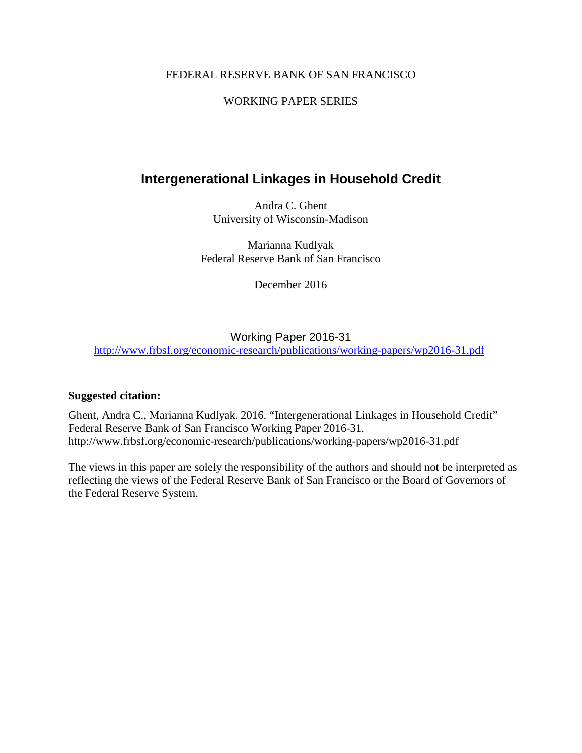# FEDERAL RESERVE BANK OF SAN FRANCISCO

# WORKING PAPER SERIES

# **Intergenerational Linkages in Household Credit**

Andra C. Ghent University of Wisconsin-Madison

Marianna Kudlyak Federal Reserve Bank of San Francisco

December 2016

# Working Paper 2016-31

<http://www.frbsf.org/economic-research/publications/working-papers/wp2016-31.pdf>

#### **Suggested citation:**

Ghent, Andra C., Marianna Kudlyak. 2016. "Intergenerational Linkages in Household Credit" Federal Reserve Bank of San Francisco Working Paper 2016-31. http://www.frbsf.org/economic-research/publications/working-papers/wp2016-31.pdf

The views in this paper are solely the responsibility of the authors and should not be interpreted as reflecting the views of the Federal Reserve Bank of San Francisco or the Board of Governors of the Federal Reserve System.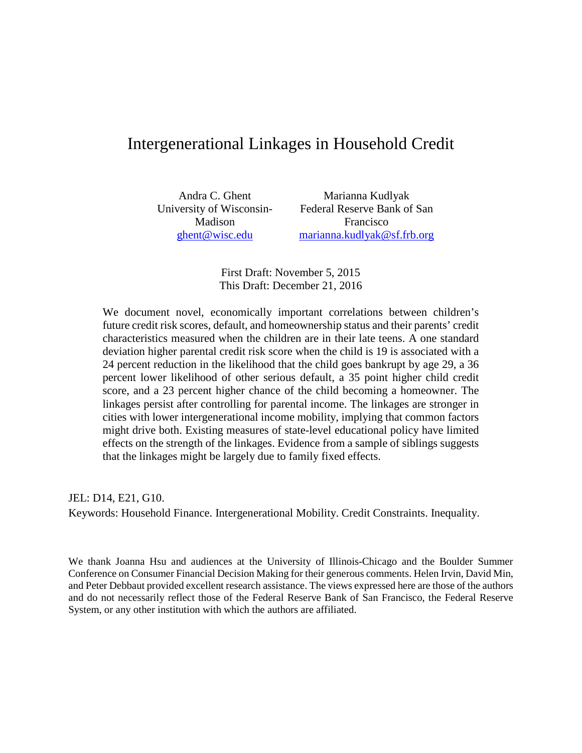# Intergenerational Linkages in Household Credit

University of Wisconsin-Madison [ghent@wisc.edu](mailto:ghent@wisc.edu)

Andra C. Ghent Marianna Kudlyak Federal Reserve Bank of San Francisco [marianna.kudlyak@sf.frb.org](mailto:marianna.kudlyak@sf.frb.org)

> First Draft: November 5, 2015 This Draft: December 21, 2016

We document novel, economically important correlations between children's future credit risk scores, default, and homeownership status and their parents' credit characteristics measured when the children are in their late teens. A one standard deviation higher parental credit risk score when the child is 19 is associated with a 24 percent reduction in the likelihood that the child goes bankrupt by age 29, a 36 percent lower likelihood of other serious default, a 35 point higher child credit score, and a 23 percent higher chance of the child becoming a homeowner. The linkages persist after controlling for parental income. The linkages are stronger in cities with lower intergenerational income mobility, implying that common factors might drive both. Existing measures of state-level educational policy have limited effects on the strength of the linkages. Evidence from a sample of siblings suggests that the linkages might be largely due to family fixed effects.

JEL: D14, E21, G10. Keywords: Household Finance. Intergenerational Mobility. Credit Constraints. Inequality.

We thank Joanna Hsu and audiences at the University of Illinois-Chicago and the Boulder Summer Conference on Consumer Financial Decision Making for their generous comments. Helen Irvin, David Min, and Peter Debbaut provided excellent research assistance. The views expressed here are those of the authors and do not necessarily reflect those of the Federal Reserve Bank of San Francisco, the Federal Reserve System, or any other institution with which the authors are affiliated.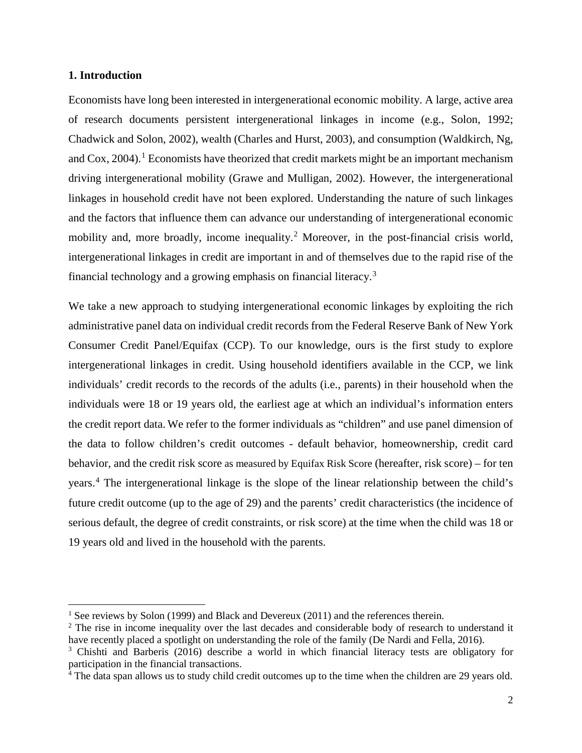#### **1. Introduction**

 $\overline{a}$ 

Economists have long been interested in intergenerational economic mobility. A large, active area of research documents persistent intergenerational linkages in income (e.g., Solon, 1992; Chadwick and Solon, 2002), wealth (Charles and Hurst, 2003), and consumption (Waldkirch, Ng, and  $\cos 2004$ .<sup>[1](#page-2-0)</sup> Economists have theorized that credit markets might be an important mechanism driving intergenerational mobility (Grawe and Mulligan, 2002). However, the intergenerational linkages in household credit have not been explored. Understanding the nature of such linkages and the factors that influence them can advance our understanding of intergenerational economic mobility and, more broadly, income inequality.<sup>[2](#page-2-1)</sup> Moreover, in the post-financial crisis world, intergenerational linkages in credit are important in and of themselves due to the rapid rise of the financial technology and a growing emphasis on financial literacy.[3](#page-2-2)

We take a new approach to studying intergenerational economic linkages by exploiting the rich administrative panel data on individual credit records from the Federal Reserve Bank of New York Consumer Credit Panel/Equifax (CCP). To our knowledge, ours is the first study to explore intergenerational linkages in credit. Using household identifiers available in the CCP, we link individuals' credit records to the records of the adults (i.e., parents) in their household when the individuals were 18 or 19 years old, the earliest age at which an individual's information enters the credit report data. We refer to the former individuals as "children" and use panel dimension of the data to follow children's credit outcomes - default behavior, homeownership, credit card behavior, and the credit risk score as measured by Equifax Risk Score (hereafter, risk score) – for ten years.[4](#page-2-3) The intergenerational linkage is the slope of the linear relationship between the child's future credit outcome (up to the age of 29) and the parents' credit characteristics (the incidence of serious default, the degree of credit constraints, or risk score) at the time when the child was 18 or 19 years old and lived in the household with the parents.

<span id="page-2-0"></span><sup>&</sup>lt;sup>1</sup> See reviews by Solon (1999) and Black and Devereux (2011) and the references therein.

<span id="page-2-1"></span><sup>&</sup>lt;sup>2</sup> The rise in income inequality over the last decades and considerable body of research to understand it have recently placed a spotlight on understanding the role of the family (De Nardi and Fella, 2016).

<span id="page-2-2"></span><sup>&</sup>lt;sup>3</sup> Chishti and Barberis (2016) describe a world in which financial literacy tests are obligatory for participation in the financial transactions.

<span id="page-2-3"></span><sup>4</sup> The data span allows us to study child credit outcomes up to the time when the children are 29 years old.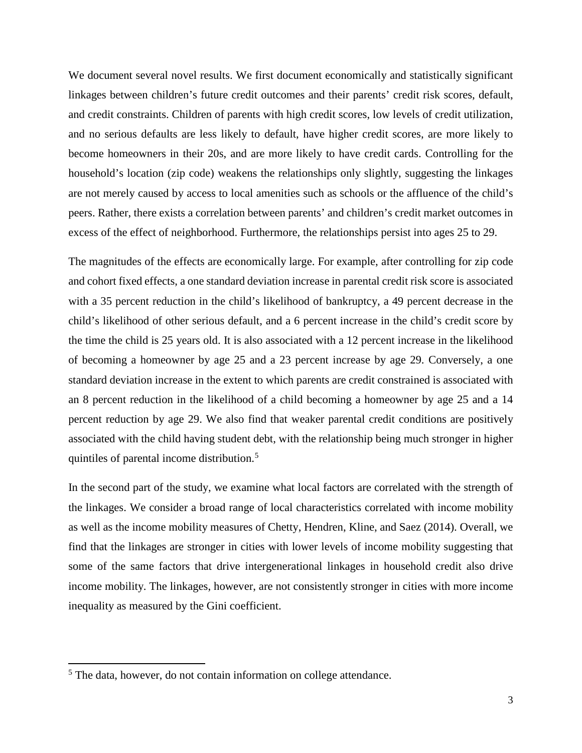We document several novel results. We first document economically and statistically significant linkages between children's future credit outcomes and their parents' credit risk scores, default, and credit constraints. Children of parents with high credit scores, low levels of credit utilization, and no serious defaults are less likely to default, have higher credit scores, are more likely to become homeowners in their 20s, and are more likely to have credit cards. Controlling for the household's location (zip code) weakens the relationships only slightly, suggesting the linkages are not merely caused by access to local amenities such as schools or the affluence of the child's peers. Rather, there exists a correlation between parents' and children's credit market outcomes in excess of the effect of neighborhood. Furthermore, the relationships persist into ages 25 to 29.

The magnitudes of the effects are economically large. For example, after controlling for zip code and cohort fixed effects, a one standard deviation increase in parental credit risk score is associated with a 35 percent reduction in the child's likelihood of bankruptcy, a 49 percent decrease in the child's likelihood of other serious default, and a 6 percent increase in the child's credit score by the time the child is 25 years old. It is also associated with a 12 percent increase in the likelihood of becoming a homeowner by age 25 and a 23 percent increase by age 29. Conversely, a one standard deviation increase in the extent to which parents are credit constrained is associated with an 8 percent reduction in the likelihood of a child becoming a homeowner by age 25 and a 14 percent reduction by age 29. We also find that weaker parental credit conditions are positively associated with the child having student debt, with the relationship being much stronger in higher quintiles of parental income distribution.<sup>[5](#page-3-0)</sup>

In the second part of the study, we examine what local factors are correlated with the strength of the linkages. We consider a broad range of local characteristics correlated with income mobility as well as the income mobility measures of Chetty, Hendren, Kline, and Saez (2014). Overall, we find that the linkages are stronger in cities with lower levels of income mobility suggesting that some of the same factors that drive intergenerational linkages in household credit also drive income mobility. The linkages, however, are not consistently stronger in cities with more income inequality as measured by the Gini coefficient.

l

<span id="page-3-0"></span><sup>&</sup>lt;sup>5</sup> The data, however, do not contain information on college attendance.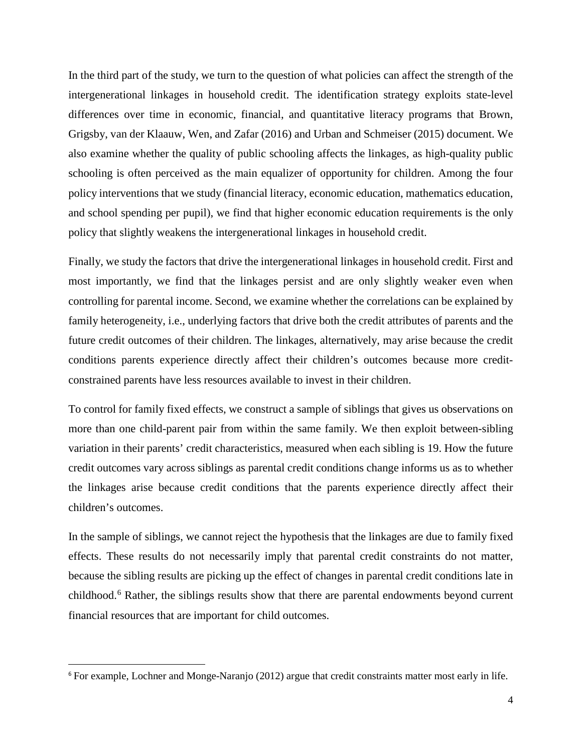In the third part of the study, we turn to the question of what policies can affect the strength of the intergenerational linkages in household credit. The identification strategy exploits state-level differences over time in economic, financial, and quantitative literacy programs that Brown, Grigsby, van der Klaauw, Wen, and Zafar (2016) and Urban and Schmeiser (2015) document. We also examine whether the quality of public schooling affects the linkages, as high-quality public schooling is often perceived as the main equalizer of opportunity for children. Among the four policy interventions that we study (financial literacy, economic education, mathematics education, and school spending per pupil), we find that higher economic education requirements is the only policy that slightly weakens the intergenerational linkages in household credit.

Finally, we study the factors that drive the intergenerational linkages in household credit. First and most importantly, we find that the linkages persist and are only slightly weaker even when controlling for parental income. Second, we examine whether the correlations can be explained by family heterogeneity, i.e., underlying factors that drive both the credit attributes of parents and the future credit outcomes of their children. The linkages, alternatively, may arise because the credit conditions parents experience directly affect their children's outcomes because more creditconstrained parents have less resources available to invest in their children.

To control for family fixed effects, we construct a sample of siblings that gives us observations on more than one child-parent pair from within the same family. We then exploit between-sibling variation in their parents' credit characteristics, measured when each sibling is 19. How the future credit outcomes vary across siblings as parental credit conditions change informs us as to whether the linkages arise because credit conditions that the parents experience directly affect their children's outcomes.

In the sample of siblings, we cannot reject the hypothesis that the linkages are due to family fixed effects. These results do not necessarily imply that parental credit constraints do not matter, because the sibling results are picking up the effect of changes in parental credit conditions late in childhood.[6](#page-4-0) Rather, the siblings results show that there are parental endowments beyond current financial resources that are important for child outcomes.

<span id="page-4-0"></span> <sup>6</sup> For example, Lochner and Monge-Naranjo (2012) argue that credit constraints matter most early in life.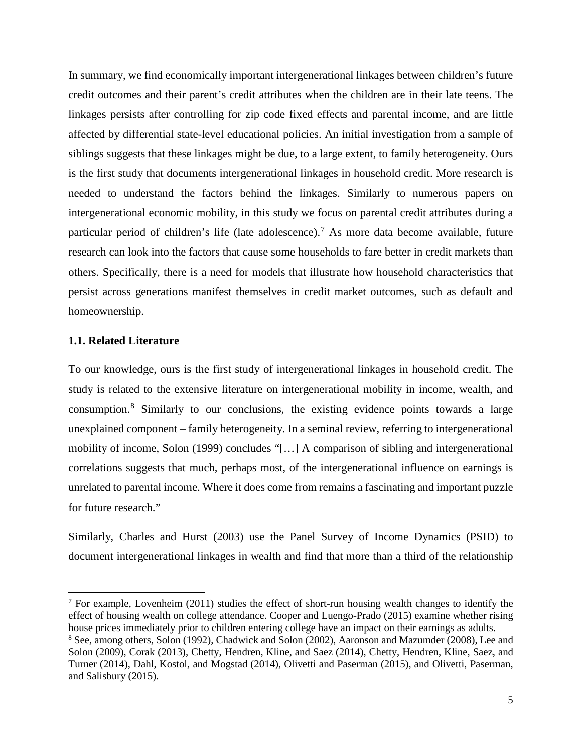In summary, we find economically important intergenerational linkages between children's future credit outcomes and their parent's credit attributes when the children are in their late teens. The linkages persists after controlling for zip code fixed effects and parental income, and are little affected by differential state-level educational policies. An initial investigation from a sample of siblings suggests that these linkages might be due, to a large extent, to family heterogeneity. Ours is the first study that documents intergenerational linkages in household credit. More research is needed to understand the factors behind the linkages. Similarly to numerous papers on intergenerational economic mobility, in this study we focus on parental credit attributes during a particular period of children's life (late adolescence). [7](#page-5-0) As more data become available, future research can look into the factors that cause some households to fare better in credit markets than others. Specifically, there is a need for models that illustrate how household characteristics that persist across generations manifest themselves in credit market outcomes, such as default and homeownership.

#### **1.1. Related Literature**

l

To our knowledge, ours is the first study of intergenerational linkages in household credit. The study is related to the extensive literature on intergenerational mobility in income, wealth, and consumption.[8](#page-5-1) Similarly to our conclusions, the existing evidence points towards a large unexplained component – family heterogeneity. In a seminal review, referring to intergenerational mobility of income, Solon (1999) concludes "[…] A comparison of sibling and intergenerational correlations suggests that much, perhaps most, of the intergenerational influence on earnings is unrelated to parental income. Where it does come from remains a fascinating and important puzzle for future research."

Similarly, Charles and Hurst (2003) use the Panel Survey of Income Dynamics (PSID) to document intergenerational linkages in wealth and find that more than a third of the relationship

<span id="page-5-1"></span><span id="page-5-0"></span> $<sup>7</sup>$  For example, Lovenheim (2011) studies the effect of short-run housing wealth changes to identify the</sup> effect of housing wealth on college attendance. Cooper and Luengo-Prado (2015) examine whether rising house prices immediately prior to children entering college have an impact on their earnings as adults. <sup>8</sup> See, among others, Solon (1992), Chadwick and Solon (2002), Aaronson and Mazumder (2008), Lee and Solon (2009), Corak (2013), Chetty, Hendren, Kline, and Saez (2014), Chetty, Hendren, Kline, Saez, and Turner (2014), Dahl, Kostol, and Mogstad (2014), Olivetti and Paserman (2015), and Olivetti, Paserman, and Salisbury (2015).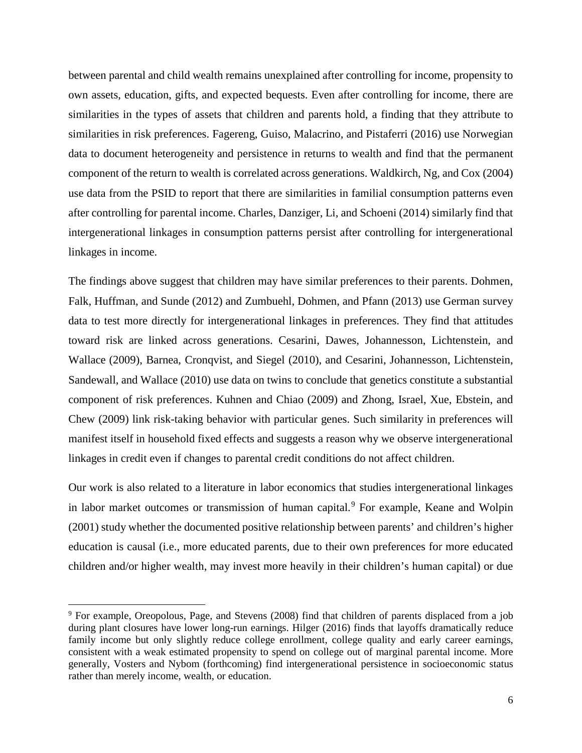between parental and child wealth remains unexplained after controlling for income, propensity to own assets, education, gifts, and expected bequests. Even after controlling for income, there are similarities in the types of assets that children and parents hold, a finding that they attribute to similarities in risk preferences. Fagereng, Guiso, Malacrino, and Pistaferri (2016) use Norwegian data to document heterogeneity and persistence in returns to wealth and find that the permanent component of the return to wealth is correlated across generations. Waldkirch, Ng, and Cox (2004) use data from the PSID to report that there are similarities in familial consumption patterns even after controlling for parental income. Charles, Danziger, Li, and Schoeni (2014) similarly find that intergenerational linkages in consumption patterns persist after controlling for intergenerational linkages in income.

The findings above suggest that children may have similar preferences to their parents. Dohmen, Falk, Huffman, and Sunde (2012) and Zumbuehl, Dohmen, and Pfann (2013) use German survey data to test more directly for intergenerational linkages in preferences. They find that attitudes toward risk are linked across generations. Cesarini, Dawes, Johannesson, Lichtenstein, and Wallace (2009), Barnea, Cronqvist, and Siegel (2010), and Cesarini, Johannesson, Lichtenstein, Sandewall, and Wallace (2010) use data on twins to conclude that genetics constitute a substantial component of risk preferences. Kuhnen and Chiao (2009) and Zhong, Israel, Xue, Ebstein, and Chew (2009) link risk-taking behavior with particular genes. Such similarity in preferences will manifest itself in household fixed effects and suggests a reason why we observe intergenerational linkages in credit even if changes to parental credit conditions do not affect children.

Our work is also related to a literature in labor economics that studies intergenerational linkages in labor market outcomes or transmission of human capital.<sup>[9](#page-6-0)</sup> For example, Keane and Wolpin (2001) study whether the documented positive relationship between parents' and children's higher education is causal (i.e., more educated parents, due to their own preferences for more educated children and/or higher wealth, may invest more heavily in their children's human capital) or due

 $\overline{a}$ 

<span id="page-6-0"></span><sup>9</sup> For example, Oreopolous, Page, and Stevens (2008) find that children of parents displaced from a job during plant closures have lower long-run earnings. Hilger (2016) finds that layoffs dramatically reduce family income but only slightly reduce college enrollment, college quality and early career earnings, consistent with a weak estimated propensity to spend on college out of marginal parental income. More generally, Vosters and Nybom (forthcoming) find intergenerational persistence in socioeconomic status rather than merely income, wealth, or education.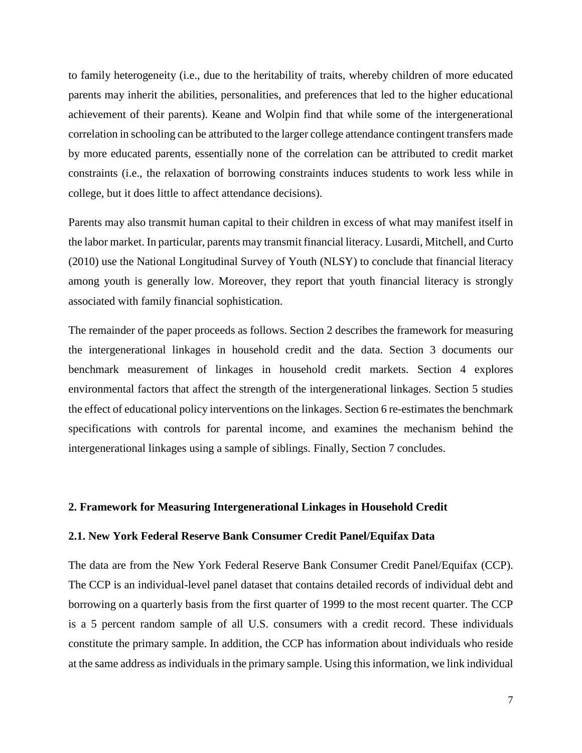to family heterogeneity (i.e., due to the heritability of traits, whereby children of more educated parents may inherit the abilities, personalities, and preferences that led to the higher educational achievement of their parents). Keane and Wolpin find that while some of the intergenerational correlation in schooling can be attributed to the larger college attendance contingent transfers made by more educated parents, essentially none of the correlation can be attributed to credit market constraints (i.e., the relaxation of borrowing constraints induces students to work less while in college, but it does little to affect attendance decisions).

Parents may also transmit human capital to their children in excess of what may manifest itself in the labor market. In particular, parents may transmit financial literacy. Lusardi, Mitchell, and Curto (2010) use the National Longitudinal Survey of Youth (NLSY) to conclude that financial literacy among youth is generally low. Moreover, they report that youth financial literacy is strongly associated with family financial sophistication.

The remainder of the paper proceeds as follows. Section 2 describes the framework for measuring the intergenerational linkages in household credit and the data. Section 3 documents our benchmark measurement of linkages in household credit markets. Section 4 explores environmental factors that affect the strength of the intergenerational linkages. Section 5 studies the effect of educational policy interventions on the linkages. Section 6 re-estimates the benchmark specifications with controls for parental income, and examines the mechanism behind the intergenerational linkages using a sample of siblings. Finally, Section 7 concludes.

#### **2. Framework for Measuring Intergenerational Linkages in Household Credit**

#### **2.1. New York Federal Reserve Bank Consumer Credit Panel/Equifax Data**

The data are from the New York Federal Reserve Bank Consumer Credit Panel/Equifax (CCP). The CCP is an individual-level panel dataset that contains detailed records of individual debt and borrowing on a quarterly basis from the first quarter of 1999 to the most recent quarter. The CCP is a 5 percent random sample of all U.S. consumers with a credit record. These individuals constitute the primary sample. In addition, the CCP has information about individuals who reside at the same address as individuals in the primary sample. Using this information, we link individual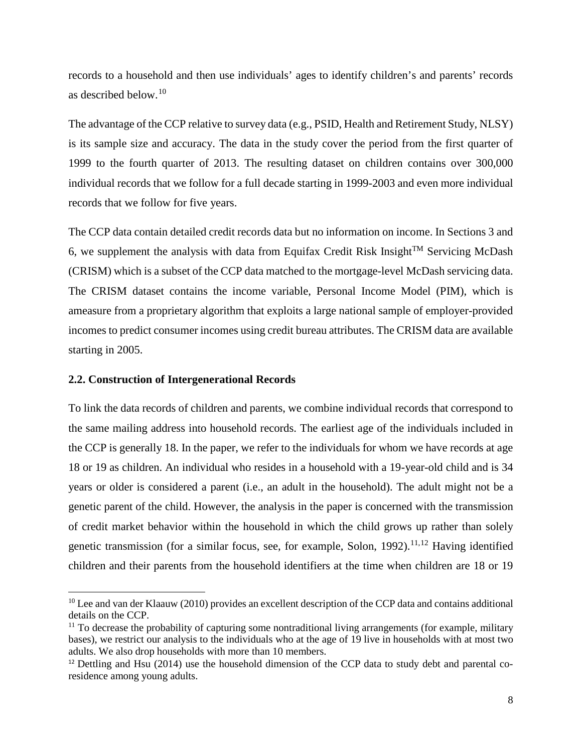records to a household and then use individuals' ages to identify children's and parents' records as described below. [10](#page-8-0)

The advantage of the CCP relative to survey data (e.g., PSID, Health and Retirement Study, NLSY) is its sample size and accuracy. The data in the study cover the period from the first quarter of 1999 to the fourth quarter of 2013. The resulting dataset on children contains over 300,000 individual records that we follow for a full decade starting in 1999-2003 and even more individual records that we follow for five years.

The CCP data contain detailed credit records data but no information on income. In Sections 3 and 6, we supplement the analysis with data from Equifax Credit Risk Insight<sup>TM</sup> Servicing McDash (CRISM) which is a subset of the CCP data matched to the mortgage-level McDash servicing data. The CRISM dataset contains the income variable, Personal Income Model (PIM), which is ameasure from a proprietary algorithm that exploits a large national sample of employer-provided incomes to predict consumer incomes using credit bureau attributes. The CRISM data are available starting in 2005.

#### **2.2. Construction of Intergenerational Records**

l

To link the data records of children and parents, we combine individual records that correspond to the same mailing address into household records. The earliest age of the individuals included in the CCP is generally 18. In the paper, we refer to the individuals for whom we have records at age 18 or 19 as children. An individual who resides in a household with a 19-year-old child and is 34 years or older is considered a parent (i.e., an adult in the household). The adult might not be a genetic parent of the child. However, the analysis in the paper is concerned with the transmission of credit market behavior within the household in which the child grows up rather than solely genetic transmission (for a similar focus, see, for example, Solon, 1992).<sup>[11](#page-8-1),[12](#page-8-2)</sup> Having identified children and their parents from the household identifiers at the time when children are 18 or 19

<span id="page-8-0"></span><sup>&</sup>lt;sup>10</sup> Lee and van der Klaauw (2010) provides an excellent description of the CCP data and contains additional details on the CCP.

<span id="page-8-1"></span> $11$  To decrease the probability of capturing some nontraditional living arrangements (for example, military bases), we restrict our analysis to the individuals who at the age of 19 live in households with at most two adults. We also drop households with more than 10 members.

<span id="page-8-2"></span><sup>&</sup>lt;sup>12</sup> Dettling and Hsu (2014) use the household dimension of the CCP data to study debt and parental coresidence among young adults.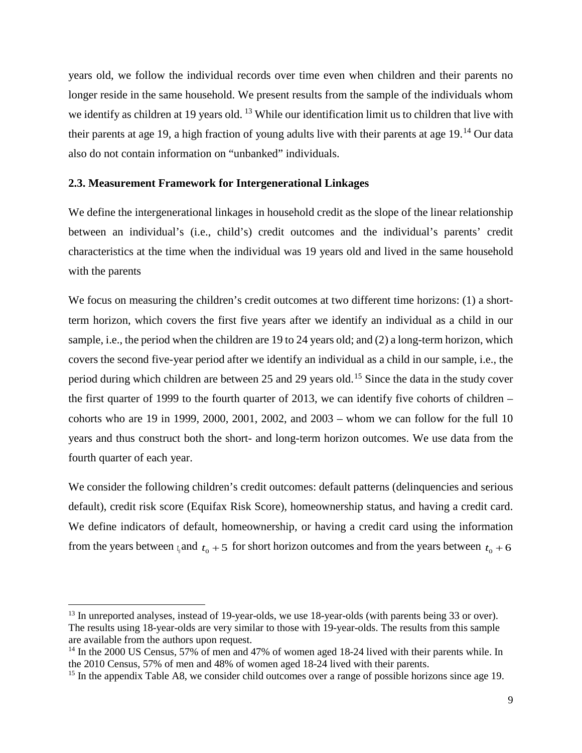years old, we follow the individual records over time even when children and their parents no longer reside in the same household. We present results from the sample of the individuals whom we identify as children at 19 years old. <sup>[13](#page-9-0)</sup> While our identification limit us to children that live with their parents at age 19, a high fraction of young adults live with their parents at age 19.<sup>[14](#page-9-1)</sup> Our data also do not contain information on "unbanked" individuals.

#### **2.3. Measurement Framework for Intergenerational Linkages**

We define the intergenerational linkages in household credit as the slope of the linear relationship between an individual's (i.e., child's) credit outcomes and the individual's parents' credit characteristics at the time when the individual was 19 years old and lived in the same household with the parents

We focus on measuring the children's credit outcomes at two different time horizons: (1) a shortterm horizon, which covers the first five years after we identify an individual as a child in our sample, i.e., the period when the children are 19 to 24 years old; and (2) a long-term horizon, which covers the second five-year period after we identify an individual as a child in our sample, i.e., the period during which children are between 25 and 29 years old.<sup>[15](#page-9-2)</sup> Since the data in the study cover the first quarter of 1999 to the fourth quarter of 2013, we can identify five cohorts of children – cohorts who are 19 in 1999, 2000, 2001, 2002, and 2003 – whom we can follow for the full 10 years and thus construct both the short- and long-term horizon outcomes. We use data from the fourth quarter of each year.

We consider the following children's credit outcomes: default patterns (delinquencies and serious default), credit risk score (Equifax Risk Score), homeownership status, and having a credit card. We define indicators of default, homeownership, or having a credit card using the information from the years between  $t_0$  and  $t_0 + 5$  for short horizon outcomes and from the years between  $t_0 + 6$ 

 $\overline{a}$ 

<span id="page-9-0"></span><sup>&</sup>lt;sup>13</sup> In unreported analyses, instead of 19-year-olds, we use 18-year-olds (with parents being 33 or over). The results using 18-year-olds are very similar to those with 19-year-olds. The results from this sample are available from the authors upon request.

<span id="page-9-1"></span><sup>&</sup>lt;sup>14</sup> In the 2000 US Census, 57% of men and 47% of women aged 18-24 lived with their parents while. In the 2010 Census, 57% of men and 48% of women aged 18-24 lived with their parents.

<span id="page-9-2"></span><sup>&</sup>lt;sup>15</sup> In the appendix Table A8, we consider child outcomes over a range of possible horizons since age 19.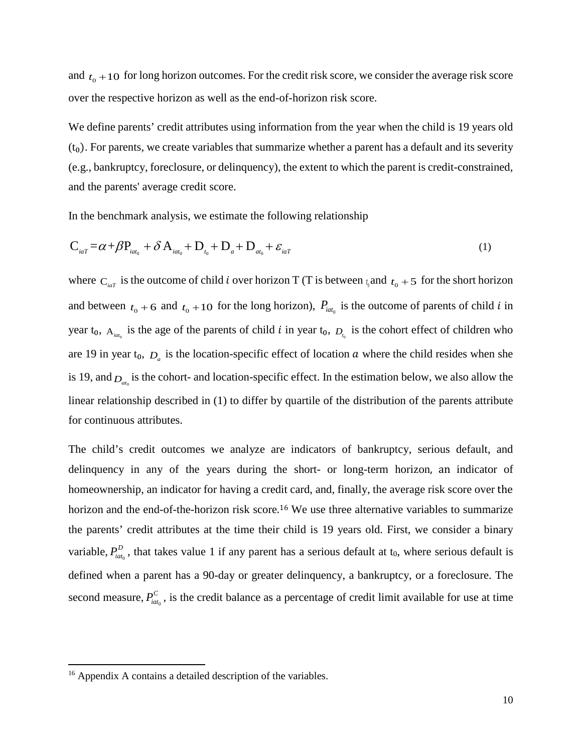and  $t_0 + 10$  for long horizon outcomes. For the credit risk score, we consider the average risk score over the respective horizon as well as the end-of-horizon risk score.

We define parents' credit attributes using information from the year when the child is 19 years old  $(t_0)$ . For parents, we create variables that summarize whether a parent has a default and its severity (e.g., bankruptcy, foreclosure, or delinquency), the extent to which the parent is credit-constrained, and the parents' average credit score.

In the benchmark analysis, we estimate the following relationship

$$
\mathbf{C}_{_{iaT}} = \alpha + \beta \mathbf{P}_{_{iat_0}} + \delta \mathbf{A}_{_{iat_0}} + \mathbf{D}_{_{t_0}} + \mathbf{D}_{_{a^+}} + \mathbf{D}_{_{at_0}} + \varepsilon_{_{iaT}}
$$
\n<sup>(1)</sup>

where  $C_{i\alpha T}$  is the outcome of child *i* over horizon T (T is between  $t_0$  and  $t_0 + 5$  for the short horizon and between  $t_0 + 6$  and  $t_0 + 10$  for the long horizon),  $P_{\text{int}_0}$  is the outcome of parents of child *i* in year  $t_0$ ,  $A_{ia t_0}$  is the age of the parents of child *i* in year  $t_0$ ,  $D_{t_0}$  is the cohort effect of children who are 19 in year  $t_0$ ,  $D_a$  is the location-specific effect of location  $a$  where the child resides when she is 19, and  $D_{a t_0}$  is the cohort- and location-specific effect. In the estimation below, we also allow the linear relationship described in (1) to differ by quartile of the distribution of the parents attribute for continuous attributes.

The child's credit outcomes we analyze are indicators of bankruptcy, serious default, and delinquency in any of the years during the short- or long-term horizon, an indicator of homeownership, an indicator for having a credit card, and, finally, the average risk score over the horizon and the end-of-the-horizon risk score.<sup>[16](#page-10-0)</sup> We use three alternative variables to summarize the parents' credit attributes at the time their child is 19 years old. First, we consider a binary variable,  $P_{\text{iat}_0}^D$ , that takes value 1 if any parent has a serious default at t<sub>0</sub>, where serious default is defined when a parent has a 90-day or greater delinquency, a bankruptcy, or a foreclosure. The second measure,  $P_{\text{iat}_0}^C$ , is the credit balance as a percentage of credit limit available for use at time

 $\overline{\phantom{a}}$ 

<span id="page-10-0"></span><sup>&</sup>lt;sup>16</sup> Appendix A contains a detailed description of the variables.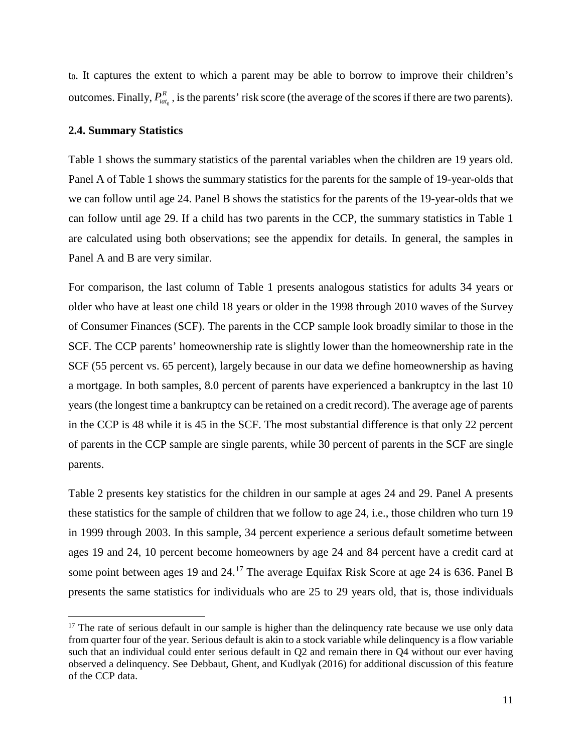t<sub>0</sub>. It captures the extent to which a parent may be able to borrow to improve their children's outcomes. Finally,  $P_{\text{iat}_0}^R$ , is the parents' risk score (the average of the scores if there are two parents).

#### **2.4. Summary Statistics**

 $\overline{\phantom{a}}$ 

Table 1 shows the summary statistics of the parental variables when the children are 19 years old. Panel A of Table 1 shows the summary statistics for the parents for the sample of 19-year-olds that we can follow until age 24. Panel B shows the statistics for the parents of the 19-year-olds that we can follow until age 29. If a child has two parents in the CCP, the summary statistics in Table 1 are calculated using both observations; see the appendix for details. In general, the samples in Panel A and B are very similar.

For comparison, the last column of Table 1 presents analogous statistics for adults 34 years or older who have at least one child 18 years or older in the 1998 through 2010 waves of the Survey of Consumer Finances (SCF). The parents in the CCP sample look broadly similar to those in the SCF. The CCP parents' homeownership rate is slightly lower than the homeownership rate in the SCF (55 percent vs. 65 percent), largely because in our data we define homeownership as having a mortgage. In both samples, 8.0 percent of parents have experienced a bankruptcy in the last 10 years (the longest time a bankruptcy can be retained on a credit record). The average age of parents in the CCP is 48 while it is 45 in the SCF. The most substantial difference is that only 22 percent of parents in the CCP sample are single parents, while 30 percent of parents in the SCF are single parents.

Table 2 presents key statistics for the children in our sample at ages 24 and 29. Panel A presents these statistics for the sample of children that we follow to age 24, i.e., those children who turn 19 in 1999 through 2003. In this sample, 34 percent experience a serious default sometime between ages 19 and 24, 10 percent become homeowners by age 24 and 84 percent have a credit card at some point between ages 19 and 24.<sup>[17](#page-11-0)</sup> The average Equifax Risk Score at age 24 is 636. Panel B presents the same statistics for individuals who are 25 to 29 years old, that is, those individuals

<span id="page-11-0"></span> $17$  The rate of serious default in our sample is higher than the delinquency rate because we use only data from quarter four of the year. Serious default is akin to a stock variable while delinquency is a flow variable such that an individual could enter serious default in Q2 and remain there in Q4 without our ever having observed a delinquency. See Debbaut, Ghent, and Kudlyak (2016) for additional discussion of this feature of the CCP data.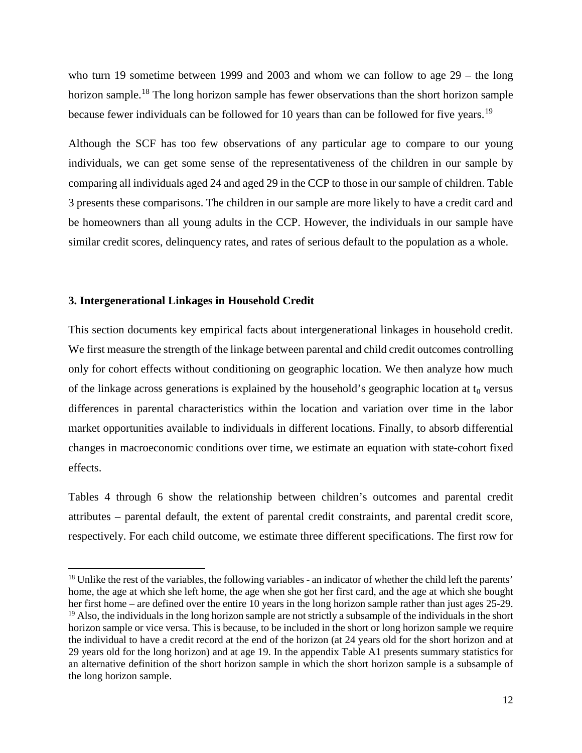who turn 19 sometime between 1999 and 2003 and whom we can follow to age 29 – the long horizon sample.<sup>[18](#page-12-0)</sup> The long horizon sample has fewer observations than the short horizon sample because fewer individuals can be followed for 10 years than can be followed for five years.<sup>[19](#page-12-1)</sup>

Although the SCF has too few observations of any particular age to compare to our young individuals, we can get some sense of the representativeness of the children in our sample by comparing all individuals aged 24 and aged 29 in the CCP to those in our sample of children. Table 3 presents these comparisons. The children in our sample are more likely to have a credit card and be homeowners than all young adults in the CCP. However, the individuals in our sample have similar credit scores, delinquency rates, and rates of serious default to the population as a whole.

#### **3. Intergenerational Linkages in Household Credit**

 $\overline{a}$ 

This section documents key empirical facts about intergenerational linkages in household credit. We first measure the strength of the linkage between parental and child credit outcomes controlling only for cohort effects without conditioning on geographic location. We then analyze how much of the linkage across generations is explained by the household's geographic location at  $t_0$  versus differences in parental characteristics within the location and variation over time in the labor market opportunities available to individuals in different locations. Finally, to absorb differential changes in macroeconomic conditions over time, we estimate an equation with state-cohort fixed effects.

Tables 4 through 6 show the relationship between children's outcomes and parental credit attributes – parental default, the extent of parental credit constraints, and parental credit score, respectively. For each child outcome, we estimate three different specifications. The first row for

<span id="page-12-1"></span><span id="page-12-0"></span><sup>&</sup>lt;sup>18</sup> Unlike the rest of the variables, the following variables - an indicator of whether the child left the parents' home, the age at which she left home, the age when she got her first card, and the age at which she bought her first home – are defined over the entire 10 years in the long horizon sample rather than just ages 25-29.  $19$  Also, the individuals in the long horizon sample are not strictly a subsample of the individuals in the short horizon sample or vice versa. This is because, to be included in the short or long horizon sample we require the individual to have a credit record at the end of the horizon (at 24 years old for the short horizon and at 29 years old for the long horizon) and at age 19. In the appendix Table A1 presents summary statistics for an alternative definition of the short horizon sample in which the short horizon sample is a subsample of the long horizon sample.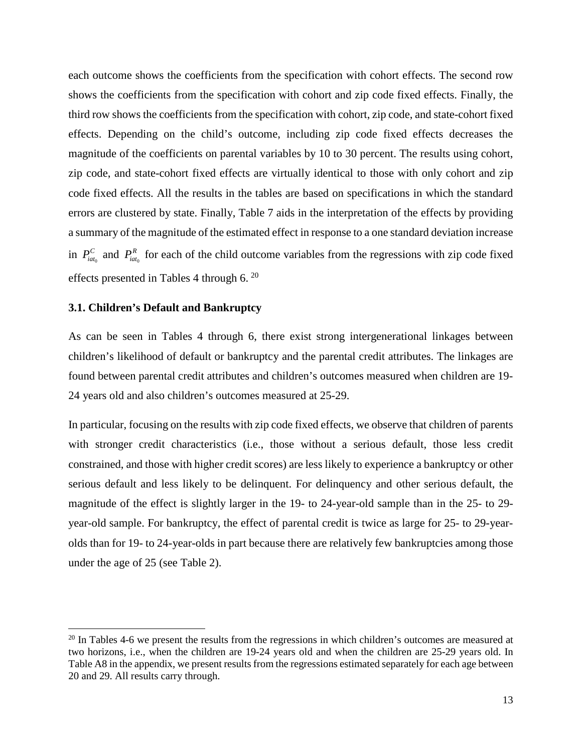each outcome shows the coefficients from the specification with cohort effects. The second row shows the coefficients from the specification with cohort and zip code fixed effects. Finally, the third row shows the coefficients from the specification with cohort, zip code, and state-cohort fixed effects. Depending on the child's outcome, including zip code fixed effects decreases the magnitude of the coefficients on parental variables by 10 to 30 percent. The results using cohort, zip code, and state-cohort fixed effects are virtually identical to those with only cohort and zip code fixed effects. All the results in the tables are based on specifications in which the standard errors are clustered by state. Finally, Table 7 aids in the interpretation of the effects by providing a summary of the magnitude of the estimated effect in response to a one standard deviation increase in  $P_{\text{int}_0}^c$  and  $P_{\text{int}_0}^R$  for each of the child outcome variables from the regressions with zip code fixed effects presented in Tables 4 through  $6.20$  $6.20$ 

#### **3.1. Children's Default and Bankruptcy**

l

As can be seen in Tables 4 through 6, there exist strong intergenerational linkages between children's likelihood of default or bankruptcy and the parental credit attributes. The linkages are found between parental credit attributes and children's outcomes measured when children are 19- 24 years old and also children's outcomes measured at 25-29.

In particular, focusing on the results with zip code fixed effects, we observe that children of parents with stronger credit characteristics (i.e., those without a serious default, those less credit constrained, and those with higher credit scores) are less likely to experience a bankruptcy or other serious default and less likely to be delinquent. For delinquency and other serious default, the magnitude of the effect is slightly larger in the 19- to 24-year-old sample than in the 25- to 29 year-old sample. For bankruptcy, the effect of parental credit is twice as large for 25- to 29-yearolds than for 19- to 24-year-olds in part because there are relatively few bankruptcies among those under the age of 25 (see Table 2).

<span id="page-13-0"></span> $20$  In Tables 4-6 we present the results from the regressions in which children's outcomes are measured at two horizons, i.e., when the children are 19-24 years old and when the children are 25-29 years old. In Table A8 in the appendix, we present results from the regressions estimated separately for each age between 20 and 29. All results carry through.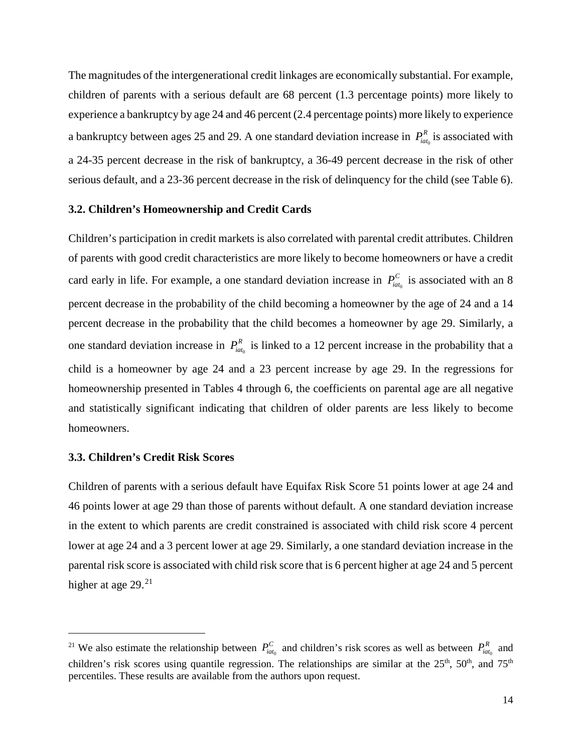The magnitudes of the intergenerational credit linkages are economically substantial. For example, children of parents with a serious default are 68 percent (1.3 percentage points) more likely to experience a bankruptcy by age 24 and 46 percent (2.4 percentage points) more likely to experience a bankruptcy between ages 25 and 29. A one standard deviation increase in  $P_{iat_0}^R$  is associated with a 24-35 percent decrease in the risk of bankruptcy, a 36-49 percent decrease in the risk of other serious default, and a 23-36 percent decrease in the risk of delinquency for the child (see Table 6).

#### **3.2. Children's Homeownership and Credit Cards**

Children's participation in credit markets is also correlated with parental credit attributes. Children of parents with good credit characteristics are more likely to become homeowners or have a credit card early in life. For example, a one standard deviation increase in  $P_{\text{int}_0}^C$  is associated with an 8 percent decrease in the probability of the child becoming a homeowner by the age of 24 and a 14 percent decrease in the probability that the child becomes a homeowner by age 29. Similarly, a one standard deviation increase in  $P_{\text{int}_0}^R$  is linked to a 12 percent increase in the probability that a child is a homeowner by age 24 and a 23 percent increase by age 29. In the regressions for homeownership presented in Tables 4 through 6, the coefficients on parental age are all negative and statistically significant indicating that children of older parents are less likely to become homeowners.

#### **3.3. Children's Credit Risk Scores**

l

Children of parents with a serious default have Equifax Risk Score 51 points lower at age 24 and 46 points lower at age 29 than those of parents without default. A one standard deviation increase in the extent to which parents are credit constrained is associated with child risk score 4 percent lower at age 24 and a 3 percent lower at age 29. Similarly, a one standard deviation increase in the parental risk score is associated with child risk score that is 6 percent higher at age 24 and 5 percent higher at age 29.<sup>[21](#page-14-0)</sup>

<span id="page-14-0"></span><sup>&</sup>lt;sup>21</sup> We also estimate the relationship between  $P_{iat_0}^C$  and children's risk scores as well as between  $P_{iat_0}^R$  and children's risk scores using quantile regression. The relationships are similar at the  $25<sup>th</sup>$ ,  $50<sup>th</sup>$ , and  $75<sup>th</sup>$ percentiles. These results are available from the authors upon request.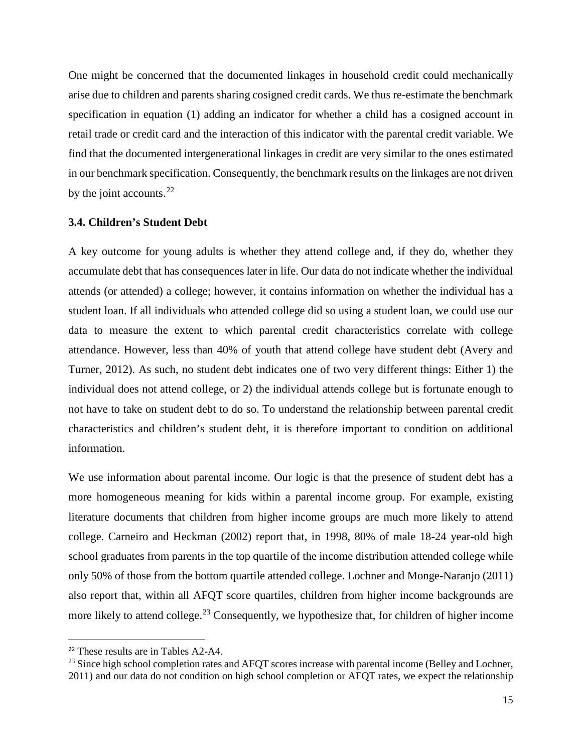One might be concerned that the documented linkages in household credit could mechanically arise due to children and parents sharing cosigned credit cards. We thus re-estimate the benchmark specification in equation (1) adding an indicator for whether a child has a cosigned account in retail trade or credit card and the interaction of this indicator with the parental credit variable. We find that the documented intergenerational linkages in credit are very similar to the ones estimated in our benchmark specification. Consequently, the benchmark results on the linkages are not driven by the joint accounts. $^{22}$  $^{22}$  $^{22}$ 

#### **3.4. Children's Student Debt**

A key outcome for young adults is whether they attend college and, if they do, whether they accumulate debt that has consequences later in life. Our data do not indicate whether the individual attends (or attended) a college; however, it contains information on whether the individual has a student loan. If all individuals who attended college did so using a student loan, we could use our data to measure the extent to which parental credit characteristics correlate with college attendance. However, less than 40% of youth that attend college have student debt (Avery and Turner, 2012). As such, no student debt indicates one of two very different things: Either 1) the individual does not attend college, or 2) the individual attends college but is fortunate enough to not have to take on student debt to do so. To understand the relationship between parental credit characteristics and children's student debt, it is therefore important to condition on additional information.

We use information about parental income. Our logic is that the presence of student debt has a more homogeneous meaning for kids within a parental income group. For example, existing literature documents that children from higher income groups are much more likely to attend college. Carneiro and Heckman (2002) report that, in 1998, 80% of male 18-24 year-old high school graduates from parents in the top quartile of the income distribution attended college while only 50% of those from the bottom quartile attended college. Lochner and Monge-Naranjo (2011) also report that, within all AFQT score quartiles, children from higher income backgrounds are more likely to attend college.<sup>[23](#page-15-1)</sup> Consequently, we hypothesize that, for children of higher income

<span id="page-15-0"></span><sup>&</sup>lt;sup>22</sup> These results are in Tables A2-A4.

<span id="page-15-1"></span><sup>&</sup>lt;sup>23</sup> Since high school completion rates and AFQT scores increase with parental income (Belley and Lochner, 2011) and our data do not condition on high school completion or AFQT rates, we expect the relationship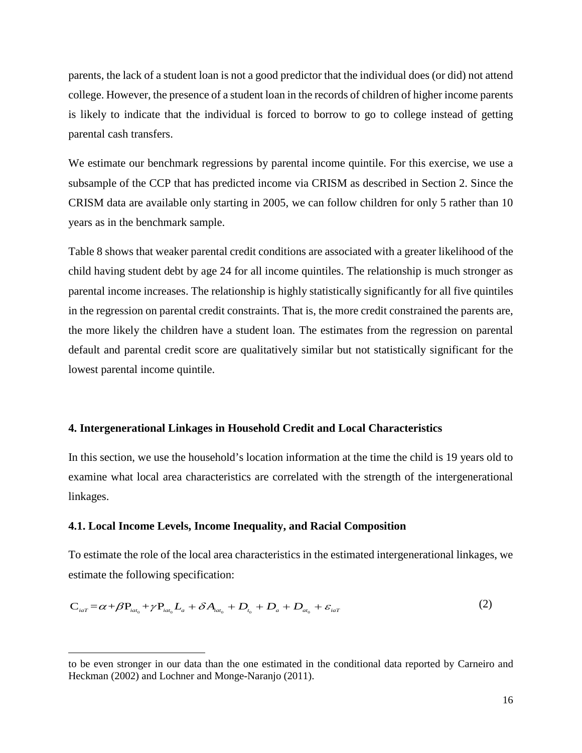parents, the lack of a student loan is not a good predictor that the individual does (or did) not attend college. However, the presence of a student loan in the records of children of higher income parents is likely to indicate that the individual is forced to borrow to go to college instead of getting parental cash transfers.

We estimate our benchmark regressions by parental income quintile. For this exercise, we use a subsample of the CCP that has predicted income via CRISM as described in Section 2. Since the CRISM data are available only starting in 2005, we can follow children for only 5 rather than 10 years as in the benchmark sample.

Table 8 shows that weaker parental credit conditions are associated with a greater likelihood of the child having student debt by age 24 for all income quintiles. The relationship is much stronger as parental income increases. The relationship is highly statistically significantly for all five quintiles in the regression on parental credit constraints. That is, the more credit constrained the parents are, the more likely the children have a student loan. The estimates from the regression on parental default and parental credit score are qualitatively similar but not statistically significant for the lowest parental income quintile.

#### **4. Intergenerational Linkages in Household Credit and Local Characteristics**

In this section, we use the household's location information at the time the child is 19 years old to examine what local area characteristics are correlated with the strength of the intergenerational linkages.

#### **4.1. Local Income Levels, Income Inequality, and Racial Composition**

 $\overline{a}$ 

To estimate the role of the local area characteristics in the estimated intergenerational linkages, we estimate the following specification:

$$
C_{_{iaT}} = \alpha + \beta P_{_{iat_0}} + \gamma P_{_{iat_0}} L_a + \delta A_{_{iat_0}} + D_{_{t_0}} + D_{_{a}} + D_{_{at_0}} + \varepsilon_{_{iaT}}
$$
 (2)

to be even stronger in our data than the one estimated in the conditional data reported by Carneiro and Heckman (2002) and Lochner and Monge-Naranjo (2011).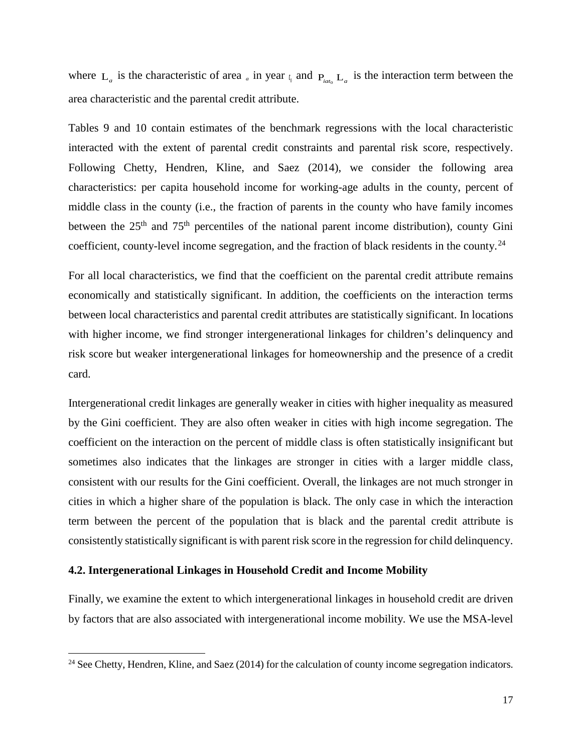where  $L_a$  is the characteristic of area <sub>*a*</sub> in year  $t_a$  and  $P_{iab}$   $L_a$  is the interaction term between the area characteristic and the parental credit attribute.

Tables 9 and 10 contain estimates of the benchmark regressions with the local characteristic interacted with the extent of parental credit constraints and parental risk score, respectively. Following Chetty, Hendren, Kline, and Saez (2014), we consider the following area characteristics: per capita household income for working-age adults in the county, percent of middle class in the county (i.e., the fraction of parents in the county who have family incomes between the 25<sup>th</sup> and 75<sup>th</sup> percentiles of the national parent income distribution), county Gini coefficient, county-level income segregation, and the fraction of black residents in the county.<sup>[24](#page-17-0)</sup>

For all local characteristics, we find that the coefficient on the parental credit attribute remains economically and statistically significant. In addition, the coefficients on the interaction terms between local characteristics and parental credit attributes are statistically significant. In locations with higher income, we find stronger intergenerational linkages for children's delinquency and risk score but weaker intergenerational linkages for homeownership and the presence of a credit card.

Intergenerational credit linkages are generally weaker in cities with higher inequality as measured by the Gini coefficient. They are also often weaker in cities with high income segregation. The coefficient on the interaction on the percent of middle class is often statistically insignificant but sometimes also indicates that the linkages are stronger in cities with a larger middle class, consistent with our results for the Gini coefficient. Overall, the linkages are not much stronger in cities in which a higher share of the population is black. The only case in which the interaction term between the percent of the population that is black and the parental credit attribute is consistently statistically significant is with parent risk score in the regression for child delinquency.

#### **4.2. Intergenerational Linkages in Household Credit and Income Mobility**

 $\overline{a}$ 

Finally, we examine the extent to which intergenerational linkages in household credit are driven by factors that are also associated with intergenerational income mobility. We use the MSA-level

<span id="page-17-0"></span><sup>&</sup>lt;sup>24</sup> See Chetty, Hendren, Kline, and Saez (2014) for the calculation of county income segregation indicators.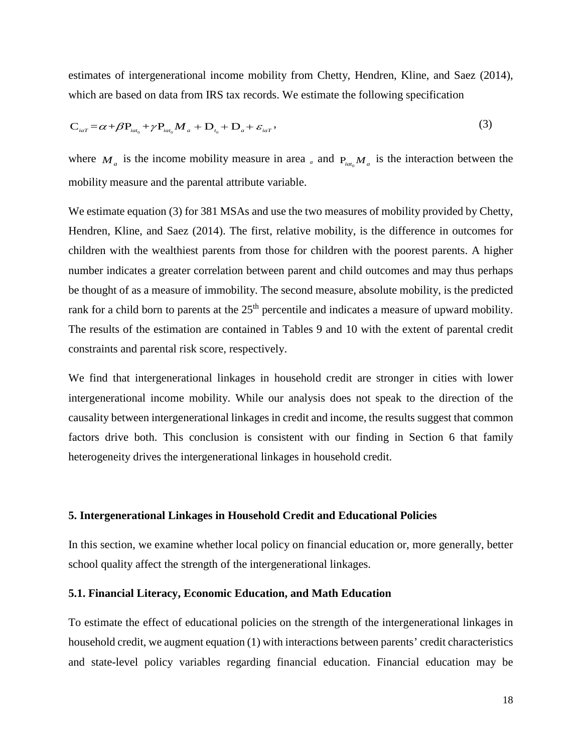estimates of intergenerational income mobility from Chetty, Hendren, Kline, and Saez (2014), which are based on data from IRS tax records. We estimate the following specification

$$
\mathbf{C}_{_{iaT}} = \alpha + \beta \mathbf{P}_{_{iat_0}} + \gamma \mathbf{P}_{_{iat_0}} \mathbf{M}_a + \mathbf{D}_{_{t_0}} + \mathbf{D}_{_{a}} + \varepsilon_{_{iaT}} \,,\tag{3}
$$

where  $M_a$  is the income mobility measure in area  $_a$  and  $P_{iab}M_a$  is the interaction between the mobility measure and the parental attribute variable.

We estimate equation (3) for 381 MSAs and use the two measures of mobility provided by Chetty, Hendren, Kline, and Saez (2014). The first, relative mobility, is the difference in outcomes for children with the wealthiest parents from those for children with the poorest parents. A higher number indicates a greater correlation between parent and child outcomes and may thus perhaps be thought of as a measure of immobility. The second measure, absolute mobility, is the predicted rank for a child born to parents at the 25<sup>th</sup> percentile and indicates a measure of upward mobility. The results of the estimation are contained in Tables 9 and 10 with the extent of parental credit constraints and parental risk score, respectively.

We find that intergenerational linkages in household credit are stronger in cities with lower intergenerational income mobility. While our analysis does not speak to the direction of the causality between intergenerational linkages in credit and income, the results suggest that common factors drive both. This conclusion is consistent with our finding in Section 6 that family heterogeneity drives the intergenerational linkages in household credit.

#### **5. Intergenerational Linkages in Household Credit and Educational Policies**

In this section, we examine whether local policy on financial education or, more generally, better school quality affect the strength of the intergenerational linkages.

#### **5.1. Financial Literacy, Economic Education, and Math Education**

To estimate the effect of educational policies on the strength of the intergenerational linkages in household credit, we augment equation (1) with interactions between parents' credit characteristics and state-level policy variables regarding financial education. Financial education may be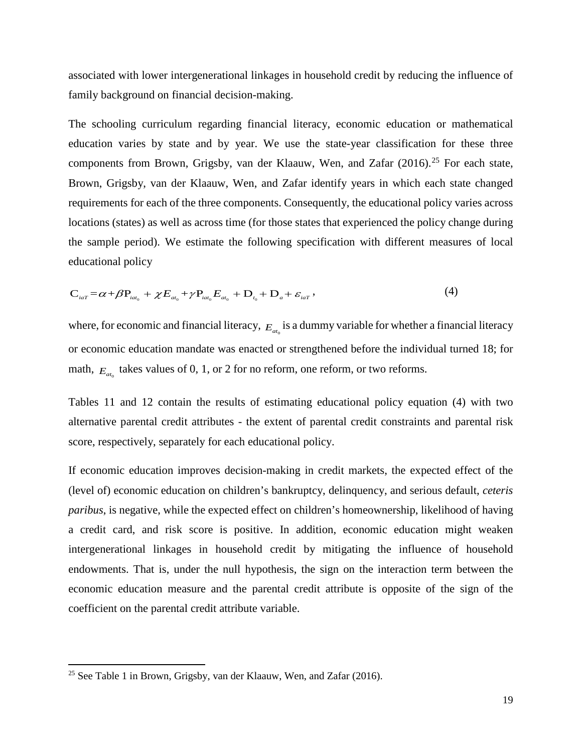associated with lower intergenerational linkages in household credit by reducing the influence of family background on financial decision-making.

The schooling curriculum regarding financial literacy, economic education or mathematical education varies by state and by year. We use the state-year classification for these three components from Brown, Grigsby, van der Klaauw, Wen, and Zafar (2016).<sup>[25](#page-19-0)</sup> For each state, Brown, Grigsby, van der Klaauw, Wen, and Zafar identify years in which each state changed requirements for each of the three components. Consequently, the educational policy varies across locations (states) as well as across time (for those states that experienced the policy change during the sample period). We estimate the following specification with different measures of local educational policy

$$
C_{_{iaT}} = \alpha + \beta P_{_{iat_0}} + \chi E_{_{at_0}} + \gamma P_{_{iat_0}} E_{_{at_0}} + D_{_{t_0}} + D_{_{a}} + \varepsilon_{_{iaT}} , \qquad (4)
$$

where, for economic and financial literacy,  $E_{a}$  is a dummy variable for whether a financial literacy or economic education mandate was enacted or strengthened before the individual turned 18; for math,  $E_{at}$  takes values of 0, 1, or 2 for no reform, one reform, or two reforms.

Tables 11 and 12 contain the results of estimating educational policy equation (4) with two alternative parental credit attributes - the extent of parental credit constraints and parental risk score, respectively, separately for each educational policy.

If economic education improves decision-making in credit markets, the expected effect of the (level of) economic education on children's bankruptcy, delinquency, and serious default, *ceteris paribus*, is negative, while the expected effect on children's homeownership, likelihood of having a credit card, and risk score is positive. In addition, economic education might weaken intergenerational linkages in household credit by mitigating the influence of household endowments. That is, under the null hypothesis, the sign on the interaction term between the economic education measure and the parental credit attribute is opposite of the sign of the coefficient on the parental credit attribute variable.

 $\overline{\phantom{a}}$ 

<span id="page-19-0"></span><sup>&</sup>lt;sup>25</sup> See Table 1 in Brown, Grigsby, van der Klaauw, Wen, and Zafar (2016).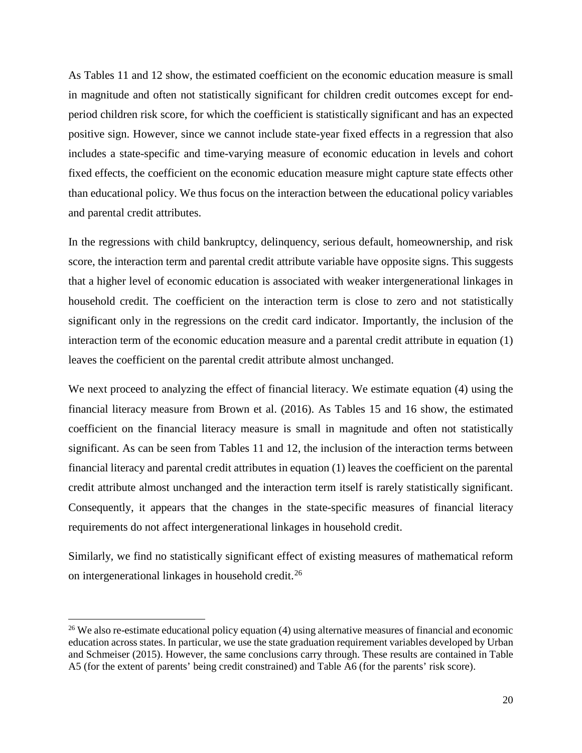As Tables 11 and 12 show, the estimated coefficient on the economic education measure is small in magnitude and often not statistically significant for children credit outcomes except for endperiod children risk score, for which the coefficient is statistically significant and has an expected positive sign. However, since we cannot include state-year fixed effects in a regression that also includes a state-specific and time-varying measure of economic education in levels and cohort fixed effects, the coefficient on the economic education measure might capture state effects other than educational policy. We thus focus on the interaction between the educational policy variables and parental credit attributes.

In the regressions with child bankruptcy, delinquency, serious default, homeownership, and risk score, the interaction term and parental credit attribute variable have opposite signs. This suggests that a higher level of economic education is associated with weaker intergenerational linkages in household credit. The coefficient on the interaction term is close to zero and not statistically significant only in the regressions on the credit card indicator. Importantly, the inclusion of the interaction term of the economic education measure and a parental credit attribute in equation (1) leaves the coefficient on the parental credit attribute almost unchanged.

We next proceed to analyzing the effect of financial literacy. We estimate equation (4) using the financial literacy measure from Brown et al. (2016). As Tables 15 and 16 show, the estimated coefficient on the financial literacy measure is small in magnitude and often not statistically significant. As can be seen from Tables 11 and 12, the inclusion of the interaction terms between financial literacy and parental credit attributes in equation (1) leaves the coefficient on the parental credit attribute almost unchanged and the interaction term itself is rarely statistically significant. Consequently, it appears that the changes in the state-specific measures of financial literacy requirements do not affect intergenerational linkages in household credit.

Similarly, we find no statistically significant effect of existing measures of mathematical reform on intergenerational linkages in household credit.[26](#page-20-0)

 $\overline{\phantom{a}}$ 

<span id="page-20-0"></span><sup>&</sup>lt;sup>26</sup> We also re-estimate educational policy equation (4) using alternative measures of financial and economic education across states. In particular, we use the state graduation requirement variables developed by Urban and Schmeiser (2015). However, the same conclusions carry through. These results are contained in Table A5 (for the extent of parents' being credit constrained) and Table A6 (for the parents' risk score).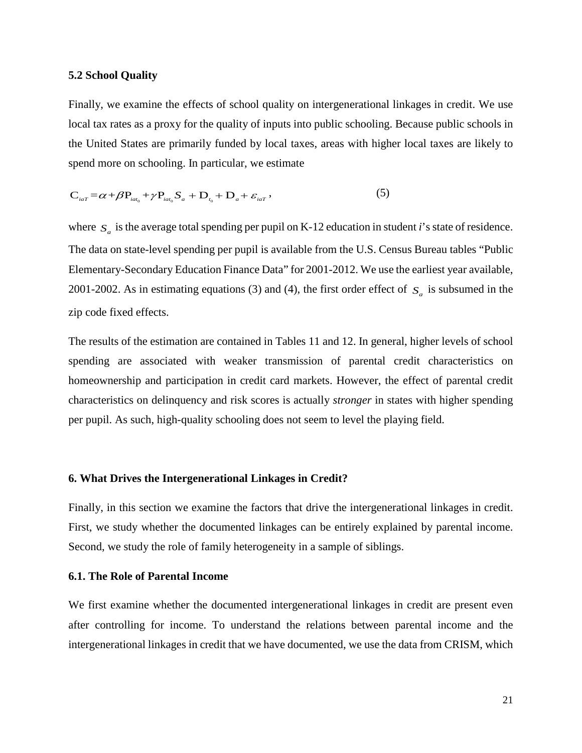#### **5.2 School Quality**

Finally, we examine the effects of school quality on intergenerational linkages in credit. We use local tax rates as a proxy for the quality of inputs into public schooling. Because public schools in the United States are primarily funded by local taxes, areas with higher local taxes are likely to spend more on schooling. In particular, we estimate

$$
\mathbf{C}_{_{iaT}} = \alpha + \beta \mathbf{P}_{_{iat_0}} + \gamma \mathbf{P}_{_{iat_0}} \mathbf{S}_a + \mathbf{D}_{_{t_0}} + \mathbf{D}_{_{a}} + \varepsilon_{_{iaT}} \,, \tag{5}
$$

where  $S_a$  is the average total spending per pupil on K-12 education in student *i*'s state of residence. The data on state-level spending per pupil is available from the U.S. Census Bureau tables "Public Elementary-Secondary Education Finance Data" for 2001-2012. We use the earliest year available, 2001-2002. As in estimating equations (3) and (4), the first order effect of  $S_a$  is subsumed in the zip code fixed effects.

The results of the estimation are contained in Tables 11 and 12. In general, higher levels of school spending are associated with weaker transmission of parental credit characteristics on homeownership and participation in credit card markets. However, the effect of parental credit characteristics on delinquency and risk scores is actually *stronger* in states with higher spending per pupil. As such, high-quality schooling does not seem to level the playing field.

#### **6. What Drives the Intergenerational Linkages in Credit?**

Finally, in this section we examine the factors that drive the intergenerational linkages in credit. First, we study whether the documented linkages can be entirely explained by parental income. Second, we study the role of family heterogeneity in a sample of siblings.

#### **6.1. The Role of Parental Income**

We first examine whether the documented intergenerational linkages in credit are present even after controlling for income. To understand the relations between parental income and the intergenerational linkages in credit that we have documented, we use the data from CRISM, which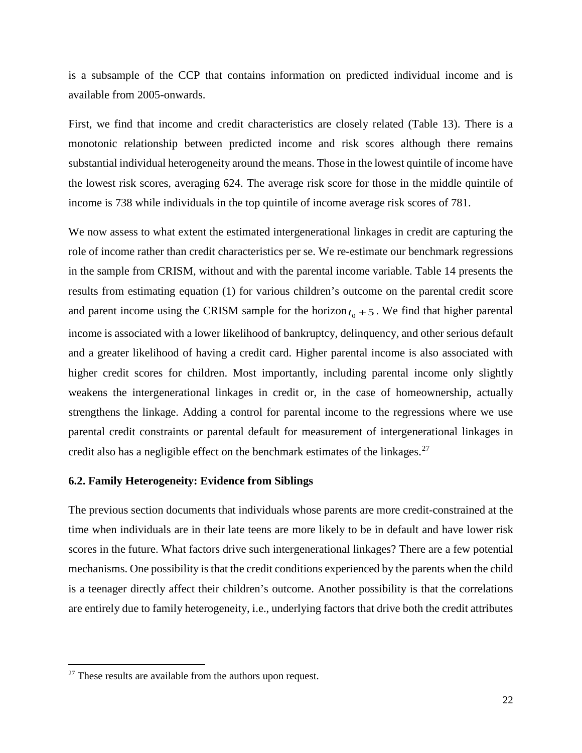is a subsample of the CCP that contains information on predicted individual income and is available from 2005-onwards.

First, we find that income and credit characteristics are closely related (Table 13). There is a monotonic relationship between predicted income and risk scores although there remains substantial individual heterogeneity around the means. Those in the lowest quintile of income have the lowest risk scores, averaging 624. The average risk score for those in the middle quintile of income is 738 while individuals in the top quintile of income average risk scores of 781.

We now assess to what extent the estimated intergenerational linkages in credit are capturing the role of income rather than credit characteristics per se. We re-estimate our benchmark regressions in the sample from CRISM, without and with the parental income variable. Table 14 presents the results from estimating equation (1) for various children's outcome on the parental credit score and parent income using the CRISM sample for the horizon  $t_0 + 5$ . We find that higher parental income is associated with a lower likelihood of bankruptcy, delinquency, and other serious default and a greater likelihood of having a credit card. Higher parental income is also associated with higher credit scores for children. Most importantly, including parental income only slightly weakens the intergenerational linkages in credit or, in the case of homeownership, actually strengthens the linkage. Adding a control for parental income to the regressions where we use parental credit constraints or parental default for measurement of intergenerational linkages in credit also has a negligible effect on the benchmark estimates of the linkages.<sup>[27](#page-22-0)</sup>

### **6.2. Family Heterogeneity: Evidence from Siblings**

The previous section documents that individuals whose parents are more credit-constrained at the time when individuals are in their late teens are more likely to be in default and have lower risk scores in the future. What factors drive such intergenerational linkages? There are a few potential mechanisms. One possibility is that the credit conditions experienced by the parents when the child is a teenager directly affect their children's outcome. Another possibility is that the correlations are entirely due to family heterogeneity, i.e., underlying factors that drive both the credit attributes

 $\overline{\phantom{a}}$ 

<span id="page-22-0"></span> $27$  These results are available from the authors upon request.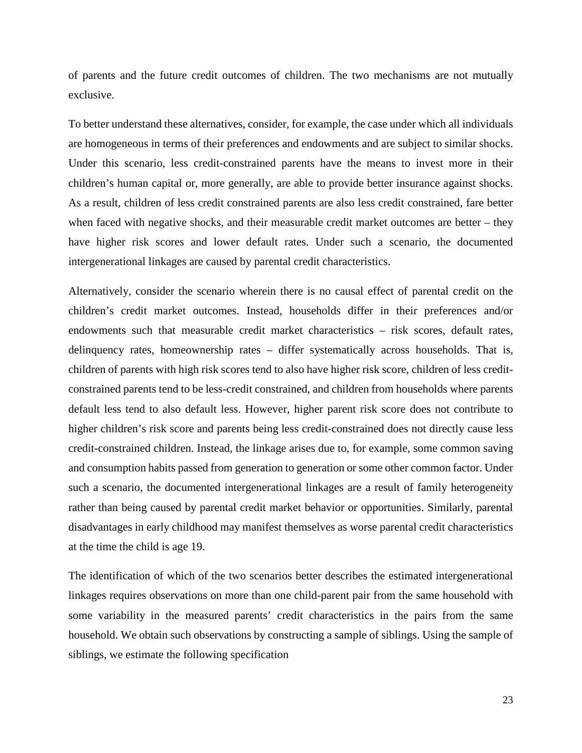of parents and the future credit outcomes of children. The two mechanisms are not mutually exclusive.

To better understand these alternatives, consider, for example, the case under which all individuals are homogeneous in terms of their preferences and endowments and are subject to similar shocks. Under this scenario, less credit-constrained parents have the means to invest more in their children's human capital or, more generally, are able to provide better insurance against shocks. As a result, children of less credit constrained parents are also less credit constrained, fare better when faced with negative shocks, and their measurable credit market outcomes are better – they have higher risk scores and lower default rates. Under such a scenario, the documented intergenerational linkages are caused by parental credit characteristics.

Alternatively, consider the scenario wherein there is no causal effect of parental credit on the children's credit market outcomes. Instead, households differ in their preferences and/or endowments such that measurable credit market characteristics – risk scores, default rates, delinquency rates, homeownership rates – differ systematically across households. That is, children of parents with high risk scores tend to also have higher risk score, children of less creditconstrained parents tend to be less-credit constrained, and children from households where parents default less tend to also default less. However, higher parent risk score does not contribute to higher children's risk score and parents being less credit-constrained does not directly cause less credit-constrained children. Instead, the linkage arises due to, for example, some common saving and consumption habits passed from generation to generation or some other common factor. Under such a scenario, the documented intergenerational linkages are a result of family heterogeneity rather than being caused by parental credit market behavior or opportunities. Similarly, parental disadvantages in early childhood may manifest themselves as worse parental credit characteristics at the time the child is age 19.

The identification of which of the two scenarios better describes the estimated intergenerational linkages requires observations on more than one child-parent pair from the same household with some variability in the measured parents' credit characteristics in the pairs from the same household. We obtain such observations by constructing a sample of siblings. Using the sample of siblings, we estimate the following specification

23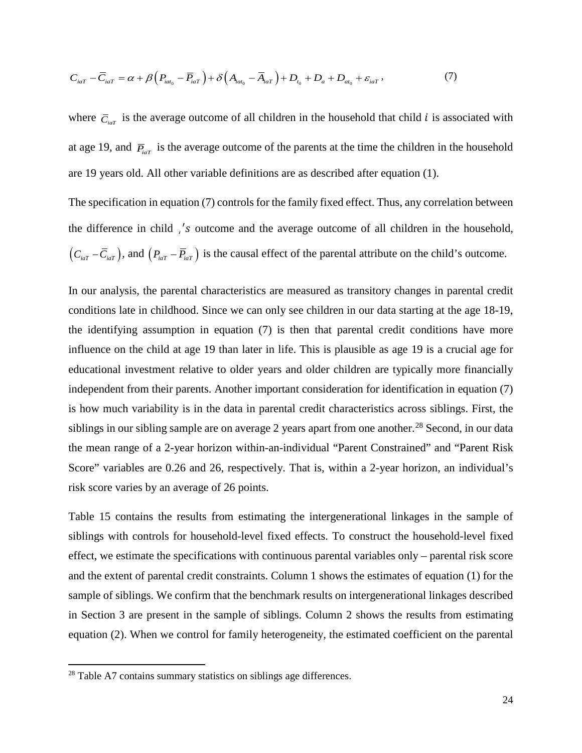$$
C_{iaT} - \overline{C}_{iaT} = \alpha + \beta \left( P_{iat_0} - \overline{P}_{iat} \right) + \delta \left( A_{iat_0} - \overline{A}_{iat} \right) + D_{t_0} + D_a + D_{at_0} + \varepsilon_{iaT}, \qquad (7)
$$

where  $\overline{C}_{i\alpha T}$  is the average outcome of all children in the household that child *i* is associated with at age 19, and  $\bar{P}_{i\alpha T}$  is the average outcome of the parents at the time the children in the household are 19 years old. All other variable definitions are as described after equation (1).

The specification in equation (7) controls for the family fixed effect. Thus, any correlation between the difference in child *i*'s outcome and the average outcome of all children in the household,  $(C_{\mu T} - \overline{C}_{\mu T})$ , and  $(P_{\mu T} - \overline{P}_{\mu T})$  is the causal effect of the parental attribute on the child's outcome.

In our analysis, the parental characteristics are measured as transitory changes in parental credit conditions late in childhood. Since we can only see children in our data starting at the age 18-19, the identifying assumption in equation (7) is then that parental credit conditions have more influence on the child at age 19 than later in life. This is plausible as age 19 is a crucial age for educational investment relative to older years and older children are typically more financially independent from their parents. Another important consideration for identification in equation (7) is how much variability is in the data in parental credit characteristics across siblings. First, the siblings in our sibling sample are on average 2 years apart from one another.<sup>[28](#page-24-0)</sup> Second, in our data the mean range of a 2-year horizon within-an-individual "Parent Constrained" and "Parent Risk Score" variables are 0.26 and 26, respectively. That is, within a 2-year horizon, an individual's risk score varies by an average of 26 points.

Table 15 contains the results from estimating the intergenerational linkages in the sample of siblings with controls for household-level fixed effects. To construct the household-level fixed effect, we estimate the specifications with continuous parental variables only – parental risk score and the extent of parental credit constraints. Column 1 shows the estimates of equation (1) for the sample of siblings. We confirm that the benchmark results on intergenerational linkages described in Section 3 are present in the sample of siblings. Column 2 shows the results from estimating equation (2). When we control for family heterogeneity, the estimated coefficient on the parental

 $\overline{\phantom{a}}$ 

<span id="page-24-0"></span> $28$  Table A7 contains summary statistics on siblings age differences.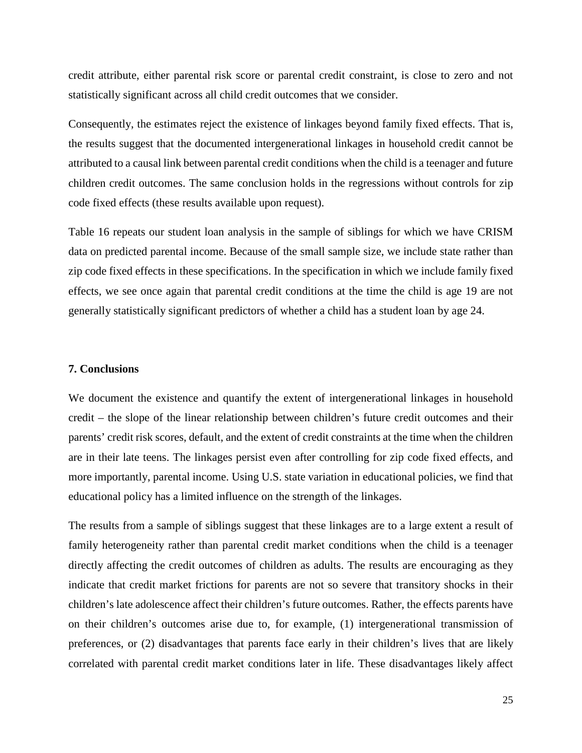credit attribute, either parental risk score or parental credit constraint, is close to zero and not statistically significant across all child credit outcomes that we consider.

Consequently, the estimates reject the existence of linkages beyond family fixed effects. That is, the results suggest that the documented intergenerational linkages in household credit cannot be attributed to a causal link between parental credit conditions when the child is a teenager and future children credit outcomes. The same conclusion holds in the regressions without controls for zip code fixed effects (these results available upon request).

Table 16 repeats our student loan analysis in the sample of siblings for which we have CRISM data on predicted parental income. Because of the small sample size, we include state rather than zip code fixed effects in these specifications. In the specification in which we include family fixed effects, we see once again that parental credit conditions at the time the child is age 19 are not generally statistically significant predictors of whether a child has a student loan by age 24.

#### **7. Conclusions**

We document the existence and quantify the extent of intergenerational linkages in household credit – the slope of the linear relationship between children's future credit outcomes and their parents' credit risk scores, default, and the extent of credit constraints at the time when the children are in their late teens. The linkages persist even after controlling for zip code fixed effects, and more importantly, parental income. Using U.S. state variation in educational policies, we find that educational policy has a limited influence on the strength of the linkages.

The results from a sample of siblings suggest that these linkages are to a large extent a result of family heterogeneity rather than parental credit market conditions when the child is a teenager directly affecting the credit outcomes of children as adults. The results are encouraging as they indicate that credit market frictions for parents are not so severe that transitory shocks in their children's late adolescence affect their children's future outcomes. Rather, the effects parents have on their children's outcomes arise due to, for example, (1) intergenerational transmission of preferences, or (2) disadvantages that parents face early in their children's lives that are likely correlated with parental credit market conditions later in life. These disadvantages likely affect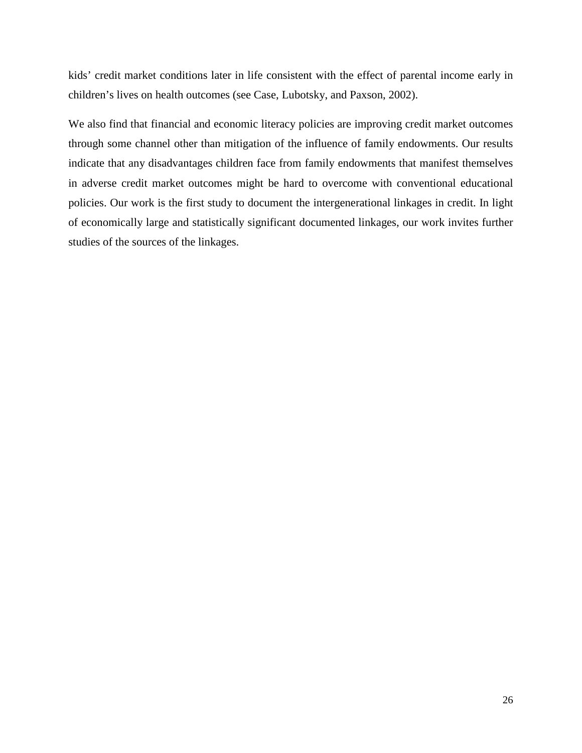kids' credit market conditions later in life consistent with the effect of parental income early in children's lives on health outcomes (see Case, Lubotsky, and Paxson, 2002).

We also find that financial and economic literacy policies are improving credit market outcomes through some channel other than mitigation of the influence of family endowments. Our results indicate that any disadvantages children face from family endowments that manifest themselves in adverse credit market outcomes might be hard to overcome with conventional educational policies. Our work is the first study to document the intergenerational linkages in credit. In light of economically large and statistically significant documented linkages, our work invites further studies of the sources of the linkages.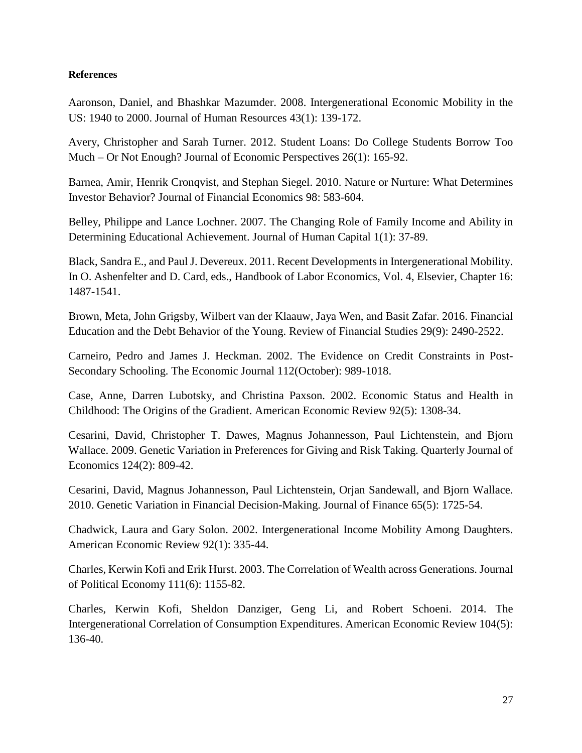## **References**

Aaronson, Daniel, and Bhashkar Mazumder. 2008. Intergenerational Economic Mobility in the US: 1940 to 2000. Journal of Human Resources 43(1): 139-172.

Avery, Christopher and Sarah Turner. 2012. Student Loans: Do College Students Borrow Too Much – Or Not Enough? Journal of Economic Perspectives 26(1): 165-92.

Barnea, Amir, Henrik Cronqvist, and Stephan Siegel. 2010. Nature or Nurture: What Determines Investor Behavior? Journal of Financial Economics 98: 583-604.

Belley, Philippe and Lance Lochner. 2007. The Changing Role of Family Income and Ability in Determining Educational Achievement. Journal of Human Capital 1(1): 37-89.

Black, Sandra E., and Paul J. Devereux. 2011. Recent Developments in Intergenerational Mobility. In O. Ashenfelter and D. Card, eds., Handbook of Labor Economics, Vol. 4, Elsevier, Chapter 16: 1487-1541.

Brown, Meta, John Grigsby, Wilbert van der Klaauw, Jaya Wen, and Basit Zafar. 2016. Financial Education and the Debt Behavior of the Young. Review of Financial Studies 29(9): 2490-2522.

Carneiro, Pedro and James J. Heckman. 2002. The Evidence on Credit Constraints in Post-Secondary Schooling. The Economic Journal 112(October): 989-1018.

Case, Anne, Darren Lubotsky, and Christina Paxson. 2002. Economic Status and Health in Childhood: The Origins of the Gradient. American Economic Review 92(5): 1308-34.

Cesarini, David, Christopher T. Dawes, Magnus Johannesson, Paul Lichtenstein, and Bjorn Wallace. 2009. Genetic Variation in Preferences for Giving and Risk Taking. Quarterly Journal of Economics 124(2): 809-42.

Cesarini, David, Magnus Johannesson, Paul Lichtenstein, Orjan Sandewall, and Bjorn Wallace. 2010. Genetic Variation in Financial Decision-Making. Journal of Finance 65(5): 1725-54.

Chadwick, Laura and Gary Solon. 2002. Intergenerational Income Mobility Among Daughters. American Economic Review 92(1): 335-44.

Charles, Kerwin Kofi and Erik Hurst. 2003. The Correlation of Wealth across Generations. Journal of Political Economy 111(6): 1155-82.

Charles, Kerwin Kofi, Sheldon Danziger, Geng Li, and Robert Schoeni. 2014. The Intergenerational Correlation of Consumption Expenditures. American Economic Review 104(5): 136-40.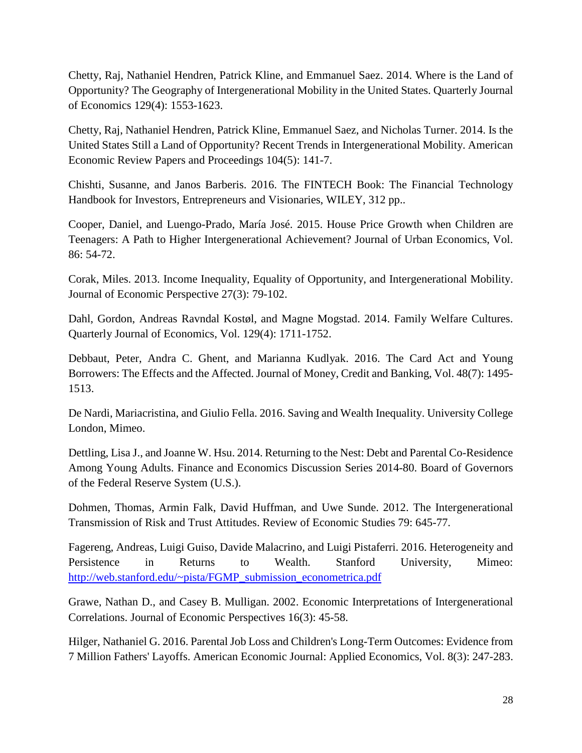Chetty, Raj, Nathaniel Hendren, Patrick Kline, and Emmanuel Saez. 2014. Where is the Land of Opportunity? The Geography of Intergenerational Mobility in the United States. Quarterly Journal of Economics 129(4): 1553-1623.

Chetty, Raj, Nathaniel Hendren, Patrick Kline, Emmanuel Saez, and Nicholas Turner. 2014. Is the United States Still a Land of Opportunity? Recent Trends in Intergenerational Mobility. American Economic Review Papers and Proceedings 104(5): 141-7.

Chishti, Susanne, and Janos Barberis. 2016. The FINTECH Book: The Financial Technology Handbook for Investors, Entrepreneurs and Visionaries, WILEY, 312 pp..

Cooper, Daniel, and Luengo-Prado, María José. 2015. House Price Growth when Children are Teenagers: A Path to Higher Intergenerational Achievement? Journal of Urban Economics, Vol. 86: 54-72.

Corak, Miles. 2013. Income Inequality, Equality of Opportunity, and Intergenerational Mobility. Journal of Economic Perspective 27(3): 79-102.

Dahl, Gordon, Andreas Ravndal Kostøl, and Magne Mogstad. 2014. Family Welfare Cultures. Quarterly Journal of Economics, Vol. 129(4): 1711-1752.

Debbaut, Peter, Andra C. Ghent, and Marianna Kudlyak. 2016. The Card Act and Young Borrowers: The Effects and the Affected. Journal of Money, Credit and Banking, Vol. 48(7): 1495- 1513.

De Nardi, Mariacristina, and Giulio Fella. 2016. Saving and Wealth Inequality. University College London, Mimeo.

Dettling, Lisa J., and Joanne W. Hsu. 2014. [Returning to the Nest: Debt and Parental Co-Residence](https://www.federalreserve.gov/econresdata/feds/2014/files/201480pap.pdf)  [Among Young Adults.](https://www.federalreserve.gov/econresdata/feds/2014/files/201480pap.pdf) Finance and Economics Discussion Series 2014-80. Board of Governors of the Federal Reserve System (U.S.).

Dohmen, Thomas, Armin Falk, David Huffman, and Uwe Sunde. 2012. The Intergenerational Transmission of Risk and Trust Attitudes. Review of Economic Studies 79: 645-77.

Fagereng, Andreas, Luigi Guiso, Davide Malacrino, and Luigi Pistaferri. 2016. Heterogeneity and Persistence in Returns to Wealth. Stanford University, Mimeo: [http://web.stanford.edu/~pista/FGMP\\_submission\\_econometrica.pdf](http://web.stanford.edu/%7Epista/FGMP_submission_econometrica.pdf)

Grawe, Nathan D., and Casey B. Mulligan. 2002. Economic Interpretations of Intergenerational Correlations. Journal of Economic Perspectives 16(3): 45-58.

Hilger, Nathaniel G. 2016[. Parental Job Loss and Children's Long-Term Outcomes: Evidence from](https://drive.google.com/file/d/0B8J_qdFYwNJ6Mkl0WEFRT2VrYVU/view?usp=sharing)  [7 Million Fathers' Layoffs.](https://drive.google.com/file/d/0B8J_qdFYwNJ6Mkl0WEFRT2VrYVU/view?usp=sharing) American Economic Journal: Applied Economics, Vol. 8(3): 247-283.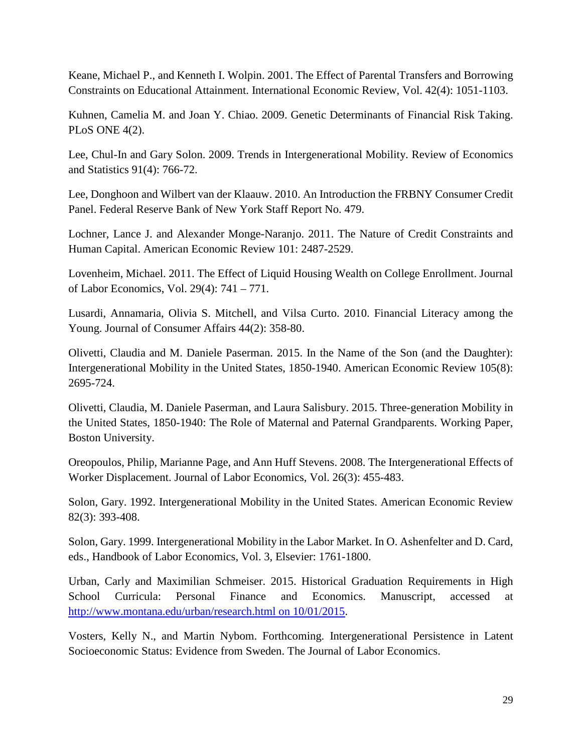Keane, Michael P., and Kenneth I. Wolpin. 2001. The Effect of Parental Transfers and Borrowing Constraints on Educational Attainment. International Economic Review, Vol. 42(4): 1051-1103.

Kuhnen, Camelia M. and Joan Y. Chiao. 2009. Genetic Determinants of Financial Risk Taking. PLoS ONE 4(2).

Lee, Chul-In and Gary Solon. 2009. Trends in Intergenerational Mobility. Review of Economics and Statistics 91(4): 766-72.

Lee, Donghoon and Wilbert van der Klaauw. 2010. An Introduction the FRBNY Consumer Credit Panel. Federal Reserve Bank of New York Staff Report No. 479.

Lochner, Lance J. and Alexander Monge-Naranjo. 2011. The Nature of Credit Constraints and Human Capital. American Economic Review 101: 2487-2529.

[Lovenheim,](http://econpapers.repec.org/RAS/plo162.htm) Michael. 2011. The Effect of Liquid Housing Wealth on College Enrollment. [Journal](http://econpapers.repec.org/article/ucpjlabec/)  [of Labor Economics,](http://econpapers.repec.org/article/ucpjlabec/) Vol. 29(4): 741 – 771.

Lusardi, Annamaria, Olivia S. Mitchell, and Vilsa Curto. 2010. Financial Literacy among the Young. Journal of Consumer Affairs 44(2): 358-80.

Olivetti, Claudia and M. Daniele Paserman. 2015. In the Name of the Son (and the Daughter): Intergenerational Mobility in the United States, 1850-1940. American Economic Review 105(8): 2695-724.

Olivetti, Claudia, M. Daniele Paserman, and Laura Salisbury. 2015. Three-generation Mobility in the United States, 1850-1940: The Role of Maternal and Paternal Grandparents. Working Paper, Boston University.

Oreopoulos, Philip, Marianne Page, and Ann Huff Stevens. 2008. The Intergenerational Effects of Worker Displacement. Journal of Labor Economics, Vol. 26(3): 455-483.

Solon, Gary. 1992. Intergenerational Mobility in the United States. American Economic Review 82(3): 393-408.

Solon, Gary. 1999. Intergenerational Mobility in the Labor Market. In O. Ashenfelter and D. Card, eds., Handbook of Labor Economics, Vol. 3, Elsevier: 1761-1800.

Urban, Carly and Maximilian Schmeiser. 2015. Historical Graduation Requirements in High School Curricula: Personal Finance and Economics. Manuscript, accessed at [http://www.montana.edu/urban/research.html](http://www.montana.edu/urban/research.html%20on%2010/01/2015) on 10/01/2015.

[Vosters,](https://sites.google.com/site/kellynvosters/) Kelly N., and Martin Nybom. Forthcoming. [Intergenerational Persistence in Latent](https://docs.google.com/viewer?a=v&pid=sites&srcid=ZGVmYXVsdGRvbWFpbnxrZWxseW52b3N0ZXJzfGd4OjFiMDQwYjNhYzY0MjhlZWY)  [Socioeconomic Status: Evidence from Sweden.](https://docs.google.com/viewer?a=v&pid=sites&srcid=ZGVmYXVsdGRvbWFpbnxrZWxseW52b3N0ZXJzfGd4OjFiMDQwYjNhYzY0MjhlZWY) The Journal of Labor Economics.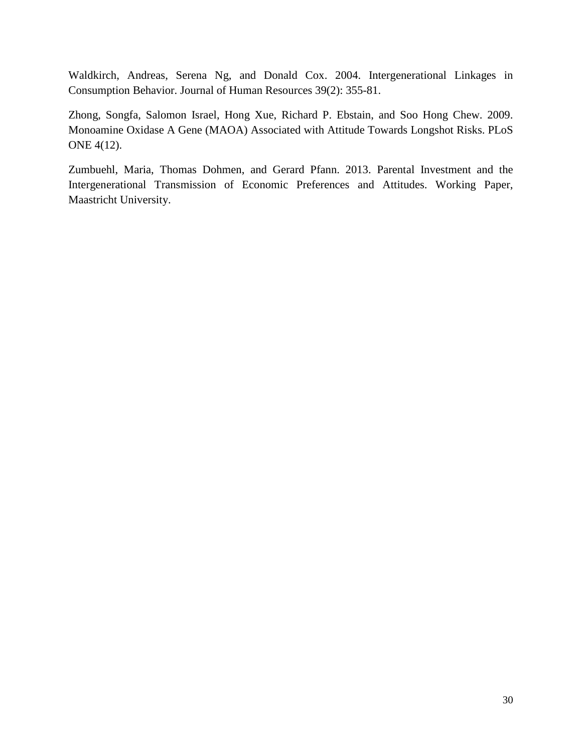Waldkirch, Andreas, Serena Ng, and Donald Cox. 2004. Intergenerational Linkages in Consumption Behavior. Journal of Human Resources 39(2): 355-81.

Zhong, Songfa, Salomon Israel, Hong Xue, Richard P. Ebstain, and Soo Hong Chew. 2009. Monoamine Oxidase A Gene (MAOA) Associated with Attitude Towards Longshot Risks. PLoS ONE 4(12).

Zumbuehl, Maria, Thomas Dohmen, and Gerard Pfann. 2013. Parental Investment and the Intergenerational Transmission of Economic Preferences and Attitudes. Working Paper, Maastricht University.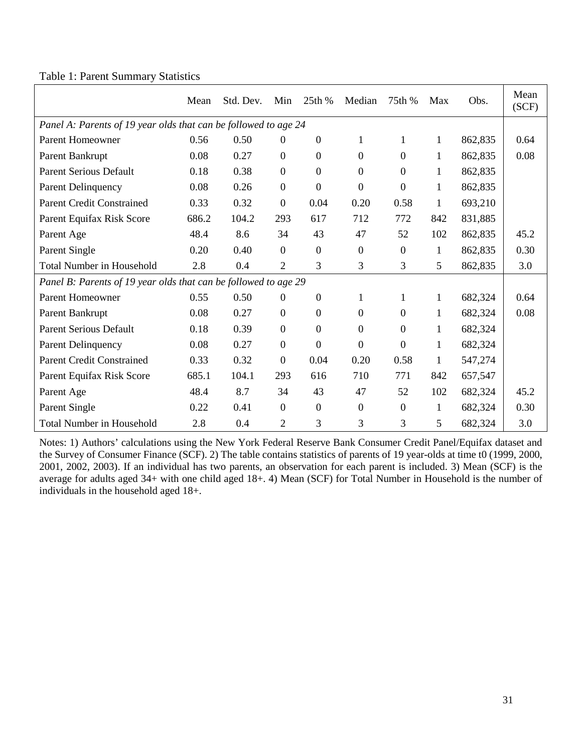|  |  |  | Table 1: Parent Summary Statistics |  |
|--|--|--|------------------------------------|--|
|--|--|--|------------------------------------|--|

|                                                                 | Mean  | Std. Dev. | Min              | 25th %           | Median           | 75th %           | Max          | Obs.    | Mean<br>(SCF) |
|-----------------------------------------------------------------|-------|-----------|------------------|------------------|------------------|------------------|--------------|---------|---------------|
| Panel A: Parents of 19 year olds that can be followed to age 24 |       |           |                  |                  |                  |                  |              |         |               |
| <b>Parent Homeowner</b>                                         | 0.56  | 0.50      | $\mathbf{0}$     | $\mathbf{0}$     | $\mathbf{1}$     | 1                | 1            | 862,835 | 0.64          |
| Parent Bankrupt                                                 | 0.08  | 0.27      | $\boldsymbol{0}$ | $\overline{0}$   | $\overline{0}$   | $\overline{0}$   | 1            | 862,835 | 0.08          |
| <b>Parent Serious Default</b>                                   | 0.18  | 0.38      | $\mathbf{0}$     | $\mathbf{0}$     | $\boldsymbol{0}$ | $\overline{0}$   | 1            | 862,835 |               |
| Parent Delinquency                                              | 0.08  | 0.26      | $\boldsymbol{0}$ | $\mathbf{0}$     | $\boldsymbol{0}$ | $\overline{0}$   | 1            | 862,835 |               |
| <b>Parent Credit Constrained</b>                                | 0.33  | 0.32      | $\boldsymbol{0}$ | 0.04             | 0.20             | 0.58             | 1            | 693,210 |               |
| Parent Equifax Risk Score                                       | 686.2 | 104.2     | 293              | 617              | 712              | 772              | 842          | 831,885 |               |
| Parent Age                                                      | 48.4  | 8.6       | 34               | 43               | 47               | 52               | 102          | 862,835 | 45.2          |
| Parent Single                                                   | 0.20  | 0.40      | $\boldsymbol{0}$ | $\boldsymbol{0}$ | $\mathbf{0}$     | $\overline{0}$   | $\mathbf{1}$ | 862,835 | 0.30          |
| <b>Total Number in Household</b>                                | 2.8   | 0.4       | $\overline{2}$   | 3                | 3                | 3                | 5            | 862,835 | 3.0           |
| Panel B: Parents of 19 year olds that can be followed to age 29 |       |           |                  |                  |                  |                  |              |         |               |
| <b>Parent Homeowner</b>                                         | 0.55  | 0.50      | $\boldsymbol{0}$ | $\boldsymbol{0}$ | $\mathbf{1}$     | 1                | 1            | 682,324 | 0.64          |
| Parent Bankrupt                                                 | 0.08  | 0.27      | $\boldsymbol{0}$ | $\overline{0}$   | $\overline{0}$   | $\overline{0}$   | 1            | 682,324 | 0.08          |
| <b>Parent Serious Default</b>                                   | 0.18  | 0.39      | $\boldsymbol{0}$ | $\mathbf{0}$     | $\overline{0}$   | $\overline{0}$   | $\mathbf{1}$ | 682,324 |               |
| Parent Delinquency                                              | 0.08  | 0.27      | $\boldsymbol{0}$ | $\overline{0}$   | $\overline{0}$   | $\overline{0}$   | $\mathbf{1}$ | 682,324 |               |
| <b>Parent Credit Constrained</b>                                | 0.33  | 0.32      | $\boldsymbol{0}$ | 0.04             | 0.20             | 0.58             | 1            | 547,274 |               |
| Parent Equifax Risk Score                                       | 685.1 | 104.1     | 293              | 616              | 710              | 771              | 842          | 657,547 |               |
| Parent Age                                                      | 48.4  | 8.7       | 34               | 43               | 47               | 52               | 102          | 682,324 | 45.2          |
| Parent Single                                                   | 0.22  | 0.41      | $\boldsymbol{0}$ | $\boldsymbol{0}$ | $\boldsymbol{0}$ | $\boldsymbol{0}$ | $\mathbf{1}$ | 682,324 | 0.30          |
| <b>Total Number in Household</b>                                | 2.8   | 0.4       | $\overline{2}$   | 3                | 3                | 3                | 5            | 682,324 | 3.0           |

Notes: 1) Authors' calculations using the New York Federal Reserve Bank Consumer Credit Panel/Equifax dataset and the Survey of Consumer Finance (SCF). 2) The table contains statistics of parents of 19 year-olds at time t0 (1999, 2000, 2001, 2002, 2003). If an individual has two parents, an observation for each parent is included. 3) Mean (SCF) is the average for adults aged 34+ with one child aged 18+. 4) Mean (SCF) for Total Number in Household is the number of individuals in the household aged 18+.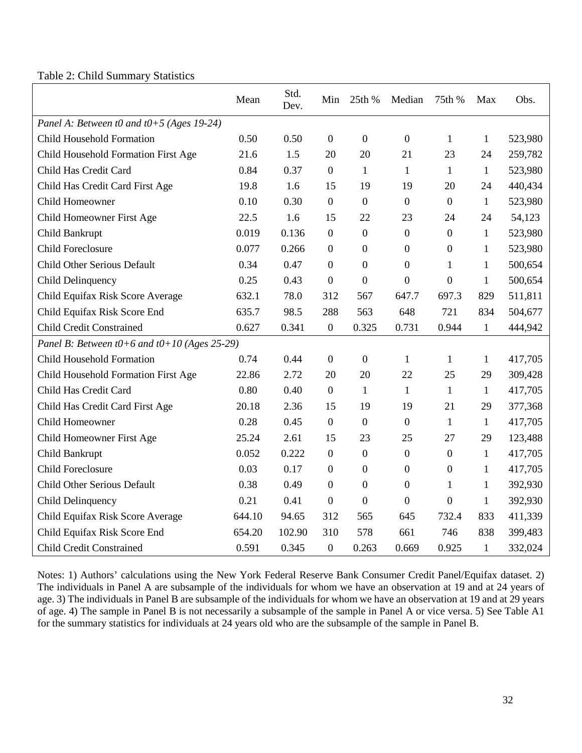Table 2: Child Summary Statistics

|                                                  | Mean   | Std.<br>Dev. | Min              | 25th %           | Median           | 75th %           | Max          | Obs.    |
|--------------------------------------------------|--------|--------------|------------------|------------------|------------------|------------------|--------------|---------|
| Panel A: Between t0 and $t0+5$ (Ages 19-24)      |        |              |                  |                  |                  |                  |              |         |
| <b>Child Household Formation</b>                 | 0.50   | 0.50         | $\mathbf{0}$     | $\overline{0}$   | $\mathbf{0}$     | $\mathbf{1}$     | 1            | 523,980 |
| Child Household Formation First Age              | 21.6   | 1.5          | 20               | 20               | 21               | 23               | 24           | 259,782 |
| Child Has Credit Card                            | 0.84   | 0.37         | $\mathbf{0}$     | $\mathbf{1}$     | $\mathbf{1}$     | $\mathbf{1}$     | $\mathbf{1}$ | 523,980 |
| Child Has Credit Card First Age                  | 19.8   | 1.6          | 15               | 19               | 19               | 20               | 24           | 440,434 |
| Child Homeowner                                  | 0.10   | 0.30         | $\overline{0}$   | $\boldsymbol{0}$ | $\boldsymbol{0}$ | $\boldsymbol{0}$ | 1            | 523,980 |
| Child Homeowner First Age                        | 22.5   | 1.6          | 15               | 22               | 23               | 24               | 24           | 54,123  |
| Child Bankrupt                                   | 0.019  | 0.136        | $\boldsymbol{0}$ | $\boldsymbol{0}$ | $\boldsymbol{0}$ | $\boldsymbol{0}$ | 1            | 523,980 |
| <b>Child Foreclosure</b>                         | 0.077  | 0.266        | $\mathbf{0}$     | $\boldsymbol{0}$ | $\boldsymbol{0}$ | $\boldsymbol{0}$ | 1            | 523,980 |
| Child Other Serious Default                      | 0.34   | 0.47         | $\boldsymbol{0}$ | $\boldsymbol{0}$ | $\boldsymbol{0}$ | $\mathbf{1}$     | 1            | 500,654 |
| <b>Child Delinquency</b>                         | 0.25   | 0.43         | $\overline{0}$   | $\overline{0}$   | $\boldsymbol{0}$ | $\mathbf{0}$     | 1            | 500,654 |
| Child Equifax Risk Score Average                 | 632.1  | 78.0         | 312              | 567              | 647.7            | 697.3            | 829          | 511,811 |
| Child Equifax Risk Score End                     | 635.7  | 98.5         | 288              | 563              | 648              | 721              | 834          | 504,677 |
| <b>Child Credit Constrained</b>                  | 0.627  | 0.341        | $\boldsymbol{0}$ | 0.325            | 0.731            | 0.944            | $\mathbf{1}$ | 444,942 |
| Panel B: Between $t0+6$ and $t0+10$ (Ages 25-29) |        |              |                  |                  |                  |                  |              |         |
| <b>Child Household Formation</b>                 | 0.74   | 0.44         | $\overline{0}$   | $\overline{0}$   | 1                | $\mathbf{1}$     | 1            | 417,705 |
| Child Household Formation First Age              | 22.86  | 2.72         | 20               | 20               | 22               | 25               | 29           | 309,428 |
| Child Has Credit Card                            | 0.80   | 0.40         | $\overline{0}$   | $\mathbf{1}$     | $\mathbf{1}$     | $\mathbf{1}$     | $\mathbf{1}$ | 417,705 |
| Child Has Credit Card First Age                  | 20.18  | 2.36         | 15               | 19               | 19               | 21               | 29           | 377,368 |
| Child Homeowner                                  | 0.28   | 0.45         | $\mathbf{0}$     | $\boldsymbol{0}$ | $\boldsymbol{0}$ | $\mathbf{1}$     | 1            | 417,705 |
| Child Homeowner First Age                        | 25.24  | 2.61         | 15               | 23               | 25               | 27               | 29           | 123,488 |
| Child Bankrupt                                   | 0.052  | 0.222        | $\boldsymbol{0}$ | $\boldsymbol{0}$ | $\boldsymbol{0}$ | $\boldsymbol{0}$ | $\mathbf{1}$ | 417,705 |
| <b>Child Foreclosure</b>                         | 0.03   | 0.17         | $\boldsymbol{0}$ | $\boldsymbol{0}$ | $\boldsymbol{0}$ | $\boldsymbol{0}$ | 1            | 417,705 |
| <b>Child Other Serious Default</b>               | 0.38   | 0.49         | $\boldsymbol{0}$ | $\boldsymbol{0}$ | $\boldsymbol{0}$ | $\mathbf{1}$     | 1            | 392,930 |
| <b>Child Delinquency</b>                         | 0.21   | 0.41         | $\boldsymbol{0}$ | $\mathbf{0}$     | $\boldsymbol{0}$ | $\boldsymbol{0}$ | 1            | 392,930 |
| Child Equifax Risk Score Average                 | 644.10 | 94.65        | 312              | 565              | 645              | 732.4            | 833          | 411,339 |
| Child Equifax Risk Score End                     | 654.20 | 102.90       | 310              | 578              | 661              | 746              | 838          | 399,483 |
| <b>Child Credit Constrained</b>                  | 0.591  | 0.345        | $\boldsymbol{0}$ | 0.263            | 0.669            | 0.925            | $\mathbf{1}$ | 332,024 |

Notes: 1) Authors' calculations using the New York Federal Reserve Bank Consumer Credit Panel/Equifax dataset. 2) The individuals in Panel A are subsample of the individuals for whom we have an observation at 19 and at 24 years of age. 3) The individuals in Panel B are subsample of the individuals for whom we have an observation at 19 and at 29 years of age. 4) The sample in Panel B is not necessarily a subsample of the sample in Panel A or vice versa. 5) See Table A1 for the summary statistics for individuals at 24 years old who are the subsample of the sample in Panel B.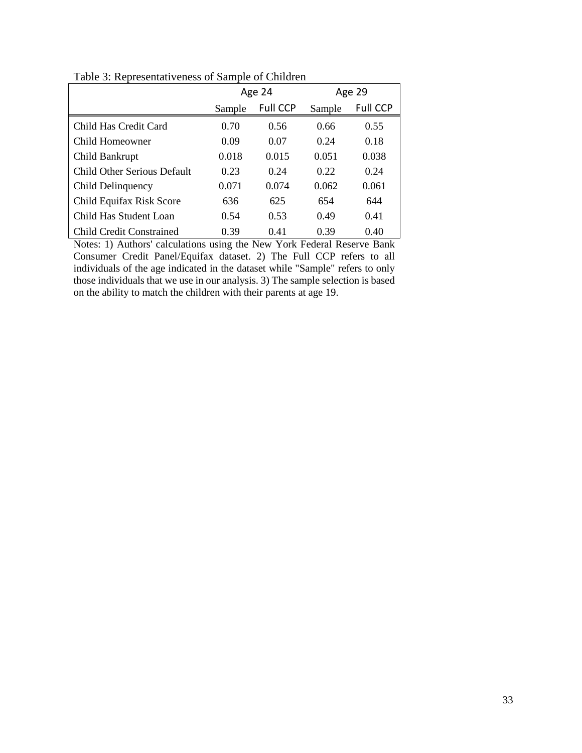|                                 |        | Age 24          |        | Age 29          |
|---------------------------------|--------|-----------------|--------|-----------------|
|                                 | Sample | <b>Full CCP</b> | Sample | <b>Full CCP</b> |
| Child Has Credit Card           | 0.70   | 0.56            | 0.66   | 0.55            |
| Child Homeowner                 | 0.09   | 0.07            | 0.24   | 0.18            |
| Child Bankrupt                  | 0.018  | 0.015           | 0.051  | 0.038           |
| Child Other Serious Default     | 0.23   | 0.24            | 0.22   | 0.24            |
| Child Delinquency               | 0.071  | 0.074           | 0.062  | 0.061           |
| Child Equifax Risk Score        | 636    | 625             | 654    | 644             |
| Child Has Student Loan          | 0.54   | 0.53            | 0.49   | 0.41            |
| <b>Child Credit Constrained</b> | 0.39   | 0.41            | 0.39   | 0.40            |

Table 3: Representativeness of Sample of Children

Notes: 1) Authors' calculations using the New York Federal Reserve Bank Consumer Credit Panel/Equifax dataset. 2) The Full CCP refers to all individuals of the age indicated in the dataset while "Sample" refers to only those individuals that we use in our analysis. 3) The sample selection is based on the ability to match the children with their parents at age 19.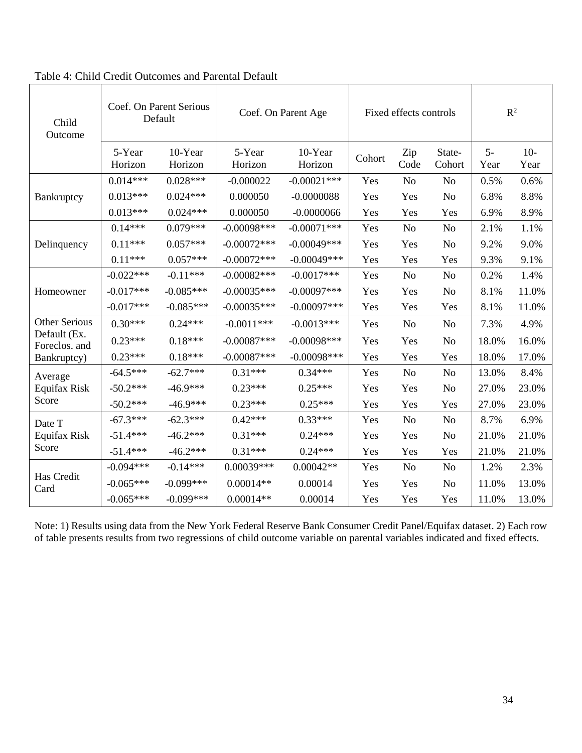| Child<br>Outcome              | Coef. On Parent Serious<br>Default |                    | Coef. On Parent Age | Fixed effects controls |        |                | $\mathbb{R}^2$   |              |               |
|-------------------------------|------------------------------------|--------------------|---------------------|------------------------|--------|----------------|------------------|--------------|---------------|
|                               | 5-Year<br>Horizon                  | 10-Year<br>Horizon | 5-Year<br>Horizon   | 10-Year<br>Horizon     | Cohort | Zip<br>Code    | State-<br>Cohort | $5-$<br>Year | $10-$<br>Year |
|                               | $0.014***$                         | $0.028***$         | $-0.000022$         | $-0.00021$ ***         | Yes    | N <sub>o</sub> | N <sub>o</sub>   | 0.5%         | 0.6%          |
| Bankruptcy                    | $0.013***$                         | $0.024***$         | 0.000050            | $-0.0000088$           | Yes    | Yes            | N <sub>o</sub>   | 6.8%         | 8.8%          |
|                               | $0.013***$                         | $0.024***$         | 0.000050            | $-0.0000066$           | Yes    | Yes            | Yes              | 6.9%         | 8.9%          |
|                               | $0.14***$                          | $0.079***$         | $-0.00098***$       | $-0.00071***$          | Yes    | N <sub>o</sub> | N <sub>o</sub>   | 2.1%         | 1.1%          |
| Delinquency                   | $0.11***$                          | $0.057***$         | $-0.00072***$       | $-0.00049$ ***         | Yes    | Yes            | N <sub>o</sub>   | 9.2%         | 9.0%          |
|                               | $0.11***$                          | $0.057***$         | $-0.00072***$       | $-0.00049***$          | Yes    | Yes            | Yes              | 9.3%         | 9.1%          |
|                               | $-0.022***$                        | $-0.11***$         | $-0.00082***$       | $-0.0017***$           | Yes    | No             | No               | 0.2%         | 1.4%          |
| Homeowner                     | $-0.017***$                        | $-0.085***$        | $-0.00035***$       | $-0.00097$ ***         | Yes    | Yes            | N <sub>o</sub>   | 8.1%         | 11.0%         |
|                               | $-0.017***$                        | $-0.085***$        | $-0.00035***$       | $-0.00097***$          | Yes    | Yes            | Yes              | 8.1%         | 11.0%         |
| <b>Other Serious</b>          | $0.30***$                          | $0.24***$          | $-0.0011***$        | $-0.0013***$           | Yes    | N <sub>o</sub> | N <sub>o</sub>   | 7.3%         | 4.9%          |
| Default (Ex.<br>Foreclos. and | $0.23***$                          | $0.18***$          | $-0.00087***$       | $-0.00098$ ***         | Yes    | Yes            | No               | 18.0%        | 16.0%         |
| Bankruptcy)                   | $0.23***$                          | $0.18***$          | $-0.00087***$       | $-0.00098$ ***         | Yes    | Yes            | Yes              | 18.0%        | 17.0%         |
| Average                       | $-64.5***$                         | $-62.7***$         | $0.31***$           | $0.34***$              | Yes    | N <sub>o</sub> | N <sub>o</sub>   | 13.0%        | 8.4%          |
| Equifax Risk                  | $-50.2***$                         | $-46.9***$         | $0.23***$           | $0.25***$              | Yes    | Yes            | N <sub>o</sub>   | 27.0%        | 23.0%         |
| Score                         | $-50.2***$                         | $-46.9***$         | $0.23***$           | $0.25***$              | Yes    | Yes            | Yes              | 27.0%        | 23.0%         |
| Date T                        | $-67.3***$                         | $-62.3***$         | $0.42***$           | $0.33***$              | Yes    | N <sub>o</sub> | No               | 8.7%         | 6.9%          |
| Equifax Risk                  | $-51.4***$                         | $-46.2***$         | $0.31***$           | $0.24***$              | Yes    | Yes            | N <sub>o</sub>   | 21.0%        | 21.0%         |
| Score                         | $-51.4***$                         | $-46.2***$         | $0.31***$           | $0.24***$              | Yes    | Yes            | Yes              | 21.0%        | 21.0%         |
|                               | $-0.094***$                        | $-0.14***$         | $0.00039***$        | $0.00042**$            | Yes    | No             | No               | 1.2%         | 2.3%          |
| Has Credit<br>Card            | $-0.065***$                        | $-0.099***$        | $0.00014**$         | 0.00014                | Yes    | Yes            | N <sub>o</sub>   | 11.0%        | 13.0%         |
|                               | $-0.065***$                        | $-0.099***$        | $0.00014**$         | 0.00014                | Yes    | Yes            | Yes              | 11.0%        | 13.0%         |

Table 4: Child Credit Outcomes and Parental Default

Note: 1) Results using data from the New York Federal Reserve Bank Consumer Credit Panel/Equifax dataset. 2) Each row of table presents results from two regressions of child outcome variable on parental variables indicated and fixed effects.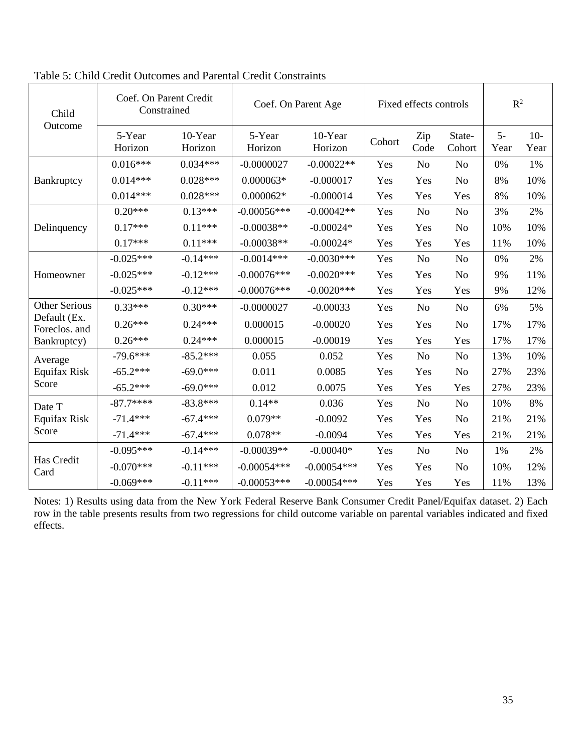| Child                         | Coef. On Parent Credit<br>Constrained |                    | Coef. On Parent Age |                    | Fixed effects controls | $R^2$          |                  |              |               |
|-------------------------------|---------------------------------------|--------------------|---------------------|--------------------|------------------------|----------------|------------------|--------------|---------------|
| Outcome                       | 5-Year<br>Horizon                     | 10-Year<br>Horizon | 5-Year<br>Horizon   | 10-Year<br>Horizon | Cohort                 | Zip<br>Code    | State-<br>Cohort | $5-$<br>Year | $10-$<br>Year |
|                               | $0.016***$                            | $0.034***$         | $-0.0000027$        | $-0.00022**$       | Yes                    | N <sub>o</sub> | N <sub>o</sub>   | 0%           | 1%            |
| Bankruptcy                    | $0.014***$                            | $0.028***$         | $0.000063*$         | $-0.000017$        | Yes                    | Yes            | N <sub>o</sub>   | 8%           | 10%           |
|                               | $0.014***$                            | $0.028***$         | $0.000062*$         | $-0.000014$        | Yes                    | Yes            | Yes              | 8%           | 10%           |
|                               | $0.20***$                             | $0.13***$          | $-0.00056***$       | $-0.00042**$       | Yes                    | N <sub>o</sub> | N <sub>o</sub>   | 3%           | 2%            |
| Delinquency                   | $0.17***$                             | $0.11***$          | $-0.00038**$        | $-0.00024*$        | Yes                    | Yes            | N <sub>o</sub>   | 10%          | 10%           |
|                               | $0.17***$                             | $0.11***$          | $-0.00038**$        | $-0.00024*$        | Yes                    | Yes            | Yes              | 11%          | 10%           |
| Homeowner                     | $-0.025***$                           | $-0.14***$         | $-0.0014***$        | $-0.0030***$       | Yes                    | No             | N <sub>o</sub>   | 0%           | 2%            |
|                               | $-0.025***$                           | $-0.12***$         | $-0.00076***$       | $-0.0020***$       | Yes                    | Yes            | N <sub>o</sub>   | 9%           | 11%           |
|                               | $-0.025***$                           | $-0.12***$         | $-0.00076***$       | $-0.0020$ ***      | Yes                    | Yes            | Yes              | 9%           | 12%           |
| <b>Other Serious</b>          | $0.33***$                             | $0.30***$          | $-0.0000027$        | $-0.00033$         | Yes                    | N <sub>o</sub> | N <sub>o</sub>   | 6%           | 5%            |
| Default (Ex.<br>Foreclos. and | $0.26***$                             | $0.24***$          | 0.000015            | $-0.00020$         | Yes                    | Yes            | N <sub>o</sub>   | 17%          | 17%           |
| Bankruptcy)                   | $0.26***$                             | $0.24***$          | 0.000015            | $-0.00019$         | Yes                    | Yes            | Yes              | 17%          | 17%           |
| Average                       | $-79.6***$                            | $-85.2***$         | 0.055               | 0.052              | Yes                    | N <sub>o</sub> | N <sub>o</sub>   | 13%          | 10%           |
| Equifax Risk                  | $-65.2***$                            | $-69.0***$         | 0.011               | 0.0085             | Yes                    | Yes            | N <sub>o</sub>   | 27%          | 23%           |
| Score                         | $-65.2***$                            | $-69.0***$         | 0.012               | 0.0075             | Yes                    | Yes            | Yes              | 27%          | 23%           |
| Date T                        | $-87.7***$                            | $-83.8***$         | $0.14**$            | 0.036              | Yes                    | N <sub>o</sub> | N <sub>o</sub>   | 10%          | 8%            |
| <b>Equifax Risk</b>           | $-71.4***$                            | $-67.4***$         | $0.079**$           | $-0.0092$          | Yes                    | Yes            | N <sub>o</sub>   | 21%          | 21%           |
| Score                         | $-71.4***$                            | $-67.4***$         | $0.078**$           | $-0.0094$          | Yes                    | Yes            | Yes              | 21%          | 21%           |
|                               | $-0.095***$                           | $-0.14***$         | $-0.00039**$        | $-0.00040*$        | Yes                    | N <sub>o</sub> | N <sub>o</sub>   | 1%           | 2%            |
| Has Credit<br>Card            | $-0.070***$                           | $-0.11***$         | $-0.00054***$       | $-0.00054***$      | Yes                    | Yes            | N <sub>o</sub>   | 10%          | 12%           |
|                               | $-0.069***$                           | $-0.11***$         | $-0.00053***$       | $-0.00054***$      | Yes                    | Yes            | Yes              | 11%          | 13%           |

Table 5: Child Credit Outcomes and Parental Credit Constraints

Notes: 1) Results using data from the New York Federal Reserve Bank Consumer Credit Panel/Equifax dataset. 2) Each row in the table presents results from two regressions for child outcome variable on parental variables indicated and fixed effects.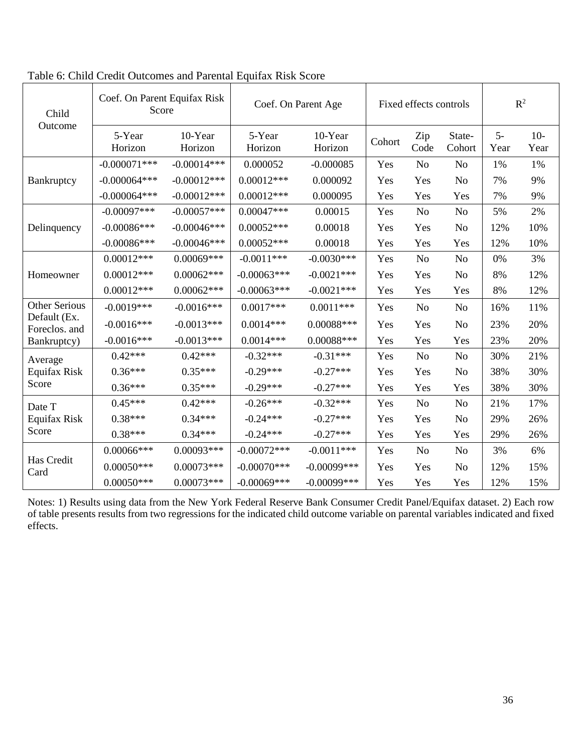| Child                         | Coef. On Parent Equifax Risk<br>Score |                    | Coef. On Parent Age | Fixed effects controls |        |                | $\mathbb{R}^2$   |              |               |
|-------------------------------|---------------------------------------|--------------------|---------------------|------------------------|--------|----------------|------------------|--------------|---------------|
| Outcome                       | 5-Year<br>Horizon                     | 10-Year<br>Horizon | 5-Year<br>Horizon   | 10-Year<br>Horizon     | Cohort | Zip<br>Code    | State-<br>Cohort | $5-$<br>Year | $10-$<br>Year |
|                               | $-0.000071***$                        | $-0.00014***$      | 0.000052            | $-0.000085$            | Yes    | N <sub>o</sub> | N <sub>o</sub>   | 1%           | 1%            |
| Bankruptcy                    | $-0.000064***$                        | $-0.00012***$      | $0.00012***$        | 0.000092               | Yes    | Yes            | N <sub>o</sub>   | 7%           | 9%            |
|                               | $-0.000064***$                        | $-0.00012***$      | $0.00012***$        | 0.000095               | Yes    | Yes            | Yes              | 7%           | 9%            |
|                               | $-0.00097***$                         | $-0.00057***$      | $0.00047***$        | 0.00015                | Yes    | N <sub>o</sub> | N <sub>o</sub>   | 5%           | 2%            |
| Delinquency                   | $-0.00086$ ***                        | $-0.00046$ ***     | $0.00052***$        | 0.00018                | Yes    | Yes            | N <sub>o</sub>   | 12%          | 10%           |
|                               | $-0.00086***$                         | $-0.00046$ ***     | $0.00052***$        | 0.00018                | Yes    | Yes            | Yes              | 12%          | 10%           |
|                               | $0.00012***$                          | $0.00069***$       | $-0.0011***$        | $-0.0030***$           | Yes    | No             | N <sub>o</sub>   | 0%           | 3%            |
| Homeowner                     | $0.00012***$                          | $0.00062***$       | $-0.00063***$       | $-0.0021***$           | Yes    | Yes            | N <sub>o</sub>   | 8%           | 12%           |
|                               | $0.00012***$                          | $0.00062***$       | $-0.00063***$       | $-0.0021***$           | Yes    | Yes            | Yes              | 8%           | 12%           |
| <b>Other Serious</b>          | $-0.0019***$                          | $-0.0016***$       | $0.0017***$         | $0.0011***$            | Yes    | N <sub>o</sub> | N <sub>o</sub>   | 16%          | 11%           |
| Default (Ex.<br>Foreclos. and | $-0.0016***$                          | $-0.0013***$       | $0.0014***$         | $0.00088***$           | Yes    | Yes            | N <sub>o</sub>   | 23%          | 20%           |
| Bankruptcy)                   | $-0.0016***$                          | $-0.0013***$       | $0.0014***$         | $0.00088***$           | Yes    | Yes            | Yes              | 23%          | 20%           |
| Average                       | $0.42***$                             | $0.42***$          | $-0.32***$          | $-0.31***$             | Yes    | No             | N <sub>o</sub>   | 30%          | 21%           |
| Equifax Risk                  | $0.36***$                             | $0.35***$          | $-0.29***$          | $-0.27***$             | Yes    | Yes            | N <sub>o</sub>   | 38%          | 30%           |
| Score                         | $0.36***$                             | $0.35***$          | $-0.29***$          | $-0.27***$             | Yes    | Yes            | Yes              | 38%          | 30%           |
| Date T                        | $0.45***$                             | $0.42***$          | $-0.26***$          | $-0.32***$             | Yes    | No             | N <sub>o</sub>   | 21%          | 17%           |
| Equifax Risk                  | $0.38***$                             | $0.34***$          | $-0.24***$          | $-0.27***$             | Yes    | Yes            | N <sub>o</sub>   | 29%          | 26%           |
| Score                         | $0.38***$                             | $0.34***$          | $-0.24***$          | $-0.27***$             | Yes    | Yes            | Yes              | 29%          | 26%           |
|                               | $0.00066$ ***                         | $0.00093***$       | $-0.00072***$       | $-0.0011***$           | Yes    | N <sub>o</sub> | No               | 3%           | 6%            |
| Has Credit<br>Card            | $0.00050***$                          | $0.00073***$       | $-0.00070$ ***      | $-0.00099$ ***         | Yes    | Yes            | N <sub>o</sub>   | 12%          | 15%           |
|                               | $0.00050***$                          | $0.00073***$       | $-0.00069$ ***      | $-0.00099$ ***         | Yes    | Yes            | Yes              | 12%          | 15%           |

Table 6: Child Credit Outcomes and Parental Equifax Risk Score

Notes: 1) Results using data from the New York Federal Reserve Bank Consumer Credit Panel/Equifax dataset. 2) Each row of table presents results from two regressions for the indicated child outcome variable on parental variables indicated and fixed effects.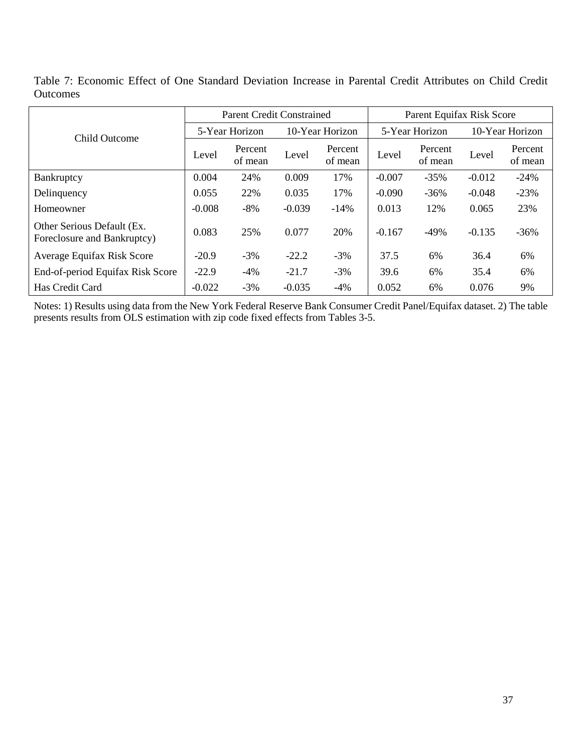Table 7: Economic Effect of One Standard Deviation Increase in Parental Credit Attributes on Child Credit **Outcomes** 

|                                                           |                | <b>Parent Credit Constrained</b> |          |                    | Parent Equifax Risk Score |                    |                 |                    |  |
|-----------------------------------------------------------|----------------|----------------------------------|----------|--------------------|---------------------------|--------------------|-----------------|--------------------|--|
| <b>Child Outcome</b>                                      | 5-Year Horizon |                                  |          | 10-Year Horizon    |                           | 5-Year Horizon     | 10-Year Horizon |                    |  |
|                                                           | Level          | Percent<br>of mean               | Level    | Percent<br>of mean | Level                     | Percent<br>of mean | Level           | Percent<br>of mean |  |
| Bankruptcy                                                | 0.004          | 24%                              | 0.009    | 17%                | $-0.007$                  | $-35%$             | $-0.012$        | $-24%$             |  |
| Delinquency                                               | 0.055          | 22%                              | 0.035    | 17%                | $-0.090$                  | $-36\%$            | $-0.048$        | $-23%$             |  |
| Homeowner                                                 | $-0.008$       | $-8%$                            | $-0.039$ | $-14%$             | 0.013                     | 12%                | 0.065           | 23%                |  |
| Other Serious Default (Ex.<br>Foreclosure and Bankruptcy) | 0.083          | 25%                              | 0.077    | 20%                | $-0.167$                  | $-49%$             | $-0.135$        | $-36%$             |  |
| Average Equifax Risk Score                                | $-20.9$        | $-3%$                            | $-22.2$  | $-3%$              | 37.5                      | 6%                 | 36.4            | 6%                 |  |
| End-of-period Equifax Risk Score                          | $-22.9$        | $-4\%$                           | $-21.7$  | $-3%$              | 39.6                      | 6%                 | 35.4            | 6%                 |  |
| Has Credit Card                                           | $-0.022$       | $-3%$                            | $-0.035$ | $-4%$              | 0.052                     | 6%                 | 0.076           | 9%                 |  |

Notes: 1) Results using data from the New York Federal Reserve Bank Consumer Credit Panel/Equifax dataset. 2) The table presents results from OLS estimation with zip code fixed effects from Tables 3-5.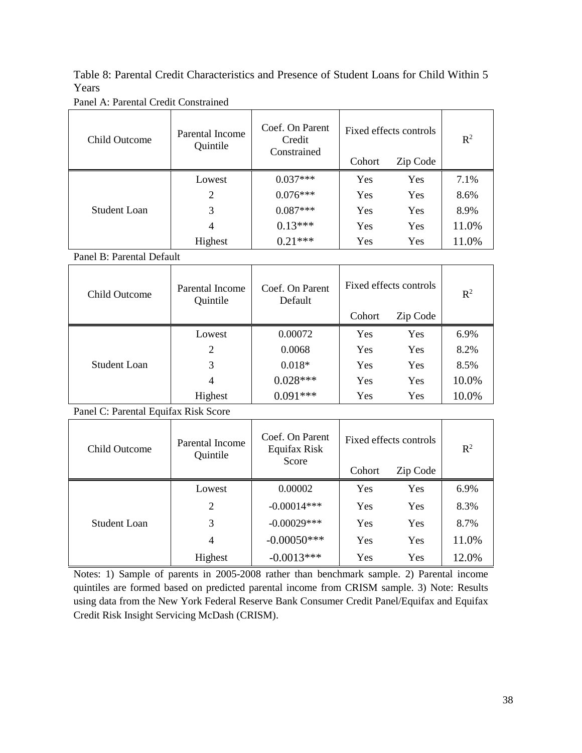Table 8: Parental Credit Characteristics and Presence of Student Loans for Child Within 5 Years

| Panel A: Parental Credit Constrained |  |  |
|--------------------------------------|--|--|
|--------------------------------------|--|--|

| <b>Child Outcome</b> | Parental Income<br>Quintile | Coef. On Parent<br>Credit<br>Constrained | Fixed effects controls | $R^2$      |       |
|----------------------|-----------------------------|------------------------------------------|------------------------|------------|-------|
|                      |                             |                                          | Cohort                 | Zip Code   |       |
|                      | Lowest                      | $0.037***$                               | <b>Yes</b>             | <b>Yes</b> | 7.1%  |
|                      | 2                           | $0.076***$                               | Yes                    | Yes        | 8.6%  |
| <b>Student Loan</b>  | 3                           | $0.087***$                               | Yes                    | Yes        | 8.9%  |
|                      | 4                           | $0.13***$                                | Yes                    | Yes        | 11.0% |
|                      | Highest                     | $0.21***$                                | Yes                    | Yes        | 11.0% |

Panel B: Parental Default

| Child Outcome | Parental Income<br>Quintile | Coef. On Parent<br>Default | Fixed effects controls | $\mathbb{R}^2$ |       |
|---------------|-----------------------------|----------------------------|------------------------|----------------|-------|
|               |                             |                            | Cohort                 | Zip Code       |       |
|               | Lowest                      | 0.00072                    | Yes                    | Yes            | 6.9%  |
| Student Loan  | 2                           | 0.0068                     | Yes                    | Yes            | 8.2%  |
|               | 3                           | $0.018*$                   | Yes                    | Yes            | 8.5%  |
|               | 4                           | $0.028***$                 | Yes                    | Yes            | 10.0% |
|               | Highest                     | $0.091***$                 | Yes                    | Yes            | 10.0% |

Panel C: Parental Equifax Risk Score

| Child Outcome | Parental Income<br>Quintile | Coef. On Parent<br>Equifax Risk<br>Score | Cohort | Fixed effects controls<br>Zip Code | $\mathbb{R}^2$ |
|---------------|-----------------------------|------------------------------------------|--------|------------------------------------|----------------|
|               | Lowest                      | 0.00002                                  | Yes    | <b>Yes</b>                         | 6.9%           |
|               | 2                           | $-0.00014***$                            | Yes    | Yes                                | 8.3%           |
| Student Loan  | 3                           | $-0.00029***$                            | Yes    | <b>Yes</b>                         | 8.7%           |
|               | 4                           | $-0.00050$ ***                           | Yes    | Yes                                | 11.0%          |
|               | Highest                     | $-0.0013***$                             | Yes    | Yes                                | 12.0%          |

Notes: 1) Sample of parents in 2005-2008 rather than benchmark sample. 2) Parental income quintiles are formed based on predicted parental income from CRISM sample. 3) Note: Results using data from the New York Federal Reserve Bank Consumer Credit Panel/Equifax and Equifax Credit Risk Insight Servicing McDash (CRISM).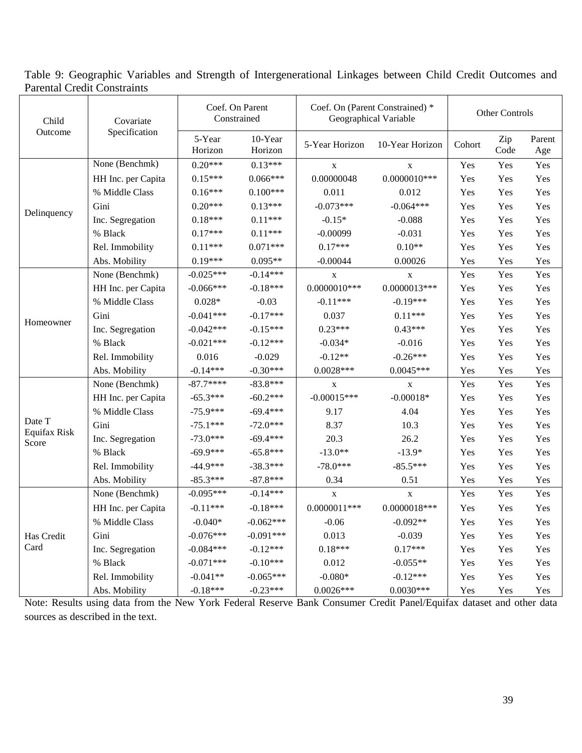Table 9: Geographic Variables and Strength of Intergenerational Linkages between Child Credit Outcomes and Parental Credit Constraints

| Child                                                                                        | Covariate                                                                                                                                                                                                                                                                                                                                                                                                                                                                                                                                                                | Coef. On Parent   |                    |                                                                                                                                                                                                                                                                                                                                                                                                                                                                                                                                                                                                                                                                                                                                                                                                                                                                                                                                                                                                                                                                                                                                                                                     | Other Controls |               |     |
|----------------------------------------------------------------------------------------------|--------------------------------------------------------------------------------------------------------------------------------------------------------------------------------------------------------------------------------------------------------------------------------------------------------------------------------------------------------------------------------------------------------------------------------------------------------------------------------------------------------------------------------------------------------------------------|-------------------|--------------------|-------------------------------------------------------------------------------------------------------------------------------------------------------------------------------------------------------------------------------------------------------------------------------------------------------------------------------------------------------------------------------------------------------------------------------------------------------------------------------------------------------------------------------------------------------------------------------------------------------------------------------------------------------------------------------------------------------------------------------------------------------------------------------------------------------------------------------------------------------------------------------------------------------------------------------------------------------------------------------------------------------------------------------------------------------------------------------------------------------------------------------------------------------------------------------------|----------------|---------------|-----|
|                                                                                              |                                                                                                                                                                                                                                                                                                                                                                                                                                                                                                                                                                          | 5-Year<br>Horizon | 10-Year<br>Horizon | Coef. On (Parent Constrained) *<br>Geographical Variable<br>5-Year Horizon<br>10-Year Horizon<br>Cohort<br>Yes<br>$\mathbf X$<br>X<br>0.00000048<br>$0.0000010***$<br>Yes<br>0.011<br>0.012<br>Yes<br>$-0.073***$<br>$-0.064***$<br>Yes<br>$-0.15*$<br>$-0.088$<br>Yes<br>$-0.00099$<br>$-0.031$<br>Yes<br>$0.17***$<br>$0.10**$<br>Yes<br>$-0.00044$<br>0.00026<br>Yes<br>Yes<br>$\mathbf{X}$<br>X<br>$0.0000013***$<br>$0.0000010***$<br>Yes<br>$-0.11***$<br>$-0.19***$<br>Yes<br>0.037<br>$0.11***$<br>Yes<br>$0.23***$<br>$0.43***$<br>Yes<br>$-0.034*$<br>$-0.016$<br>Yes<br>$-0.26***$<br>$-0.12**$<br>Yes<br>$0.0028***$<br>$0.0045***$<br>Yes<br>Yes<br>$\mathbf X$<br>$\mathbf X$<br>$-0.00015***$<br>$-0.00018*$<br>Yes<br>9.17<br>4.04<br>Yes<br>8.37<br>10.3<br>Yes<br>20.3<br>26.2<br>Yes<br>$-13.0**$<br>$-13.9*$<br>Yes<br>$-78.0***$<br>$-85.5***$<br>Yes<br>0.34<br>0.51<br>Yes<br>Yes<br>$\mathbf X$<br>$\mathbf X$<br>$0.0000011***$<br>$0.0000018***$<br>Yes<br>$-0.06$<br>$-0.092**$<br>Yes<br>0.013<br>$-0.039$<br>Yes<br>$0.18***$<br>$0.17***$<br>Yes<br>0.012<br>$-0.055**$<br>Yes<br>$-0.080*$<br>$-0.12***$<br>Yes<br>$0.0026***$<br>$0.0030***$<br>Yes | Zip<br>Code    | Parent<br>Age |     |
|                                                                                              | None (Benchmk)                                                                                                                                                                                                                                                                                                                                                                                                                                                                                                                                                           | $0.20***$         | $0.13***$          |                                                                                                                                                                                                                                                                                                                                                                                                                                                                                                                                                                                                                                                                                                                                                                                                                                                                                                                                                                                                                                                                                                                                                                                     |                | Yes           | Yes |
|                                                                                              | HH Inc. per Capita                                                                                                                                                                                                                                                                                                                                                                                                                                                                                                                                                       | $0.15***$         | $0.066***$         |                                                                                                                                                                                                                                                                                                                                                                                                                                                                                                                                                                                                                                                                                                                                                                                                                                                                                                                                                                                                                                                                                                                                                                                     |                | Yes           | Yes |
| Outcome<br>Delinquency<br>Homeowner<br>Date T<br>Equifax Risk<br>Score<br>Has Credit<br>Card | % Middle Class                                                                                                                                                                                                                                                                                                                                                                                                                                                                                                                                                           | $0.16***$         | $0.100***$         |                                                                                                                                                                                                                                                                                                                                                                                                                                                                                                                                                                                                                                                                                                                                                                                                                                                                                                                                                                                                                                                                                                                                                                                     |                | Yes           | Yes |
|                                                                                              | Gini                                                                                                                                                                                                                                                                                                                                                                                                                                                                                                                                                                     | $0.20***$         | $0.13***$          |                                                                                                                                                                                                                                                                                                                                                                                                                                                                                                                                                                                                                                                                                                                                                                                                                                                                                                                                                                                                                                                                                                                                                                                     |                | Yes           | Yes |
|                                                                                              | Inc. Segregation                                                                                                                                                                                                                                                                                                                                                                                                                                                                                                                                                         | $0.18***$         | $0.11***$          |                                                                                                                                                                                                                                                                                                                                                                                                                                                                                                                                                                                                                                                                                                                                                                                                                                                                                                                                                                                                                                                                                                                                                                                     |                | Yes           | Yes |
|                                                                                              | % Black                                                                                                                                                                                                                                                                                                                                                                                                                                                                                                                                                                  | $0.17***$         | $0.11***$          |                                                                                                                                                                                                                                                                                                                                                                                                                                                                                                                                                                                                                                                                                                                                                                                                                                                                                                                                                                                                                                                                                                                                                                                     |                | Yes           | Yes |
|                                                                                              | Rel. Immobility                                                                                                                                                                                                                                                                                                                                                                                                                                                                                                                                                          | $0.11***$         | $0.071***$         |                                                                                                                                                                                                                                                                                                                                                                                                                                                                                                                                                                                                                                                                                                                                                                                                                                                                                                                                                                                                                                                                                                                                                                                     |                | Yes           | Yes |
|                                                                                              | Abs. Mobility                                                                                                                                                                                                                                                                                                                                                                                                                                                                                                                                                            | $0.19***$         | $0.095**$          |                                                                                                                                                                                                                                                                                                                                                                                                                                                                                                                                                                                                                                                                                                                                                                                                                                                                                                                                                                                                                                                                                                                                                                                     |                | Yes           | Yes |
|                                                                                              | None (Benchmk)                                                                                                                                                                                                                                                                                                                                                                                                                                                                                                                                                           | $-0.025***$       | $-0.14***$         |                                                                                                                                                                                                                                                                                                                                                                                                                                                                                                                                                                                                                                                                                                                                                                                                                                                                                                                                                                                                                                                                                                                                                                                     |                | Yes           | Yes |
|                                                                                              | HH Inc. per Capita                                                                                                                                                                                                                                                                                                                                                                                                                                                                                                                                                       | $-0.066***$       | $-0.18***$         |                                                                                                                                                                                                                                                                                                                                                                                                                                                                                                                                                                                                                                                                                                                                                                                                                                                                                                                                                                                                                                                                                                                                                                                     |                | Yes           | Yes |
|                                                                                              | % Middle Class                                                                                                                                                                                                                                                                                                                                                                                                                                                                                                                                                           | $0.028*$          | $-0.03$            |                                                                                                                                                                                                                                                                                                                                                                                                                                                                                                                                                                                                                                                                                                                                                                                                                                                                                                                                                                                                                                                                                                                                                                                     |                | Yes           | Yes |
|                                                                                              | Gini                                                                                                                                                                                                                                                                                                                                                                                                                                                                                                                                                                     | $-0.041***$       | $-0.17***$         |                                                                                                                                                                                                                                                                                                                                                                                                                                                                                                                                                                                                                                                                                                                                                                                                                                                                                                                                                                                                                                                                                                                                                                                     |                | Yes           | Yes |
|                                                                                              | Inc. Segregation                                                                                                                                                                                                                                                                                                                                                                                                                                                                                                                                                         | $-0.042***$       | $-0.15***$         |                                                                                                                                                                                                                                                                                                                                                                                                                                                                                                                                                                                                                                                                                                                                                                                                                                                                                                                                                                                                                                                                                                                                                                                     |                | Yes           | Yes |
|                                                                                              | % Black                                                                                                                                                                                                                                                                                                                                                                                                                                                                                                                                                                  | $-0.021***$       | $-0.12***$         |                                                                                                                                                                                                                                                                                                                                                                                                                                                                                                                                                                                                                                                                                                                                                                                                                                                                                                                                                                                                                                                                                                                                                                                     |                | Yes           | Yes |
|                                                                                              | Rel. Immobility                                                                                                                                                                                                                                                                                                                                                                                                                                                                                                                                                          | 0.016             | $-0.029$           |                                                                                                                                                                                                                                                                                                                                                                                                                                                                                                                                                                                                                                                                                                                                                                                                                                                                                                                                                                                                                                                                                                                                                                                     |                | Yes           | Yes |
|                                                                                              | Constrained<br>Specification<br>$-0.14***$<br>Abs. Mobility<br>$-87.7***$<br>None (Benchmk)<br>$-65.3***$<br>HH Inc. per Capita<br>% Middle Class<br>$-75.9***$<br>Gini<br>$-75.1***$<br>$-73.0***$<br>Inc. Segregation<br>% Black<br>$-69.9***$<br>$-44.9***$<br>Rel. Immobility<br>$-85.3***$<br>Abs. Mobility<br>None (Benchmk)<br>$-0.095***$<br>$-0.11***$<br>HH Inc. per Capita<br>$-0.040*$<br>% Middle Class<br>$-0.076***$<br>Gini<br>$-0.084***$<br>Inc. Segregation<br>% Black<br>$-0.071***$<br>Rel. Immobility<br>$-0.041**$<br>$-0.18***$<br>Abs. Mobility | $-0.30***$        |                    |                                                                                                                                                                                                                                                                                                                                                                                                                                                                                                                                                                                                                                                                                                                                                                                                                                                                                                                                                                                                                                                                                                                                                                                     | Yes            | Yes           |     |
|                                                                                              |                                                                                                                                                                                                                                                                                                                                                                                                                                                                                                                                                                          |                   | $-83.8***$         |                                                                                                                                                                                                                                                                                                                                                                                                                                                                                                                                                                                                                                                                                                                                                                                                                                                                                                                                                                                                                                                                                                                                                                                     |                | Yes           | Yes |
|                                                                                              |                                                                                                                                                                                                                                                                                                                                                                                                                                                                                                                                                                          |                   | $-60.2***$         |                                                                                                                                                                                                                                                                                                                                                                                                                                                                                                                                                                                                                                                                                                                                                                                                                                                                                                                                                                                                                                                                                                                                                                                     |                | Yes           | Yes |
|                                                                                              |                                                                                                                                                                                                                                                                                                                                                                                                                                                                                                                                                                          |                   | $-69.4***$         |                                                                                                                                                                                                                                                                                                                                                                                                                                                                                                                                                                                                                                                                                                                                                                                                                                                                                                                                                                                                                                                                                                                                                                                     |                | Yes           | Yes |
|                                                                                              |                                                                                                                                                                                                                                                                                                                                                                                                                                                                                                                                                                          |                   | $-72.0***$         |                                                                                                                                                                                                                                                                                                                                                                                                                                                                                                                                                                                                                                                                                                                                                                                                                                                                                                                                                                                                                                                                                                                                                                                     |                | Yes           | Yes |
|                                                                                              |                                                                                                                                                                                                                                                                                                                                                                                                                                                                                                                                                                          |                   | $-69.4***$         |                                                                                                                                                                                                                                                                                                                                                                                                                                                                                                                                                                                                                                                                                                                                                                                                                                                                                                                                                                                                                                                                                                                                                                                     |                | Yes           | Yes |
|                                                                                              |                                                                                                                                                                                                                                                                                                                                                                                                                                                                                                                                                                          |                   | $-65.8***$         |                                                                                                                                                                                                                                                                                                                                                                                                                                                                                                                                                                                                                                                                                                                                                                                                                                                                                                                                                                                                                                                                                                                                                                                     |                | Yes           | Yes |
|                                                                                              |                                                                                                                                                                                                                                                                                                                                                                                                                                                                                                                                                                          |                   | $-38.3***$         |                                                                                                                                                                                                                                                                                                                                                                                                                                                                                                                                                                                                                                                                                                                                                                                                                                                                                                                                                                                                                                                                                                                                                                                     |                | Yes           | Yes |
|                                                                                              |                                                                                                                                                                                                                                                                                                                                                                                                                                                                                                                                                                          |                   | $-87.8***$         |                                                                                                                                                                                                                                                                                                                                                                                                                                                                                                                                                                                                                                                                                                                                                                                                                                                                                                                                                                                                                                                                                                                                                                                     |                | Yes           | Yes |
|                                                                                              |                                                                                                                                                                                                                                                                                                                                                                                                                                                                                                                                                                          |                   | $-0.14***$         |                                                                                                                                                                                                                                                                                                                                                                                                                                                                                                                                                                                                                                                                                                                                                                                                                                                                                                                                                                                                                                                                                                                                                                                     |                | Yes           | Yes |
|                                                                                              |                                                                                                                                                                                                                                                                                                                                                                                                                                                                                                                                                                          |                   | $-0.18***$         |                                                                                                                                                                                                                                                                                                                                                                                                                                                                                                                                                                                                                                                                                                                                                                                                                                                                                                                                                                                                                                                                                                                                                                                     |                | Yes           | Yes |
|                                                                                              |                                                                                                                                                                                                                                                                                                                                                                                                                                                                                                                                                                          |                   | $-0.062***$        |                                                                                                                                                                                                                                                                                                                                                                                                                                                                                                                                                                                                                                                                                                                                                                                                                                                                                                                                                                                                                                                                                                                                                                                     |                | Yes           | Yes |
|                                                                                              |                                                                                                                                                                                                                                                                                                                                                                                                                                                                                                                                                                          |                   | $-0.091***$        |                                                                                                                                                                                                                                                                                                                                                                                                                                                                                                                                                                                                                                                                                                                                                                                                                                                                                                                                                                                                                                                                                                                                                                                     |                | Yes           | Yes |
|                                                                                              |                                                                                                                                                                                                                                                                                                                                                                                                                                                                                                                                                                          |                   | $-0.12***$         |                                                                                                                                                                                                                                                                                                                                                                                                                                                                                                                                                                                                                                                                                                                                                                                                                                                                                                                                                                                                                                                                                                                                                                                     |                | Yes           | Yes |
|                                                                                              |                                                                                                                                                                                                                                                                                                                                                                                                                                                                                                                                                                          |                   | $-0.10***$         |                                                                                                                                                                                                                                                                                                                                                                                                                                                                                                                                                                                                                                                                                                                                                                                                                                                                                                                                                                                                                                                                                                                                                                                     |                | Yes           | Yes |
|                                                                                              |                                                                                                                                                                                                                                                                                                                                                                                                                                                                                                                                                                          |                   | $-0.065***$        |                                                                                                                                                                                                                                                                                                                                                                                                                                                                                                                                                                                                                                                                                                                                                                                                                                                                                                                                                                                                                                                                                                                                                                                     |                | Yes           | Yes |
|                                                                                              |                                                                                                                                                                                                                                                                                                                                                                                                                                                                                                                                                                          |                   | $-0.23***$         |                                                                                                                                                                                                                                                                                                                                                                                                                                                                                                                                                                                                                                                                                                                                                                                                                                                                                                                                                                                                                                                                                                                                                                                     |                | Yes           | Yes |

Note: Results using data from the New York Federal Reserve Bank Consumer Credit Panel/Equifax dataset and other data sources as described in the text.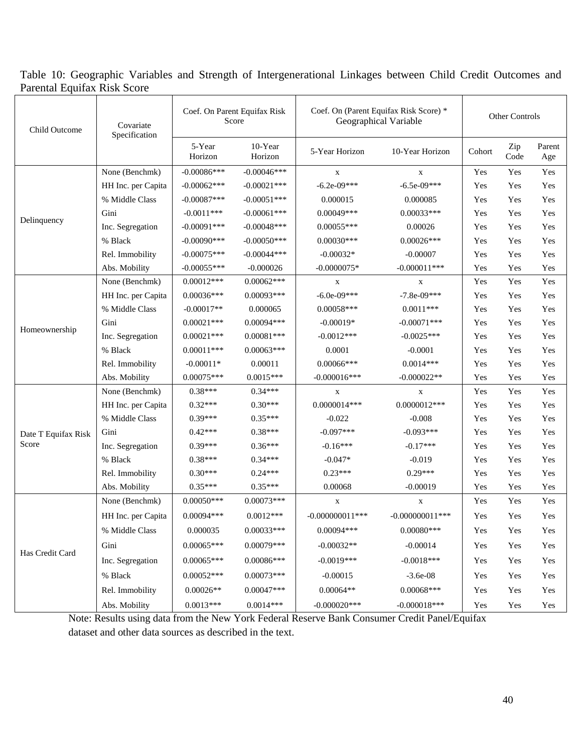# Table 10: Geographic Variables and Strength of Intergenerational Linkages between Child Credit Outcomes and Parental Equifax Risk Score

| Child Outcome       | Covariate<br>Specification |                                                                                                                                                                                                                                                                                                                                                                                                                                                                                                                                                                                                                                                                                                                                                                                                                                                                                                                                                                                                                                                                                                                                                                                                                                                                                                                                                                                                                                                                                                                                                                                                                                                                                                                                                                                                                                                                                                                                                                                                                                                                                                                                                              |             |                 |                |     | Other Controls |     |
|---------------------|----------------------------|--------------------------------------------------------------------------------------------------------------------------------------------------------------------------------------------------------------------------------------------------------------------------------------------------------------------------------------------------------------------------------------------------------------------------------------------------------------------------------------------------------------------------------------------------------------------------------------------------------------------------------------------------------------------------------------------------------------------------------------------------------------------------------------------------------------------------------------------------------------------------------------------------------------------------------------------------------------------------------------------------------------------------------------------------------------------------------------------------------------------------------------------------------------------------------------------------------------------------------------------------------------------------------------------------------------------------------------------------------------------------------------------------------------------------------------------------------------------------------------------------------------------------------------------------------------------------------------------------------------------------------------------------------------------------------------------------------------------------------------------------------------------------------------------------------------------------------------------------------------------------------------------------------------------------------------------------------------------------------------------------------------------------------------------------------------------------------------------------------------------------------------------------------------|-------------|-----------------|----------------|-----|----------------|-----|
|                     |                            | Coef. On (Parent Equifax Risk Score) *<br>Coef. On Parent Equifax Risk<br>Geographical Variable<br>Score<br>10-Year<br>5-Year<br>5-Year Horizon<br>10-Year Horizon<br>Horizon<br>Horizon<br>$-0.00086***$<br>$-0.00046$ ***<br>$\mathbf X$<br>$\mathbf X$<br>$-6.2e-09***$<br>$-6.5e-09***$<br>$-0.00062***$<br>$-0.00021$ ***<br>$-0.00087***$<br>$-0.00051***$<br>0.000015<br>0.000085<br>$0.00049***$<br>$0.00033***$<br>$-0.0011***$<br>$-0.00061$ ***<br>$-0.00091$ ***<br>$-0.00048$ ***<br>$0.00055***$<br>0.00026<br>$0.00026***$<br>$-0.00090$ ***<br>$-0.00050$ ***<br>$0.00030***$<br>$-0.00044***$<br>$-0.00032*$<br>$-0.00075***$<br>$-0.00007$<br>$-0.00055***$<br>$-0.0000075*$<br>$-0.000011***$<br>$-0.000026$<br>$0.00062***$<br>$0.00012***$<br>$\mathbf X$<br>$\mathbf X$<br>$-6.0e-09***$<br>$-7.8e-09***$<br>$0.00036***$<br>$0.00093***$<br>$-0.00017**$<br>0.000065<br>$0.00058***$<br>$0.0011***$<br>$0.00094***$<br>$0.00021***$<br>$-0.00019*$<br>$-0.00071$ ***<br>$0.00021***$<br>$0.00081***$<br>$-0.0012***$<br>$-0.0025***$<br>$0.00011***$<br>$0.00063***$<br>0.0001<br>$-0.0001$<br>$-0.00011*$<br>0.00011<br>$0.00066$ ***<br>$0.0014***$<br>$0.00075***$<br>$0.0015***$<br>$-0.000016$ ***<br>$-0.000022**$<br>$0.38***$<br>$0.34***$<br>$\mathbf X$<br>$\mathbf x$<br>$0.0000014***$<br>$0.32***$<br>$0.30***$<br>$0.0000012***$<br>$0.35***$<br>$-0.022$<br>$0.39***$<br>$-0.008$<br>$0.42***$<br>$0.38***$<br>$-0.097***$<br>$-0.093***$<br>$0.39***$<br>$0.36***$<br>$-0.16***$<br>$-0.17***$<br>$0.34***$<br>$0.38***$<br>$-0.047*$<br>$-0.019$<br>$0.30***$<br>$0.24***$<br>$0.23***$<br>$0.29***$<br>$0.35***$<br>$0.35***$<br>0.00068<br>$-0.00019$<br>$0.00050***$<br>$0.00073***$<br>$\mathbf X$<br>$\mathbf X$<br>$0.00094***$<br>$0.0012***$<br>$-0.000000011$ ***<br>$-0.000000011$ ***<br>0.000035<br>$0.00033***$<br>$0.00080***$<br>$0.00094***$<br>$0.00079***$<br>$0.00065***$<br>$-0.00032**$<br>$-0.00014$<br>$0.00065***$<br>$0.00086***$<br>$-0.0019***$<br>$-0.0018***$<br>$0.00052***$<br>$0.00073***$<br>$-0.00015$<br>$-3.6e-08$<br>$0.00047***$<br>$0.00064**$<br>$0.00068***$<br>$0.00026**$ | Cohort      | Zip<br>Code     | Parent<br>Age  |     |                |     |
|                     | None (Benchmk)             |                                                                                                                                                                                                                                                                                                                                                                                                                                                                                                                                                                                                                                                                                                                                                                                                                                                                                                                                                                                                                                                                                                                                                                                                                                                                                                                                                                                                                                                                                                                                                                                                                                                                                                                                                                                                                                                                                                                                                                                                                                                                                                                                                              |             |                 |                | Yes | Yes            | Yes |
|                     | HH Inc. per Capita         |                                                                                                                                                                                                                                                                                                                                                                                                                                                                                                                                                                                                                                                                                                                                                                                                                                                                                                                                                                                                                                                                                                                                                                                                                                                                                                                                                                                                                                                                                                                                                                                                                                                                                                                                                                                                                                                                                                                                                                                                                                                                                                                                                              |             |                 |                | Yes | Yes            | Yes |
|                     | % Middle Class             |                                                                                                                                                                                                                                                                                                                                                                                                                                                                                                                                                                                                                                                                                                                                                                                                                                                                                                                                                                                                                                                                                                                                                                                                                                                                                                                                                                                                                                                                                                                                                                                                                                                                                                                                                                                                                                                                                                                                                                                                                                                                                                                                                              |             |                 |                | Yes | Yes            | Yes |
|                     | Gini                       |                                                                                                                                                                                                                                                                                                                                                                                                                                                                                                                                                                                                                                                                                                                                                                                                                                                                                                                                                                                                                                                                                                                                                                                                                                                                                                                                                                                                                                                                                                                                                                                                                                                                                                                                                                                                                                                                                                                                                                                                                                                                                                                                                              |             |                 |                | Yes | Yes            | Yes |
| Delinquency         | Inc. Segregation           |                                                                                                                                                                                                                                                                                                                                                                                                                                                                                                                                                                                                                                                                                                                                                                                                                                                                                                                                                                                                                                                                                                                                                                                                                                                                                                                                                                                                                                                                                                                                                                                                                                                                                                                                                                                                                                                                                                                                                                                                                                                                                                                                                              |             |                 |                | Yes | Yes            | Yes |
|                     | % Black                    |                                                                                                                                                                                                                                                                                                                                                                                                                                                                                                                                                                                                                                                                                                                                                                                                                                                                                                                                                                                                                                                                                                                                                                                                                                                                                                                                                                                                                                                                                                                                                                                                                                                                                                                                                                                                                                                                                                                                                                                                                                                                                                                                                              |             |                 |                | Yes | Yes            | Yes |
|                     | Rel. Immobility            |                                                                                                                                                                                                                                                                                                                                                                                                                                                                                                                                                                                                                                                                                                                                                                                                                                                                                                                                                                                                                                                                                                                                                                                                                                                                                                                                                                                                                                                                                                                                                                                                                                                                                                                                                                                                                                                                                                                                                                                                                                                                                                                                                              |             |                 |                | Yes | Yes            | Yes |
|                     | Abs. Mobility              |                                                                                                                                                                                                                                                                                                                                                                                                                                                                                                                                                                                                                                                                                                                                                                                                                                                                                                                                                                                                                                                                                                                                                                                                                                                                                                                                                                                                                                                                                                                                                                                                                                                                                                                                                                                                                                                                                                                                                                                                                                                                                                                                                              |             |                 |                | Yes | Yes            | Yes |
|                     | None (Benchmk)             |                                                                                                                                                                                                                                                                                                                                                                                                                                                                                                                                                                                                                                                                                                                                                                                                                                                                                                                                                                                                                                                                                                                                                                                                                                                                                                                                                                                                                                                                                                                                                                                                                                                                                                                                                                                                                                                                                                                                                                                                                                                                                                                                                              |             |                 |                | Yes | Yes            | Yes |
|                     | HH Inc. per Capita         |                                                                                                                                                                                                                                                                                                                                                                                                                                                                                                                                                                                                                                                                                                                                                                                                                                                                                                                                                                                                                                                                                                                                                                                                                                                                                                                                                                                                                                                                                                                                                                                                                                                                                                                                                                                                                                                                                                                                                                                                                                                                                                                                                              |             |                 |                | Yes | Yes            | Yes |
|                     | % Middle Class             |                                                                                                                                                                                                                                                                                                                                                                                                                                                                                                                                                                                                                                                                                                                                                                                                                                                                                                                                                                                                                                                                                                                                                                                                                                                                                                                                                                                                                                                                                                                                                                                                                                                                                                                                                                                                                                                                                                                                                                                                                                                                                                                                                              |             |                 |                | Yes | Yes            | Yes |
|                     | Gini                       |                                                                                                                                                                                                                                                                                                                                                                                                                                                                                                                                                                                                                                                                                                                                                                                                                                                                                                                                                                                                                                                                                                                                                                                                                                                                                                                                                                                                                                                                                                                                                                                                                                                                                                                                                                                                                                                                                                                                                                                                                                                                                                                                                              |             |                 |                | Yes | Yes            | Yes |
| Homeownership       | Inc. Segregation           |                                                                                                                                                                                                                                                                                                                                                                                                                                                                                                                                                                                                                                                                                                                                                                                                                                                                                                                                                                                                                                                                                                                                                                                                                                                                                                                                                                                                                                                                                                                                                                                                                                                                                                                                                                                                                                                                                                                                                                                                                                                                                                                                                              |             |                 |                | Yes | Yes            | Yes |
|                     | % Black                    |                                                                                                                                                                                                                                                                                                                                                                                                                                                                                                                                                                                                                                                                                                                                                                                                                                                                                                                                                                                                                                                                                                                                                                                                                                                                                                                                                                                                                                                                                                                                                                                                                                                                                                                                                                                                                                                                                                                                                                                                                                                                                                                                                              |             |                 |                | Yes | Yes            | Yes |
|                     | Rel. Immobility            |                                                                                                                                                                                                                                                                                                                                                                                                                                                                                                                                                                                                                                                                                                                                                                                                                                                                                                                                                                                                                                                                                                                                                                                                                                                                                                                                                                                                                                                                                                                                                                                                                                                                                                                                                                                                                                                                                                                                                                                                                                                                                                                                                              |             |                 |                | Yes | Yes            | Yes |
|                     | Abs. Mobility              |                                                                                                                                                                                                                                                                                                                                                                                                                                                                                                                                                                                                                                                                                                                                                                                                                                                                                                                                                                                                                                                                                                                                                                                                                                                                                                                                                                                                                                                                                                                                                                                                                                                                                                                                                                                                                                                                                                                                                                                                                                                                                                                                                              |             |                 |                | Yes | Yes            | Yes |
|                     | None (Benchmk)             |                                                                                                                                                                                                                                                                                                                                                                                                                                                                                                                                                                                                                                                                                                                                                                                                                                                                                                                                                                                                                                                                                                                                                                                                                                                                                                                                                                                                                                                                                                                                                                                                                                                                                                                                                                                                                                                                                                                                                                                                                                                                                                                                                              |             |                 |                | Yes | Yes            | Yes |
|                     | HH Inc. per Capita         |                                                                                                                                                                                                                                                                                                                                                                                                                                                                                                                                                                                                                                                                                                                                                                                                                                                                                                                                                                                                                                                                                                                                                                                                                                                                                                                                                                                                                                                                                                                                                                                                                                                                                                                                                                                                                                                                                                                                                                                                                                                                                                                                                              |             |                 |                | Yes | Yes            | Yes |
|                     | % Middle Class             |                                                                                                                                                                                                                                                                                                                                                                                                                                                                                                                                                                                                                                                                                                                                                                                                                                                                                                                                                                                                                                                                                                                                                                                                                                                                                                                                                                                                                                                                                                                                                                                                                                                                                                                                                                                                                                                                                                                                                                                                                                                                                                                                                              |             |                 |                | Yes | Yes            | Yes |
| Date T Equifax Risk | Gini                       |                                                                                                                                                                                                                                                                                                                                                                                                                                                                                                                                                                                                                                                                                                                                                                                                                                                                                                                                                                                                                                                                                                                                                                                                                                                                                                                                                                                                                                                                                                                                                                                                                                                                                                                                                                                                                                                                                                                                                                                                                                                                                                                                                              |             |                 |                | Yes | Yes            | Yes |
| Score               | Inc. Segregation           |                                                                                                                                                                                                                                                                                                                                                                                                                                                                                                                                                                                                                                                                                                                                                                                                                                                                                                                                                                                                                                                                                                                                                                                                                                                                                                                                                                                                                                                                                                                                                                                                                                                                                                                                                                                                                                                                                                                                                                                                                                                                                                                                                              |             |                 |                | Yes | Yes            | Yes |
|                     | % Black                    |                                                                                                                                                                                                                                                                                                                                                                                                                                                                                                                                                                                                                                                                                                                                                                                                                                                                                                                                                                                                                                                                                                                                                                                                                                                                                                                                                                                                                                                                                                                                                                                                                                                                                                                                                                                                                                                                                                                                                                                                                                                                                                                                                              |             |                 |                | Yes | Yes            | Yes |
|                     | Rel. Immobility            |                                                                                                                                                                                                                                                                                                                                                                                                                                                                                                                                                                                                                                                                                                                                                                                                                                                                                                                                                                                                                                                                                                                                                                                                                                                                                                                                                                                                                                                                                                                                                                                                                                                                                                                                                                                                                                                                                                                                                                                                                                                                                                                                                              |             |                 |                | Yes | Yes            | Yes |
|                     | Abs. Mobility              |                                                                                                                                                                                                                                                                                                                                                                                                                                                                                                                                                                                                                                                                                                                                                                                                                                                                                                                                                                                                                                                                                                                                                                                                                                                                                                                                                                                                                                                                                                                                                                                                                                                                                                                                                                                                                                                                                                                                                                                                                                                                                                                                                              |             |                 |                | Yes | Yes            | Yes |
|                     | None (Benchmk)             |                                                                                                                                                                                                                                                                                                                                                                                                                                                                                                                                                                                                                                                                                                                                                                                                                                                                                                                                                                                                                                                                                                                                                                                                                                                                                                                                                                                                                                                                                                                                                                                                                                                                                                                                                                                                                                                                                                                                                                                                                                                                                                                                                              |             |                 |                | Yes | Yes            | Yes |
|                     | HH Inc. per Capita         |                                                                                                                                                                                                                                                                                                                                                                                                                                                                                                                                                                                                                                                                                                                                                                                                                                                                                                                                                                                                                                                                                                                                                                                                                                                                                                                                                                                                                                                                                                                                                                                                                                                                                                                                                                                                                                                                                                                                                                                                                                                                                                                                                              |             |                 |                | Yes | Yes            | Yes |
|                     | % Middle Class             |                                                                                                                                                                                                                                                                                                                                                                                                                                                                                                                                                                                                                                                                                                                                                                                                                                                                                                                                                                                                                                                                                                                                                                                                                                                                                                                                                                                                                                                                                                                                                                                                                                                                                                                                                                                                                                                                                                                                                                                                                                                                                                                                                              |             |                 |                | Yes | Yes            | Yes |
|                     | Gini                       |                                                                                                                                                                                                                                                                                                                                                                                                                                                                                                                                                                                                                                                                                                                                                                                                                                                                                                                                                                                                                                                                                                                                                                                                                                                                                                                                                                                                                                                                                                                                                                                                                                                                                                                                                                                                                                                                                                                                                                                                                                                                                                                                                              |             |                 |                | Yes | Yes            | Yes |
|                     | Inc. Segregation           |                                                                                                                                                                                                                                                                                                                                                                                                                                                                                                                                                                                                                                                                                                                                                                                                                                                                                                                                                                                                                                                                                                                                                                                                                                                                                                                                                                                                                                                                                                                                                                                                                                                                                                                                                                                                                                                                                                                                                                                                                                                                                                                                                              |             |                 |                | Yes | Yes            | Yes |
|                     | % Black                    |                                                                                                                                                                                                                                                                                                                                                                                                                                                                                                                                                                                                                                                                                                                                                                                                                                                                                                                                                                                                                                                                                                                                                                                                                                                                                                                                                                                                                                                                                                                                                                                                                                                                                                                                                                                                                                                                                                                                                                                                                                                                                                                                                              |             |                 |                | Yes | Yes            | Yes |
| Has Credit Card     | Rel. Immobility            |                                                                                                                                                                                                                                                                                                                                                                                                                                                                                                                                                                                                                                                                                                                                                                                                                                                                                                                                                                                                                                                                                                                                                                                                                                                                                                                                                                                                                                                                                                                                                                                                                                                                                                                                                                                                                                                                                                                                                                                                                                                                                                                                                              |             |                 |                | Yes | Yes            | Yes |
|                     |                            |                                                                                                                                                                                                                                                                                                                                                                                                                                                                                                                                                                                                                                                                                                                                                                                                                                                                                                                                                                                                                                                                                                                                                                                                                                                                                                                                                                                                                                                                                                                                                                                                                                                                                                                                                                                                                                                                                                                                                                                                                                                                                                                                                              |             |                 |                |     |                |     |
|                     | Abs. Mobility              | $0.0013***$                                                                                                                                                                                                                                                                                                                                                                                                                                                                                                                                                                                                                                                                                                                                                                                                                                                                                                                                                                                                                                                                                                                                                                                                                                                                                                                                                                                                                                                                                                                                                                                                                                                                                                                                                                                                                                                                                                                                                                                                                                                                                                                                                  | $0.0014***$ | $-0.000020$ *** | $-0.000018***$ | Yes | Yes            | Yes |

Note: Results using data from the New York Federal Reserve Bank Consumer Credit Panel/Equifax dataset and other data sources as described in the text.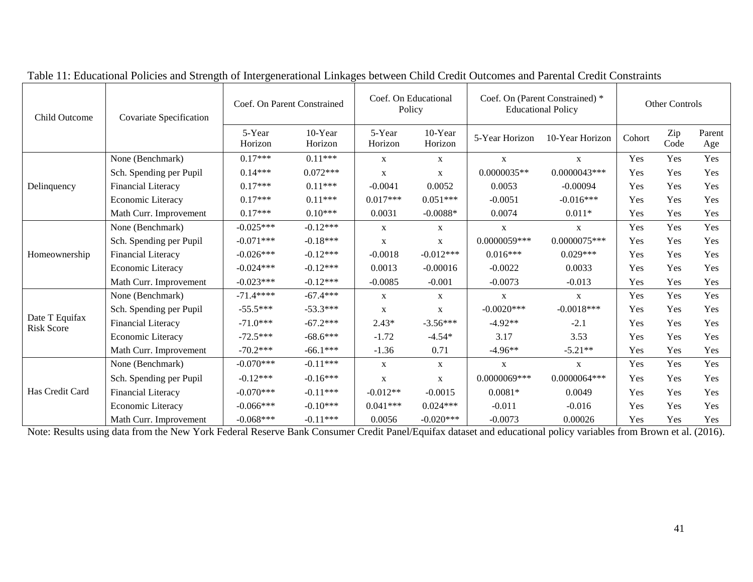| Child Outcome                       | Covariate Specification | Coef. On Parent Constrained |                    | Coef. On Educational<br>Policy |                    | Coef. On (Parent Constrained) *<br><b>Educational Policy</b> | Other Controls  |        |             |               |
|-------------------------------------|-------------------------|-----------------------------|--------------------|--------------------------------|--------------------|--------------------------------------------------------------|-----------------|--------|-------------|---------------|
|                                     |                         | 5-Year<br>Horizon           | 10-Year<br>Horizon | 5-Year<br>Horizon              | 10-Year<br>Horizon | 5-Year Horizon                                               | 10-Year Horizon | Cohort | Zip<br>Code | Parent<br>Age |
|                                     | None (Benchmark)        | $0.17***$                   | $0.11***$          | $\mathbf x$                    | $\mathbf X$        | $\mathbf{X}$                                                 | $\mathbf X$     | Yes    | Yes         | Yes           |
|                                     | Sch. Spending per Pupil | $0.14***$                   | $0.072***$         | $\mathbf X$                    | $\mathbf{X}$       | $0.0000035**$                                                | $0.0000043***$  | Yes    | Yes         | Yes           |
| Delinquency                         | Financial Literacy      | $0.17***$                   | $0.11***$          | $-0.0041$                      | 0.0052             | 0.0053                                                       | $-0.00094$      | Yes    | Yes         | Yes           |
|                                     | Economic Literacy       | $0.17***$                   | $0.11***$          | $0.017***$                     | $0.051***$         | $-0.0051$                                                    | $-0.016***$     | Yes    | Yes         | Yes           |
|                                     | Math Curr. Improvement  | $0.17***$                   | $0.10***$          | 0.0031                         | $-0.0088*$         | 0.0074                                                       | $0.011*$        | Yes    | Yes         | Yes           |
|                                     | None (Benchmark)        | $-0.025***$                 | $-0.12***$         | X                              | X                  | $\mathbf X$                                                  | $\mathbf X$     | Yes    | Yes         | Yes           |
| Homeownership                       | Sch. Spending per Pupil | $-0.071***$                 | $-0.18***$         | X                              | $\mathbf X$        | $0.0000059***$                                               | $0.0000075***$  | Yes    | Yes         | Yes           |
|                                     | Financial Literacy      | $-0.026***$                 | $-0.12***$         | $-0.0018$                      | $-0.012***$        | $0.016***$                                                   | $0.029***$      | Yes    | Yes         | Yes           |
|                                     | Economic Literacy       | $-0.024***$                 | $-0.12***$         | 0.0013                         | $-0.00016$         | $-0.0022$                                                    | 0.0033          | Yes    | Yes         | Yes           |
|                                     | Math Curr. Improvement  | $-0.023***$                 | $-0.12***$         | $-0.0085$                      | $-0.001$           | $-0.0073$                                                    | $-0.013$        | Yes    | Yes         | Yes           |
|                                     | None (Benchmark)        | $-71.4***$                  | $-67.4***$         | X                              | X                  | X                                                            | X               | Yes    | Yes         | Yes           |
|                                     | Sch. Spending per Pupil | $-55.5***$                  | $-53.3***$         | X                              | $\mathbf{X}$       | $-0.0020***$                                                 | $-0.0018***$    | Yes    | Yes         | Yes           |
| Date T Equifax<br><b>Risk Score</b> | Financial Literacy      | $-71.0***$                  | $-67.2***$         | $2.43*$                        | $-3.56***$         | $-4.92**$                                                    | $-2.1$          | Yes    | Yes         | Yes           |
|                                     | Economic Literacy       | $-72.5***$                  | $-68.6***$         | $-1.72$                        | $-4.54*$           | 3.17                                                         | 3.53            | Yes    | Yes         | Yes           |
|                                     | Math Curr. Improvement  | $-70.2***$                  | $-66.1***$         | $-1.36$                        | 0.71               | $-4.96**$                                                    | $-5.21**$       | Yes    | Yes         | Yes           |
|                                     | None (Benchmark)        | $-0.070***$                 | $-0.11***$         | $\mathbf{X}$                   | X                  | X                                                            | X               | Yes    | Yes         | Yes           |
|                                     | Sch. Spending per Pupil | $-0.12***$                  | $-0.16***$         | X                              | $\mathbf{X}$       | $0.0000069***$                                               | $0.0000064***$  | Yes    | Yes         | Yes           |
| Has Credit Card                     | Financial Literacy      | $-0.070***$                 | $-0.11***$         | $-0.012**$                     | $-0.0015$          | $0.0081*$                                                    | 0.0049          | Yes    | Yes         | Yes           |
|                                     | Economic Literacy       | $-0.066***$                 | $-0.10***$         | $0.041***$                     | $0.024***$         | $-0.011$                                                     | $-0.016$        | Yes    | Yes         | Yes           |
|                                     | Math Curr. Improvement  | $-0.068***$                 | $-0.11***$         | 0.0056                         | $-0.020***$        | $-0.0073$                                                    | 0.00026         | Yes    | Yes         | Yes           |

Table 11: Educational Policies and Strength of Intergenerational Linkages between Child Credit Outcomes and Parental Credit Constraints

Note: Results using data from the New York Federal Reserve Bank Consumer Credit Panel/Equifax dataset and educational policy variables from Brown et al. (2016).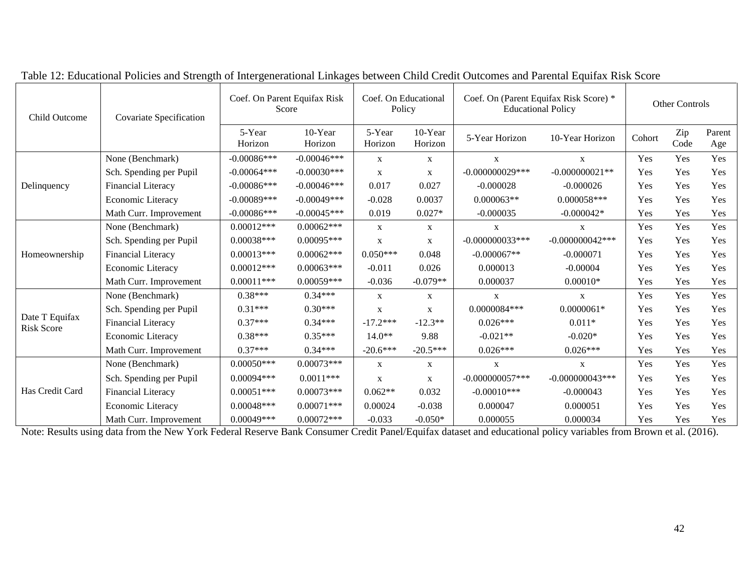| Child Outcome                       | Covariate Specification   | Coef. On Parent Equifax Risk<br>Score |                    | Coef. On Educational<br>Policy |                    | Coef. On (Parent Equifax Risk Score) *<br><b>Educational Policy</b> | Other Controls     |        |             |               |
|-------------------------------------|---------------------------|---------------------------------------|--------------------|--------------------------------|--------------------|---------------------------------------------------------------------|--------------------|--------|-------------|---------------|
|                                     |                           | 5-Year<br>Horizon                     | 10-Year<br>Horizon | 5-Year<br>Horizon              | 10-Year<br>Horizon | 5-Year Horizon                                                      | 10-Year Horizon    | Cohort | Zip<br>Code | Parent<br>Age |
|                                     | None (Benchmark)          | $-0.00086***$                         | $-0.00046***$      | $\mathbf{X}$                   | $\mathbf{X}$       | X                                                                   | $\mathbf{X}$       | Yes    | Yes         | Yes           |
|                                     | Sch. Spending per Pupil   | $-0.00064***$                         | $-0.00030***$      | $\mathbf X$                    | X                  | $-0.000000029***$                                                   | $-0.000000021**$   | Yes    | Yes         | Yes           |
| Delinquency                         | Financial Literacy        | $-0.00086$ ***                        | $-0.00046$ ***     | 0.017                          | 0.027              | $-0.000028$                                                         | $-0.000026$        | Yes    | Yes         | Yes           |
|                                     | Economic Literacy         | $-0.00089$ ***                        | $-0.00049***$      | $-0.028$                       | 0.0037             | $0.000063**$                                                        | $0.000058***$      | Yes    | Yes         | Yes           |
|                                     | Math Curr. Improvement    | $-0.00086$ ***                        | $-0.00045***$      | 0.019                          | $0.027*$           | $-0.000035$                                                         | $-0.000042*$       | Yes    | Yes         | Yes           |
| Homeownership                       | None (Benchmark)          | $0.00012***$                          | $0.00062***$       | $\mathbf{X}$                   | $\mathbf{X}$       | X                                                                   | X                  | Yes    | Yes         | Yes           |
|                                     | Sch. Spending per Pupil   | $0.00038***$                          | $0.00095***$       | $\mathbf X$                    | $\mathbf{X}$       | $-0.000000033***$                                                   | $-0.000000042$ *** | Yes    | Yes         | Yes           |
|                                     | <b>Financial Literacy</b> | $0.00013***$                          | $0.00062***$       | $0.050***$                     | 0.048              | $-0.000067**$                                                       | $-0.000071$        | Yes    | Yes         | Yes           |
|                                     | Economic Literacy         | $0.00012***$                          | $0.00063***$       | $-0.011$                       | 0.026              | 0.000013                                                            | $-0.00004$         | Yes    | Yes         | Yes           |
|                                     | Math Curr. Improvement    | $0.00011***$                          | $0.00059***$       | $-0.036$                       | $-0.079**$         | 0.000037                                                            | $0.00010*$         |        | Yes         | Yes           |
|                                     | None (Benchmark)          | $0.38***$                             | $0.34***$          | $\mathbf{X}$                   | $\mathbf{X}$       | $\mathbf{X}$                                                        | X                  | Yes    | Yes         | Yes           |
|                                     | Sch. Spending per Pupil   | $0.31***$                             | $0.30***$          | $\mathbf X$                    | $\mathbf{X}$       | $0.0000084***$                                                      | $0.0000061*$       | Yes    | Yes         | Yes           |
| Date T Equifax<br><b>Risk Score</b> | Financial Literacy        | $0.37***$                             | $0.34***$          | $-17.2***$                     | $-12.3**$          | $0.026***$                                                          | $0.011*$           | Yes    | Yes         | Yes           |
|                                     | Economic Literacy         | $0.38***$                             | $0.35***$          | $14.0**$                       | 9.88               | $-0.021**$                                                          | $-0.020*$          | Yes    | Yes         | Yes           |
|                                     | Math Curr. Improvement    | $0.37***$                             | $0.34***$          | $-20.6***$                     | $-20.5***$         | $0.026***$                                                          | $0.026***$         | Yes    | Yes         | Yes           |
|                                     | None (Benchmark)          | $0.00050***$                          | $0.00073***$       | $\mathbf X$                    | $\mathbf X$        | X                                                                   | X                  | Yes    | Yes         | Yes           |
|                                     | Sch. Spending per Pupil   | $0.00094***$                          | $0.0011***$        | $\mathbf{X}$                   | X                  | $-0.000000057***$                                                   | $-0.000000043***$  | Yes    | Yes         | Yes           |
| Has Credit Card                     | <b>Financial Literacy</b> | $0.00051***$                          | $0.00073***$       | $0.062**$                      | 0.032              | $-0.00010$ ***                                                      | $-0.000043$        | Yes    | Yes         | Yes           |
|                                     | Economic Literacy         | $0.00048***$                          | $0.00071***$       | 0.00024                        | $-0.038$           | 0.000047                                                            | 0.000051           | Yes    | Yes         | Yes           |
|                                     | Math Curr. Improvement    | $0.00049***$                          | $0.00072***$       | $-0.033$                       | $-0.050*$          | 0.000055                                                            | 0.000034           | Yes    | Yes         | Yes           |

Table 12: Educational Policies and Strength of Intergenerational Linkages between Child Credit Outcomes and Parental Equifax Risk Score

Note: Results using data from the New York Federal Reserve Bank Consumer Credit Panel/Equifax dataset and educational policy variables from Brown et al. (2016).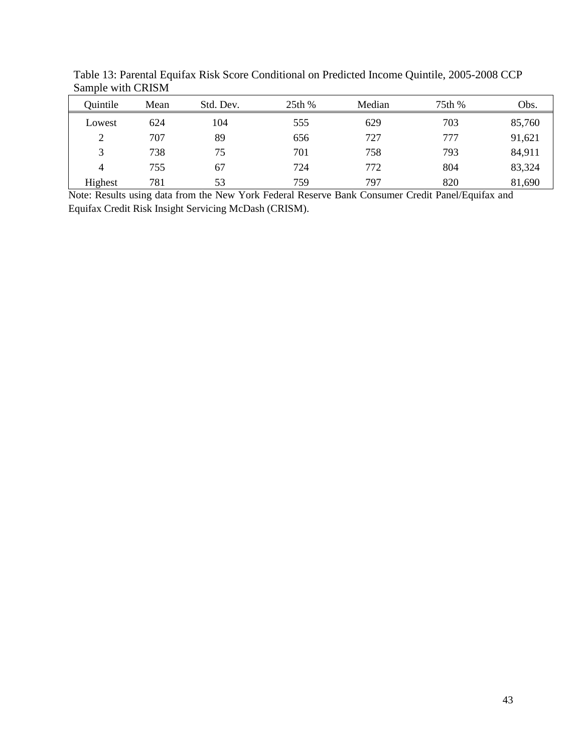| Quintile       | Mean | Std. Dev. | 25th % | Median | 75th % | Obs.   |
|----------------|------|-----------|--------|--------|--------|--------|
| Lowest         | 624  | 104       | 555    | 629    | 703    | 85,760 |
| $\overline{2}$ | 707  | 89        | 656    | 727    | 777    | 91,621 |
| 3              | 738  | 75        | 701    | 758    | 793    | 84,911 |
| $\overline{4}$ | 755  | 67        | 724    | 772    | 804    | 83,324 |
| Highest        | 781  | 53        | 759    | 797    | 820    | 81,690 |

Table 13: Parental Equifax Risk Score Conditional on Predicted Income Quintile, 2005-2008 CCP Sample with CRISM

Note: Results using data from the New York Federal Reserve Bank Consumer Credit Panel/Equifax and Equifax Credit Risk Insight Servicing McDash (CRISM).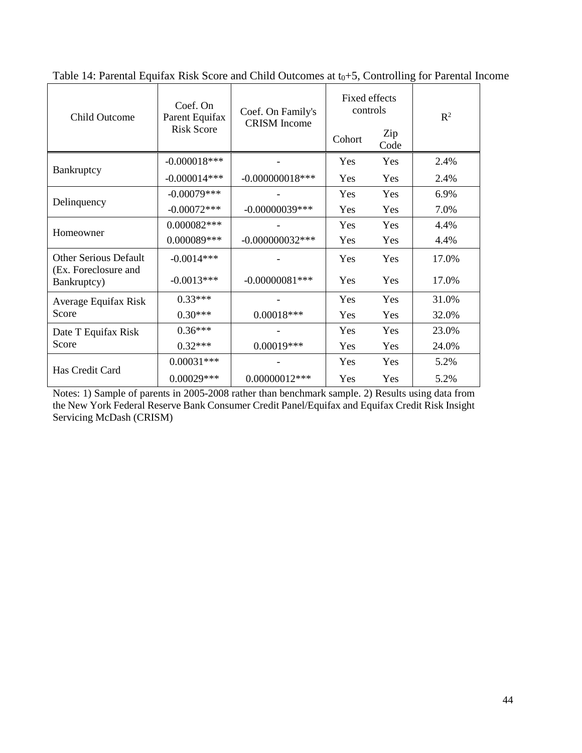| <b>Child Outcome</b>                                 | Coef. On<br>Parent Equifax | Coef. On Family's<br><b>CRISM</b> Income | Fixed effects<br>controls |             | $R^2$ |
|------------------------------------------------------|----------------------------|------------------------------------------|---------------------------|-------------|-------|
|                                                      | <b>Risk Score</b>          |                                          | Cohort                    | Zip<br>Code |       |
|                                                      | $-0.000018***$             |                                          | Yes                       | Yes         | 2.4%  |
| Bankruptcy                                           | $-0.000014***$             | $-0.000000018$ ***                       | Yes                       | Yes         | 2.4%  |
|                                                      | $-0.00079***$              |                                          | Yes                       | Yes         | 6.9%  |
| Delinquency                                          | $-0.00072***$              | $-0.00000039***$<br>Yes<br>Yes           |                           |             | 7.0%  |
|                                                      | 0.000082***                |                                          | Yes                       | Yes         | 4.4%  |
| Homeowner                                            | 0.000089***                | $-0.000000032***$                        | Yes                       | Yes         | 4.4%  |
| <b>Other Serious Default</b><br>(Ex. Foreclosure and | $-0.0014***$               |                                          | Yes                       | Yes         | 17.0% |
| Bankruptcy)                                          | $-0.0013***$               | $-0.00000081***$                         | Yes                       | Yes         | 17.0% |
| Average Equifax Risk                                 | $0.33***$                  |                                          | Yes                       | Yes         | 31.0% |
| Score                                                | $0.30***$                  | $0.00018***$                             | Yes                       | Yes         | 32.0% |
| Date T Equifax Risk                                  | $0.36***$                  |                                          | Yes                       | Yes         | 23.0% |
| Score                                                | $0.32***$                  | 0.00019***                               | Yes                       | <b>Yes</b>  | 24.0% |
|                                                      | $0.00031***$               |                                          | Yes                       | Yes         | 5.2%  |
| Has Credit Card                                      | $0.00029***$               | $0.00000012***$                          | Yes                       | Yes         | 5.2%  |

Table 14: Parental Equifax Risk Score and Child Outcomes at  $t_0+5$ , Controlling for Parental Income

Notes: 1) Sample of parents in 2005-2008 rather than benchmark sample. 2) Results using data from the New York Federal Reserve Bank Consumer Credit Panel/Equifax and Equifax Credit Risk Insight Servicing McDash (CRISM)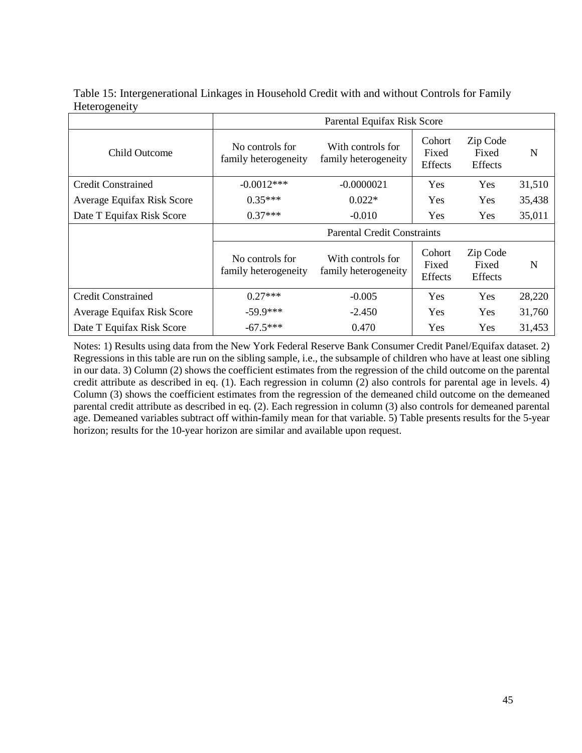| Table 15: Intergenerational Linkages in Household Credit with and without Controls for Family |  |
|-----------------------------------------------------------------------------------------------|--|
| Heterogeneity                                                                                 |  |

|                            |                                         | Parental Equifax Risk Score               |                                   |                                     |        |  |  |
|----------------------------|-----------------------------------------|-------------------------------------------|-----------------------------------|-------------------------------------|--------|--|--|
| <b>Child Outcome</b>       | No controls for<br>family heterogeneity | With controls for<br>family heterogeneity | Cohort<br>Fixed<br>Effects        | Zip Code<br>Fixed<br>Effects        | N      |  |  |
| <b>Credit Constrained</b>  | $-0.0012***$                            | $-0.0000021$                              | Yes                               | Yes                                 | 31,510 |  |  |
| Average Equifax Risk Score | $0.35***$                               | $0.022*$                                  | Yes                               | Yes                                 | 35,438 |  |  |
| Date T Equifax Risk Score  | $0.37***$                               | $-0.010$                                  | <b>Yes</b>                        | Yes                                 | 35,011 |  |  |
|                            | <b>Parental Credit Constraints</b>      |                                           |                                   |                                     |        |  |  |
|                            | No controls for<br>family heterogeneity | With controls for<br>family heterogeneity | Cohort<br>Fixed<br><b>Effects</b> | Zip Code<br>Fixed<br><b>Effects</b> | N      |  |  |
| <b>Credit Constrained</b>  | $0.27***$                               | $-0.005$                                  | <b>Yes</b>                        | Yes                                 | 28,220 |  |  |
| Average Equifax Risk Score | $-59.9***$                              | $-2.450$                                  | <b>Yes</b>                        | Yes                                 | 31,760 |  |  |
| Date T Equifax Risk Score  | $-67.5***$                              | 0.470                                     | Yes                               | Yes                                 | 31,453 |  |  |

Notes: 1) Results using data from the New York Federal Reserve Bank Consumer Credit Panel/Equifax dataset. 2) Regressions in this table are run on the sibling sample, i.e., the subsample of children who have at least one sibling in our data. 3) Column (2) shows the coefficient estimates from the regression of the child outcome on the parental credit attribute as described in eq. (1). Each regression in column (2) also controls for parental age in levels. 4) Column (3) shows the coefficient estimates from the regression of the demeaned child outcome on the demeaned parental credit attribute as described in eq. (2). Each regression in column (3) also controls for demeaned parental age. Demeaned variables subtract off within-family mean for that variable. 5) Table presents results for the 5-year horizon; results for the 10-year horizon are similar and available upon request.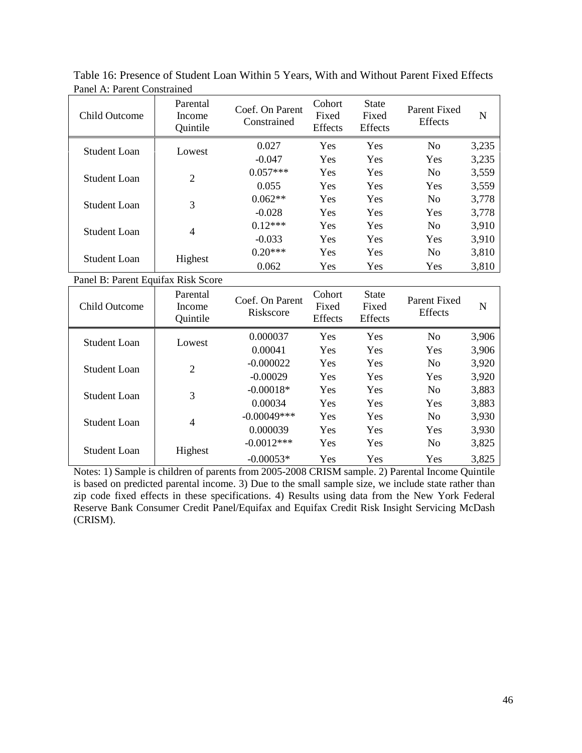| <b>Child Outcome</b> | Parental<br>Income<br>Quintile | Coef. On Parent<br>Constrained | Cohort<br>Fixed<br><b>Effects</b> | <b>State</b><br>Fixed<br><b>Effects</b> | Parent Fixed<br><b>Effects</b> | N     |
|----------------------|--------------------------------|--------------------------------|-----------------------------------|-----------------------------------------|--------------------------------|-------|
| Student Loan         | Lowest                         | 0.027                          | Yes                               | Yes                                     | N <sub>0</sub>                 | 3,235 |
|                      |                                | $-0.047$                       | Yes                               | Yes                                     | Yes                            | 3,235 |
| Student Loan         | $\overline{2}$                 | $0.057***$                     | Yes                               | Yes                                     | N <sub>0</sub>                 | 3,559 |
|                      |                                | 0.055                          | Yes                               | <b>Yes</b>                              | Yes                            | 3,559 |
| Student Loan         | 3                              | $0.062**$                      | Yes                               | <b>Yes</b>                              | N <sub>0</sub>                 | 3,778 |
|                      |                                | $-0.028$                       | Yes                               | Yes                                     | Yes                            | 3,778 |
| Student Loan         | 4                              | $0.12***$                      | Yes                               | Yes                                     | N <sub>0</sub>                 | 3,910 |
|                      |                                | $-0.033$                       | Yes                               | Yes                                     | Yes                            | 3,910 |
| Student Loan         |                                | $0.20***$                      | Yes                               | Yes                                     | N <sub>0</sub>                 | 3,810 |
|                      | Highest                        | 0.062                          | Yes                               | Yes                                     | Yes                            | 3,810 |

Table 16: Presence of Student Loan Within 5 Years, With and Without Parent Fixed Effects Panel A: Parent Constrained

Panel B: Parent Equifax Risk Score

| Child Outcome | Parental<br>Coef. On Parent<br>Income<br>Riskscore<br>Quintile |                | Cohort<br>Fixed<br>Effects | <b>State</b><br>Fixed<br>Effects | Parent Fixed<br><b>Effects</b> | $\mathbf N$ |
|---------------|----------------------------------------------------------------|----------------|----------------------------|----------------------------------|--------------------------------|-------------|
| Student Loan  | Lowest                                                         | 0.000037       | Yes                        | Yes                              | No                             | 3,906       |
|               |                                                                | 0.00041        | Yes                        | Yes                              | Yes                            | 3,906       |
| Student Loan  | $\overline{2}$                                                 | $-0.000022$    | Yes                        | <b>Yes</b>                       | N <sub>0</sub>                 | 3,920       |
|               |                                                                | $-0.00029$     | Yes                        | Yes                              | Yes                            | 3,920       |
| Student Loan  | 3                                                              | $-0.00018*$    | Yes                        | Yes                              | N <sub>0</sub>                 | 3,883       |
|               |                                                                | 0.00034        | Yes                        | Yes                              | Yes                            | 3,883       |
| Student Loan  | 4                                                              | $-0.00049$ *** | Yes                        | Yes                              | N <sub>0</sub>                 | 3,930       |
|               |                                                                | 0.000039       | Yes                        | Yes                              | Yes                            | 3,930       |
| Student Loan  |                                                                | $-0.0012***$   | Yes                        | Yes                              | N <sub>0</sub>                 | 3,825       |
|               | Highest                                                        | $-0.00053*$    | Yes                        | Yes                              | Yes                            | 3,825       |

Notes: 1) Sample is children of parents from 2005-2008 CRISM sample. 2) Parental Income Quintile is based on predicted parental income. 3) Due to the small sample size, we include state rather than zip code fixed effects in these specifications. 4) Results using data from the New York Federal Reserve Bank Consumer Credit Panel/Equifax and Equifax Credit Risk Insight Servicing McDash (CRISM).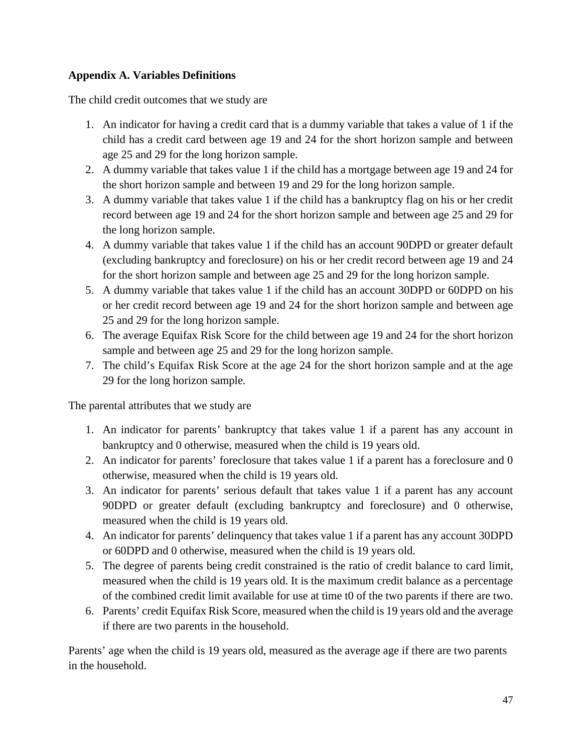# **Appendix A. Variables Definitions**

The child credit outcomes that we study are

- 1. An indicator for having a credit card that is a dummy variable that takes a value of 1 if the child has a credit card between age 19 and 24 for the short horizon sample and between age 25 and 29 for the long horizon sample.
- 2. A dummy variable that takes value 1 if the child has a mortgage between age 19 and 24 for the short horizon sample and between 19 and 29 for the long horizon sample.
- 3. A dummy variable that takes value 1 if the child has a bankruptcy flag on his or her credit record between age 19 and 24 for the short horizon sample and between age 25 and 29 for the long horizon sample.
- 4. A dummy variable that takes value 1 if the child has an account 90DPD or greater default (excluding bankruptcy and foreclosure) on his or her credit record between age 19 and 24 for the short horizon sample and between age 25 and 29 for the long horizon sample.
- 5. A dummy variable that takes value 1 if the child has an account 30DPD or 60DPD on his or her credit record between age 19 and 24 for the short horizon sample and between age 25 and 29 for the long horizon sample.
- 6. The average Equifax Risk Score for the child between age 19 and 24 for the short horizon sample and between age 25 and 29 for the long horizon sample.
- 7. The child's Equifax Risk Score at the age 24 for the short horizon sample and at the age 29 for the long horizon sample*.*

The parental attributes that we study are

- 1. An indicator for parents' bankruptcy that takes value 1 if a parent has any account in bankruptcy and 0 otherwise, measured when the child is 19 years old.
- 2. An indicator for parents' foreclosure that takes value 1 if a parent has a foreclosure and 0 otherwise, measured when the child is 19 years old.
- 3. An indicator for parents' serious default that takes value 1 if a parent has any account 90DPD or greater default (excluding bankruptcy and foreclosure) and 0 otherwise, measured when the child is 19 years old.
- 4. An indicator for parents' delinquency that takes value 1 if a parent has any account 30DPD or 60DPD and 0 otherwise, measured when the child is 19 years old.
- 5. The degree of parents being credit constrained is the ratio of credit balance to card limit, measured when the child is 19 years old. It is the maximum credit balance as a percentage of the combined credit limit available for use at time t0 of the two parents if there are two.
- 6. Parents' credit Equifax Risk Score, measured when the child is 19 years old and the average if there are two parents in the household.

Parents' age when the child is 19 years old, measured as the average age if there are two parents in the household.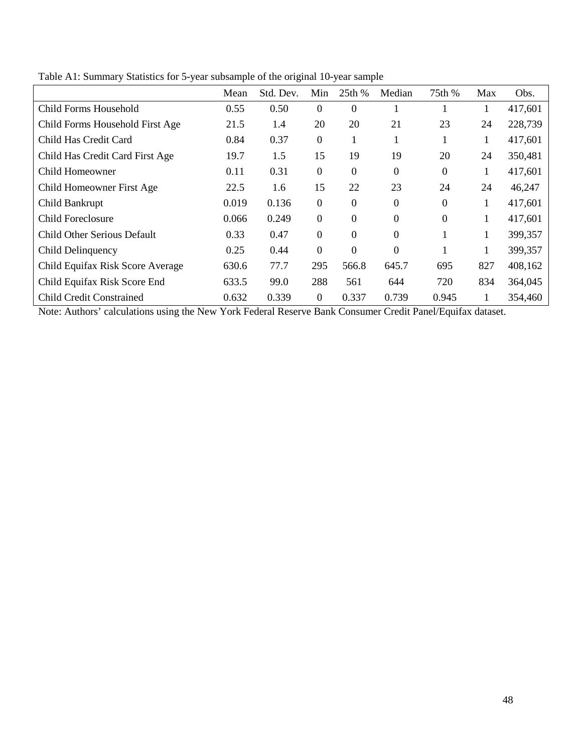|                                  | Mean  | Std. Dev. | Min      | 25th %         | Median           | 75th %   | Max | Obs.    |
|----------------------------------|-------|-----------|----------|----------------|------------------|----------|-----|---------|
| Child Forms Household            | 0.55  | 0.50      | $\theta$ | $\Omega$       |                  |          |     | 417,601 |
| Child Forms Household First Age  | 21.5  | 1.4       | 20       | 20             | 21               | 23       | 24  | 228,739 |
| Child Has Credit Card            | 0.84  | 0.37      | $\Omega$ |                |                  | 1        | 1   | 417,601 |
| Child Has Credit Card First Age  | 19.7  | 1.5       | 15       | 19             | 19               | 20       | 24  | 350,481 |
| Child Homeowner                  | 0.11  | 0.31      | $\theta$ | $\theta$       | $\boldsymbol{0}$ | $\Omega$ | 1   | 417,601 |
| Child Homeowner First Age        | 22.5  | 1.6       | 15       | 22             | 23               | 24       | 24  | 46,247  |
| Child Bankrupt                   | 0.019 | 0.136     | $\theta$ | $\Omega$       | $\theta$         | $\Omega$ | 1   | 417,601 |
| <b>Child Foreclosure</b>         | 0.066 | 0.249     | $\Omega$ | $\theta$       | $\boldsymbol{0}$ | $\Omega$ |     | 417,601 |
| Child Other Serious Default      | 0.33  | 0.47      | $\Omega$ | $\overline{0}$ | $\overline{0}$   |          |     | 399,357 |
| Child Delinquency                | 0.25  | 0.44      | $\theta$ | $\Omega$       | $\overline{0}$   |          |     | 399,357 |
| Child Equifax Risk Score Average | 630.6 | 77.7      | 295      | 566.8          | 645.7            | 695      | 827 | 408,162 |
| Child Equifax Risk Score End     | 633.5 | 99.0      | 288      | 561            | 644              | 720      | 834 | 364,045 |
| <b>Child Credit Constrained</b>  | 0.632 | 0.339     | $\Omega$ | 0.337          | 0.739            | 0.945    |     | 354,460 |

Table A1: Summary Statistics for 5-year subsample of the original 10-year sample

Note: Authors' calculations using the New York Federal Reserve Bank Consumer Credit Panel/Equifax dataset.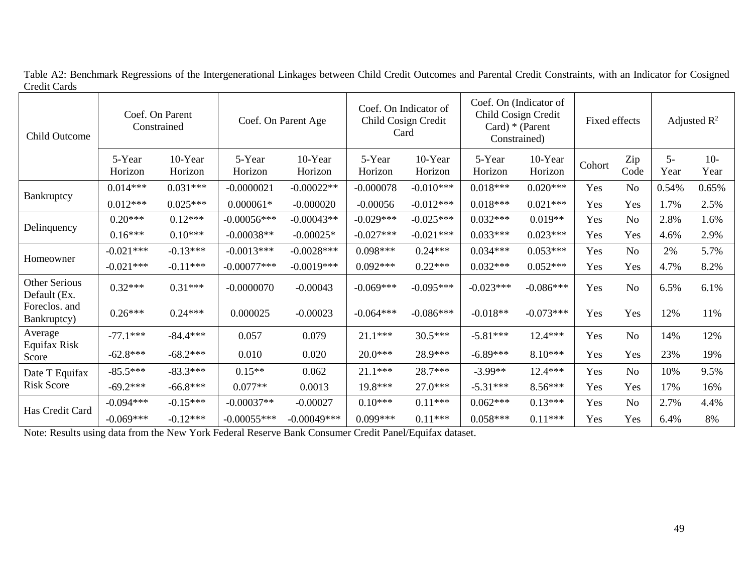| <b>Child Outcome</b>          | Coef. On Parent<br>Constrained |                    | Coef. On Parent Age |                    | Coef. On Indicator of<br>Child Cosign Credit<br>Card |                    | Coef. On (Indicator of<br>Child Cosign Credit<br>Card) $*$ (Parent<br>Constrained) |                    | Fixed effects |                | Adjusted $\mathbb{R}^2$ |               |
|-------------------------------|--------------------------------|--------------------|---------------------|--------------------|------------------------------------------------------|--------------------|------------------------------------------------------------------------------------|--------------------|---------------|----------------|-------------------------|---------------|
|                               | 5-Year<br>Horizon              | 10-Year<br>Horizon | 5-Year<br>Horizon   | 10-Year<br>Horizon | 5-Year<br>Horizon                                    | 10-Year<br>Horizon | 5-Year<br>Horizon                                                                  | 10-Year<br>Horizon | Cohort        | Zip<br>Code    | $5-$<br>Year            | $10-$<br>Year |
|                               | $0.014***$                     | $0.031***$         | $-0.0000021$        | $-0.00022**$       | $-0.000078$                                          | $-0.010***$        | $0.018***$                                                                         | $0.020***$         | Yes           | N <sub>o</sub> | 0.54%                   | 0.65%         |
| Bankruptcy                    | $0.012***$                     | $0.025***$         | $0.000061*$         | $-0.000020$        | $-0.00056$                                           | $-0.012***$        | $0.018***$                                                                         | $0.021***$         | Yes           | Yes            | 1.7%                    | 2.5%          |
|                               | $0.20***$                      | $0.12***$          | $-0.00056***$       | $-0.00043**$       | $-0.029***$                                          | $-0.025***$        | $0.032***$                                                                         | $0.019**$          | Yes           | N <sub>o</sub> | 2.8%                    | 1.6%          |
| Delinquency                   | $0.16***$                      | $0.10***$          | $-0.00038**$        | $-0.00025*$        | $-0.027***$                                          | $-0.021***$        | $0.033***$                                                                         | $0.023***$         | Yes           | Yes            | 4.6%                    | 2.9%          |
|                               | $-0.021***$                    | $-0.13***$         | $-0.0013***$        | $-0.0028***$       | $0.098***$                                           | $0.24***$          | $0.034***$                                                                         | $0.053***$         | Yes           | No             | 2%                      | 5.7%          |
| Homeowner                     | $-0.021***$                    | $-0.11***$         | $-0.00077***$       | $-0.0019***$       | $0.092***$                                           | $0.22***$          | $0.032***$                                                                         | $0.052***$         | Yes           | Yes            | 4.7%                    | 8.2%          |
| Other Serious<br>Default (Ex. | $0.32***$                      | $0.31***$          | $-0.0000070$        | $-0.00043$         | $-0.069***$                                          | $-0.095***$        | $-0.023***$                                                                        | $-0.086***$        | Yes           | No             | 6.5%                    | 6.1%          |
| Foreclos. and<br>Bankruptcy)  | $0.26***$                      | $0.24***$          | 0.000025            | $-0.00023$         | $-0.064***$                                          | $-0.086***$        | $-0.018**$                                                                         | $-0.073***$        | Yes           | Yes            | 12%                     | 11%           |
| Average                       | $-77.1***$                     | $-84.4***$         | 0.057               | 0.079              | $21.1***$                                            | $30.5***$          | $-5.81***$                                                                         | 12.4 ***           | Yes           | N <sub>o</sub> | 14%                     | 12%           |
| Equifax Risk<br>Score         | $-62.8***$                     | $-68.2***$         | 0.010               | 0.020              | $20.0***$                                            | 28.9***            | $-6.89***$                                                                         | 8.10***            | Yes           | Yes            | 23%                     | 19%           |
| Date T Equifax                | $-85.5***$                     | $-83.3***$         | $0.15**$            | 0.062              | $21.1***$                                            | 28.7***            | $-3.99**$                                                                          | 12.4 ***           | Yes           | No             | 10%                     | 9.5%          |
| <b>Risk Score</b>             | $-69.2***$                     | $-66.8***$         | $0.077**$           | 0.0013             | 19.8***                                              | $27.0***$          | $-5.31***$                                                                         | 8.56***            | Yes           | Yes            | 17%                     | 16%           |
| Has Credit Card               | $-0.094***$                    | $-0.15***$         | $-0.00037**$        | $-0.00027$         | $0.10***$                                            | $0.11***$          | $0.062***$                                                                         | $0.13***$          | Yes           | No             | 2.7%                    | 4.4%          |
|                               | $-0.069***$                    | $-0.12***$         | $-0.00055***$       | $-0.00049$ ***     | $0.099***$                                           | $0.11***$          | $0.058***$                                                                         | $0.11***$          | Yes           | Yes            | 6.4%                    | 8%            |

Table A2: Benchmark Regressions of the Intergenerational Linkages between Child Credit Outcomes and Parental Credit Constraints, with an Indicator for Cosigned Credit Cards

Note: Results using data from the New York Federal Reserve Bank Consumer Credit Panel/Equifax dataset.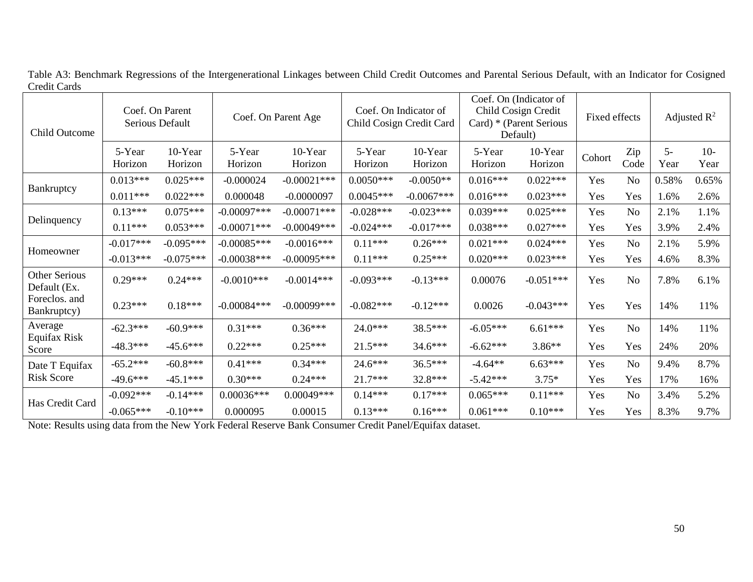| <b>Child Outcome</b>          | Coef. On Parent<br>Serious Default |                    | Coef. On Parent Age |                    | Coef. On Indicator of<br>Child Cosign Credit Card |                    | Coef. On (Indicator of<br>Child Cosign Credit<br>Card) * (Parent Serious<br>Default) |                    | Fixed effects |                | Adjusted $\mathbb{R}^2$ |               |
|-------------------------------|------------------------------------|--------------------|---------------------|--------------------|---------------------------------------------------|--------------------|--------------------------------------------------------------------------------------|--------------------|---------------|----------------|-------------------------|---------------|
|                               | 5-Year<br>Horizon                  | 10-Year<br>Horizon | 5-Year<br>Horizon   | 10-Year<br>Horizon | 5-Year<br>Horizon                                 | 10-Year<br>Horizon | 5-Year<br>Horizon                                                                    | 10-Year<br>Horizon | Cohort        | Zip<br>Code    | $5-$<br>Year            | $10-$<br>Year |
|                               | $0.013***$                         | $0.025***$         | $-0.000024$         | $-0.00021$ ***     | $0.0050***$                                       | $-0.0050**$        | $0.016***$                                                                           | $0.022***$         | Yes           | N <sub>o</sub> | 0.58%                   | 0.65%         |
| Bankruptcy                    | $0.011***$                         | $0.022***$         | 0.000048            | $-0.0000097$       | $0.0045***$                                       | $-0.0067***$       | $0.016***$                                                                           | $0.023***$         | Yes           | Yes            | 1.6%                    | 2.6%          |
| Delinquency                   | $0.13***$                          | $0.075***$         | $-0.00097***$       | $-0.00071***$      | $-0.028***$                                       | $-0.023***$        | $0.039***$                                                                           | $0.025***$         | Yes           | N <sub>o</sub> | 2.1%                    | 1.1%          |
|                               | $0.11***$                          | $0.053***$         | $-0.00071***$       | $-0.00049$ ***     | $-0.024***$                                       | $-0.017***$        | $0.038***$                                                                           | $0.027***$         | Yes           | Yes            | 3.9%                    | 2.4%          |
| Homeowner                     | $-0.017***$                        | $-0.095***$        | $-0.00085***$       | $-0.0016***$       | $0.11***$                                         | $0.26***$          | $0.021***$                                                                           | $0.024***$         | Yes           | N <sub>o</sub> | 2.1%                    | 5.9%          |
|                               | $-0.013***$                        | $-0.075***$        | $-0.00038***$       | $-0.00095***$      | $0.11***$                                         | $0.25***$          | $0.020***$                                                                           | $0.023***$         | Yes           | Yes            | 4.6%                    | 8.3%          |
| Other Serious<br>Default (Ex. | $0.29***$                          | $0.24***$          | $-0.0010***$        | $-0.0014***$       | $-0.093***$                                       | $-0.13***$         | 0.00076                                                                              | $-0.051***$        | Yes           | N <sub>o</sub> | 7.8%                    | 6.1%          |
| Foreclos. and<br>Bankruptcy)  | $0.23***$                          | $0.18***$          | $-0.00084***$       | $-0.00099$ ***     | $-0.082***$                                       | $-0.12***$         | 0.0026                                                                               | $-0.043***$        | Yes           | Yes            | 14%                     | 11%           |
| Average                       | $-62.3***$                         | $-60.9***$         | $0.31***$           | $0.36***$          | $24.0***$                                         | 38.5***            | $-6.05***$                                                                           | $6.61***$          | Yes           | N <sub>o</sub> | 14%                     | 11%           |
| Equifax Risk<br>Score         | $-48.3***$                         | $-45.6***$         | $0.22***$           | $0.25***$          | $21.5***$                                         | $34.6***$          | $-6.62***$                                                                           | $3.86**$           | Yes           | Yes            | 24%                     | 20%           |
| Date T Equifax                | $-65.2***$                         | $-60.8***$         | $0.41***$           | $0.34***$          | $24.6***$                                         | $36.5***$          | $-4.64**$                                                                            | $6.63***$          | Yes           | N <sub>o</sub> | 9.4%                    | 8.7%          |
| <b>Risk Score</b>             | $-49.6***$                         | $-45.1***$         | $0.30***$           | $0.24***$          | $21.7***$                                         | 32.8***            | $-5.42***$                                                                           | $3.75*$            | Yes           | Yes            | 17%                     | 16%           |
|                               | $-0.092***$                        | $-0.14***$         | $0.00036***$        | $0.00049***$       | $0.14***$                                         | $0.17***$          | $0.065***$                                                                           | $0.11***$          | Yes           | N <sub>o</sub> | 3.4%                    | 5.2%          |
| Has Credit Card               | $-0.065***$                        | $-0.10***$         | 0.000095            | 0.00015            | $0.13***$                                         | $0.16***$          | $0.061***$                                                                           | $0.10***$          | Yes           | Yes            | 8.3%                    | 9.7%          |

Table A3: Benchmark Regressions of the Intergenerational Linkages between Child Credit Outcomes and Parental Serious Default, with an Indicator for Cosigned Credit Cards

Note: Results using data from the New York Federal Reserve Bank Consumer Credit Panel/Equifax dataset.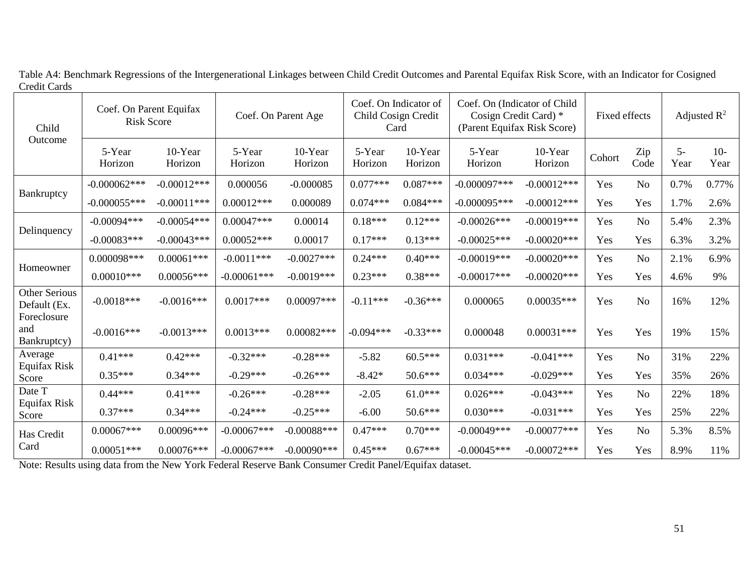Table A4: Benchmark Regressions of the Intergenerational Linkages between Child Credit Outcomes and Parental Equifax Risk Score, with an Indicator for Cosigned Credit Cards

| Child<br>Outcome                                    | Coef. On Parent Equifax<br><b>Risk Score</b> |                    | Coef. On Parent Age |                    | Coef. On Indicator of<br>Child Cosign Credit<br>Card |                    | Coef. On (Indicator of Child<br>Cosign Credit Card) *<br>(Parent Equifax Risk Score) |                    | Fixed effects |                | Adjusted $\mathbb{R}^2$ |               |
|-----------------------------------------------------|----------------------------------------------|--------------------|---------------------|--------------------|------------------------------------------------------|--------------------|--------------------------------------------------------------------------------------|--------------------|---------------|----------------|-------------------------|---------------|
|                                                     | 5-Year<br>Horizon                            | 10-Year<br>Horizon | 5-Year<br>Horizon   | 10-Year<br>Horizon | 5-Year<br>Horizon                                    | 10-Year<br>Horizon | 5-Year<br>Horizon                                                                    | 10-Year<br>Horizon | Cohort        | Zip<br>Code    | $5-$<br>Year            | $10-$<br>Year |
|                                                     | $-0.000062***$                               | $-0.00012***$      | 0.000056            | $-0.000085$        | $0.077***$                                           | $0.087***$         | $-0.000097***$                                                                       | $-0.00012***$      | Yes           | N <sub>o</sub> | 0.7%                    | 0.77%         |
| Bankruptcy                                          | $-0.000055***$                               | $-0.00011$ ***     | $0.00012***$        | 0.000089           | $0.074***$                                           | $0.084***$         | $-0.000095***$                                                                       | $-0.00012***$      | Yes           | Yes            | 1.7%                    | 2.6%          |
| Delinquency                                         | $-0.00094***$                                | $-0.00054***$      | $0.00047***$        | 0.00014            | $0.18***$                                            | $0.12***$          | $-0.00026$ ***                                                                       | $-0.00019***$      | Yes           | N <sub>o</sub> | 5.4%                    | 2.3%          |
|                                                     | $-0.00083***$                                | $-0.00043***$      | $0.00052***$        | 0.00017            | $0.17***$                                            | $0.13***$          | $-0.00025***$                                                                        | $-0.00020$ ***     | Yes           | Yes            | 6.3%                    | 3.2%          |
| Homeowner                                           | $0.000098***$                                | $0.00061***$       | $-0.0011***$        | $-0.0027***$       | $0.24***$                                            | $0.40***$          | $-0.00019***$                                                                        | $-0.00020$ ***     | Yes           | No             | 2.1%                    | 6.9%          |
|                                                     | $0.00010***$                                 | $0.00056***$       | $-0.00061$ ***      | $-0.0019***$       | $0.23***$                                            | $0.38***$          | $-0.00017***$                                                                        | $-0.00020$ ***     | Yes           | Yes            | 4.6%                    | 9%            |
| <b>Other Serious</b><br>Default (Ex.<br>Foreclosure | $-0.0018***$                                 | $-0.0016***$       | $0.0017***$         | $0.00097***$       | $-0.11***$                                           | $-0.36***$         | 0.000065                                                                             | $0.00035***$       | Yes           | N <sub>o</sub> | 16%                     | 12%           |
| and<br>Bankruptcy)                                  | $-0.0016***$                                 | $-0.0013***$       | $0.0013***$         | $0.00082***$       | $-0.094***$                                          | $-0.33***$         | 0.000048                                                                             | $0.00031***$       | Yes           | Yes            | 19%                     | 15%           |
| Average                                             | $0.41***$                                    | $0.42***$          | $-0.32***$          | $-0.28***$         | $-5.82$                                              | $60.5***$          | $0.031***$                                                                           | $-0.041***$        | Yes           | N <sub>o</sub> | 31%                     | 22%           |
| Equifax Risk<br>Score                               | $0.35***$                                    | $0.34***$          | $-0.29***$          | $-0.26***$         | $-8.42*$                                             | $50.6***$          | $0.034***$                                                                           | $-0.029***$        | Yes           | Yes            | 35%                     | 26%           |
| Date T                                              | $0.44***$                                    | $0.41***$          | $-0.26***$          | $-0.28***$         | $-2.05$                                              | $61.0***$          | $0.026***$                                                                           | $-0.043***$        | Yes           | No             | 22%                     | 18%           |
| Equifax Risk<br>Score                               | $0.37***$                                    | $0.34***$          | $-0.24***$          | $-0.25***$         | $-6.00$                                              | $50.6***$          | $0.030***$                                                                           | $-0.031***$        | Yes           | Yes            | 25%                     | 22%           |
| Has Credit                                          | $0.00067***$                                 | 0.00096***         | $-0.00067***$       | $-0.00088***$      | $0.47***$                                            | $0.70***$          | $-0.00049$ ***                                                                       | $-0.00077***$      | Yes           | N <sub>o</sub> | 5.3%                    | 8.5%          |
| Card                                                | $0.00051***$                                 | $0.00076***$       | $-0.00067***$       | $-0.00090$ ***     | $0.45***$                                            | $0.67***$          | $-0.00045***$                                                                        | $-0.00072***$      | Yes           | Yes            | 8.9%                    | 11%           |

Note: Results using data from the New York Federal Reserve Bank Consumer Credit Panel/Equifax dataset.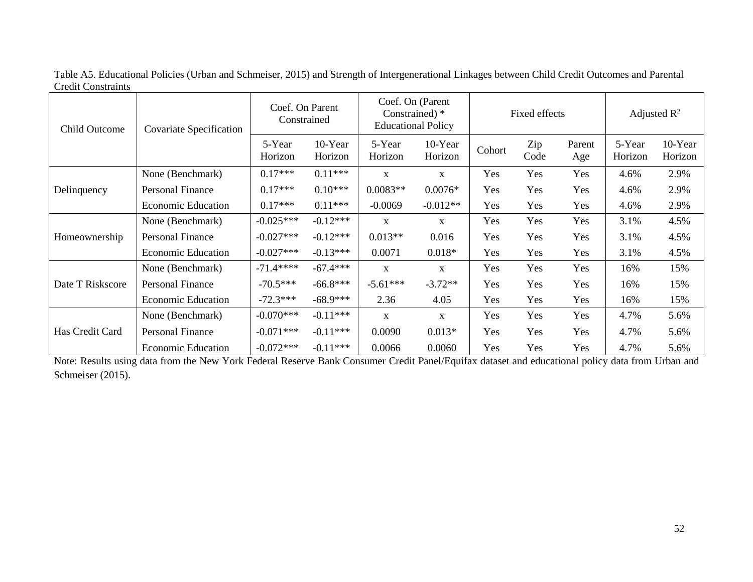| <b>Child Outcome</b> | Covariate Specification   | Coef. On Parent<br>Constrained |                    | Coef. On (Parent<br>Constrained) *<br><b>Educational Policy</b> |                    | Fixed effects |             |               | Adjusted $\mathbb{R}^2$ |                    |
|----------------------|---------------------------|--------------------------------|--------------------|-----------------------------------------------------------------|--------------------|---------------|-------------|---------------|-------------------------|--------------------|
|                      |                           | 5-Year<br>Horizon              | 10-Year<br>Horizon | 5-Year<br>Horizon                                               | 10-Year<br>Horizon | Cohort        | Zip<br>Code | Parent<br>Age | 5-Year<br>Horizon       | 10-Year<br>Horizon |
|                      | None (Benchmark)          | $0.17***$                      | $0.11***$          | $\mathbf X$                                                     | $\mathbf{X}$       | Yes           | Yes         | Yes           | 4.6%                    | 2.9%               |
| Delinquency          | Personal Finance          | $0.17***$                      | $0.10***$          | $0.0083**$                                                      | $0.0076*$          | Yes           | Yes         | Yes           | 4.6%                    | 2.9%               |
|                      | <b>Economic Education</b> | $0.17***$                      | $0.11***$          | $-0.0069$                                                       | $-0.012**$         | Yes           | Yes         | Yes           | 4.6%                    | 2.9%               |
|                      | None (Benchmark)          | $-0.025***$                    | $-0.12***$         | X                                                               | $\mathbf{X}$       | Yes           | Yes         | Yes           | 3.1%                    | 4.5%               |
| Homeownership        | Personal Finance          | $-0.027***$                    | $-0.12***$         | $0.013**$                                                       | 0.016              | Yes           | Yes         | Yes           | 3.1%                    | 4.5%               |
|                      | <b>Economic Education</b> | $-0.027***$                    | $-0.13***$         | 0.0071                                                          | $0.018*$           | Yes           | Yes         | Yes           | 3.1%                    | 4.5%               |
|                      | None (Benchmark)          | $-71.4****$                    | $-67.4***$         | X                                                               | $\mathbf{X}$       | Yes           | Yes         | Yes           | 16%                     | 15%                |
| Date T Riskscore     | Personal Finance          | $-70.5***$                     | $-66.8***$         | $-5.61***$                                                      | $-3.72**$          | Yes           | Yes         | Yes           | 16%                     | 15%                |
|                      | <b>Economic Education</b> | $-72.3***$                     | $-68.9***$         | 2.36                                                            | 4.05               | Yes           | Yes         | Yes           | 16%                     | 15%                |
| Has Credit Card      | None (Benchmark)          | $-0.070***$                    | $-0.11***$         | $\mathbf X$                                                     | $\mathbf{x}$       | Yes           | <b>Yes</b>  | Yes           | 4.7%                    | 5.6%               |
|                      | Personal Finance          | $-0.071***$                    | $-0.11***$         | 0.0090                                                          | $0.013*$           | Yes           | Yes         | Yes           | 4.7%                    | 5.6%               |
|                      | <b>Economic Education</b> | $-0.072***$                    | $-0.11***$         | 0.0066                                                          | 0.0060             | Yes           | Yes         | Yes           | 4.7%                    | 5.6%               |

Table A5. Educational Policies (Urban and Schmeiser, 2015) and Strength of Intergenerational Linkages between Child Credit Outcomes and Parental Credit Constraints

Note: Results using data from the New York Federal Reserve Bank Consumer Credit Panel/Equifax dataset and educational policy data from Urban and Schmeiser (2015).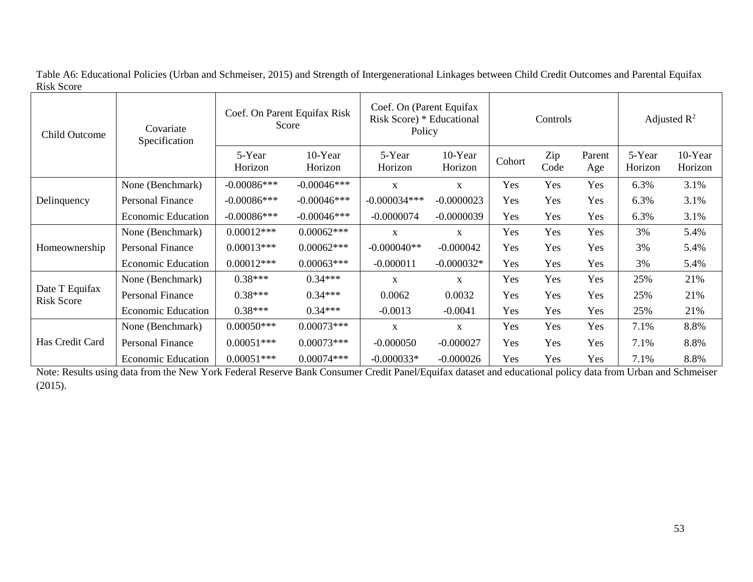| Child Outcome                       | Covariate<br>Specification | Coef. On Parent Equifax Risk<br>Score |                    | Coef. On (Parent Equifax<br>Risk Score) * Educational<br>Policy | Controls           |        |             | Adjusted $\mathbb{R}^2$ |                   |                    |
|-------------------------------------|----------------------------|---------------------------------------|--------------------|-----------------------------------------------------------------|--------------------|--------|-------------|-------------------------|-------------------|--------------------|
|                                     |                            | 5-Year<br>Horizon                     | 10-Year<br>Horizon | 5-Year<br>Horizon                                               | 10-Year<br>Horizon | Cohort | Zip<br>Code | Parent<br>Age           | 5-Year<br>Horizon | 10-Year<br>Horizon |
|                                     | None (Benchmark)           | $-0.00086***$                         | $-0.00046$ ***     | $\mathbf{x}$                                                    | X                  | Yes    | Yes         | Yes                     | 6.3%              | 3.1%               |
| Delinquency                         | Personal Finance           | $-0.00086***$                         | $-0.00046***$      | $-0.000034***$                                                  | $-0.0000023$       | Yes    | Yes         | Yes                     | 6.3%              | 3.1%               |
|                                     | <b>Economic Education</b>  | $-0.00086$ ***                        | $-0.00046***$      | $-0.0000074$                                                    | $-0.0000039$       | Yes    | Yes         | Yes                     | 6.3%              | 3.1%               |
|                                     | None (Benchmark)           | $0.00012***$                          | $0.00062***$       | X                                                               | X                  | Yes    | Yes         | Yes                     | 3%                | 5.4%               |
| Homeownership                       | Personal Finance           | $0.00013***$                          | $0.00062***$       | $-0.000040**$                                                   | $-0.000042$        | Yes    | Yes         | Yes                     | 3%                | 5.4%               |
|                                     | <b>Economic Education</b>  | $0.00012***$                          | $0.00063***$       | $-0.000011$                                                     | $-0.000032*$       | Yes    | Yes         | Yes                     | 3%                | 5.4%               |
|                                     | None (Benchmark)           | $0.38***$                             | $0.34***$          | X                                                               | $\mathbf X$        | Yes    | Yes         | Yes                     | 25%               | 21%                |
| Date T Equifax<br><b>Risk Score</b> | Personal Finance           | $0.38***$                             | $0.34***$          | 0.0062                                                          | 0.0032             | Yes    | Yes         | Yes                     | 25%               | 21%                |
|                                     | <b>Economic Education</b>  | $0.38***$                             | $0.34***$          | $-0.0013$                                                       | $-0.0041$          | Yes    | Yes         | Yes                     | 25%               | 21%                |
|                                     | None (Benchmark)           | $0.00050***$                          | $0.00073***$       | X                                                               | X                  | Yes    | Yes         | Yes                     | 7.1%              | 8.8%               |
| Has Credit Card                     | Personal Finance           | $0.00051***$                          | $0.00073***$       | $-0.000050$                                                     | $-0.000027$        | Yes    | Yes         | Yes                     | 7.1%              | 8.8%               |
|                                     | <b>Economic Education</b>  | $0.00051***$                          | $0.00074***$       | $-0.000033*$                                                    | $-0.000026$        | Yes    | Yes         | Yes                     | 7.1%              | 8.8%               |

Table A6: Educational Policies (Urban and Schmeiser, 2015) and Strength of Intergenerational Linkages between Child Credit Outcomes and Parental Equifax Risk Score

Note: Results using data from the New York Federal Reserve Bank Consumer Credit Panel/Equifax dataset and educational policy data from Urban and Schmeiser (2015).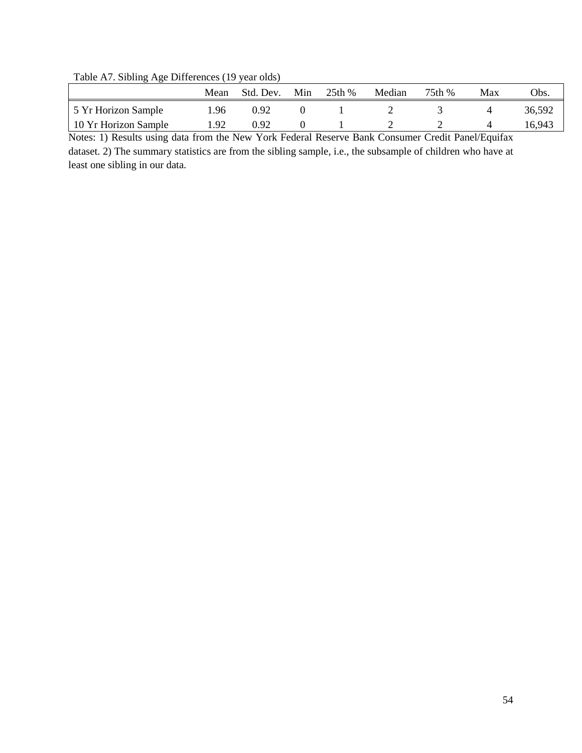Table A7. Sibling Age Differences (19 year olds)

|                      | Mean | Std. Dev. | Min | 25th % | Median | 75th % | Max | $^{\prime}$ )bs. |
|----------------------|------|-----------|-----|--------|--------|--------|-----|------------------|
| 5 Yr Horizon Sample  | .96  | 0.92      |     |        |        |        |     | 36,592           |
| 10 Yr Horizon Sample | 1.92 | 0.92      |     |        |        |        |     | 16.943           |

Notes: 1) Results using data from the New York Federal Reserve Bank Consumer Credit Panel/Equifax dataset. 2) The summary statistics are from the sibling sample, i.e., the subsample of children who have at least one sibling in our data.